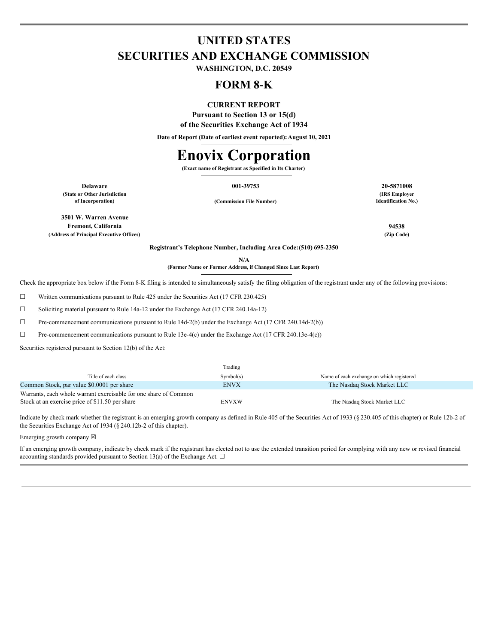# **UNITED STATES SECURITIES AND EXCHANGE COMMISSION**

**WASHINGTON, D.C. 20549**

## **FORM 8-K**

## **CURRENT REPORT**

**Pursuant to Section 13 or 15(d) of the Securities Exchange Act of 1934**

**Date of Report (Date of earliest event reported):August 10, 2021**

# **Enovix Corporation**

**(Exact name of Registrant as Specified in Its Charter)**

**(State or Other Jurisdiction of Incorporation) (Commission File Number)**

**3501 W. Warren Avenue Fremont, California 94538 (Address of Principal Executive Offices) (Zip Code)**

**Delaware 001-39753 20-5871008 (IRS Employer Identification No.)**

**Registrant's Telephone Number, Including Area Code:(510) 695-2350**

**N/A (Former Name or Former Address, if Changed Since Last Report)**

Check the appropriate box below if the Form 8-K filing is intended to simultaneously satisfy the filing obligation of the registrant under any of the following provisions:

 $\Box$  Written communications pursuant to Rule 425 under the Securities Act (17 CFR 230.425)

☐ Soliciting material pursuant to Rule 14a-12 under the Exchange Act (17 CFR 240.14a-12)

☐ Pre-commencement communications pursuant to Rule 14d-2(b) under the Exchange Act (17 CFR 240.14d-2(b))

☐ Pre-commencement communications pursuant to Rule 13e-4(c) under the Exchange Act (17 CFR 240.13e-4(c))

Securities registered pursuant to Section 12(b) of the Act:

|                                                                  | Trading     |                                           |
|------------------------------------------------------------------|-------------|-------------------------------------------|
| Title of each class                                              | Symbol(s)   | Name of each exchange on which registered |
| Common Stock, par value \$0.0001 per share                       | <b>ENVX</b> | The Nasdaq Stock Market LLC               |
| Warrants, each whole warrant exercisable for one share of Common |             |                                           |
| Stock at an exercise price of \$11.50 per share                  | ENVXW       | The Nasdaq Stock Market LLC               |

Indicate by check mark whether the registrant is an emerging growth company as defined in Rule 405 of the Securities Act of 1933 (§ 230.405 of this chapter) or Rule 12b-2 of the Securities Exchange Act of 1934 (§ 240.12b-2 of this chapter).

Emerging growth company  $\boxtimes$ 

If an emerging growth company, indicate by check mark if the registrant has elected not to use the extended transition period for complying with any new or revised financial accounting standards provided pursuant to Section 13(a) of the Exchange Act.  $\Box$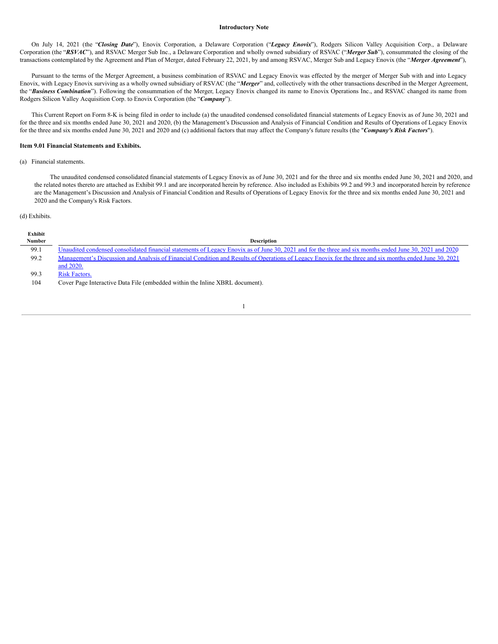#### **Introductory Note**

On July 14, 2021 (the "*Closing Date*"), Enovix Corporation, a Delaware Corporation ("*Legacy Enovix*"), Rodgers Silicon Valley Acquisition Corp., a Delaware Corporation (the "*RSVAC*"), and RSVAC Merger Sub Inc., a Delaware Corporation and wholly owned subsidiary of RSVAC ("*Merger Sub*"), consummated the closing of the transactions contemplated by the Agreement and Plan of Merger, dated February 22, 2021, by and among RSVAC, Merger Sub and Legacy Enovix (the "*Merger Agreement*"),

Pursuant to the terms of the Merger Agreement, a business combination of RSVAC and Legacy Enovix was effected by the merger of Merger Sub with and into Legacy Enovix, with Legacy Enovix surviving as a wholly owned subsidiary of RSVAC (the "*Merger*" and, collectively with the other transactions described in the Merger Agreement, the "Business Combination"). Following the consummation of the Merger, Legacy Enovix changed its name to Enovix Operations Inc., and RSVAC changed its name from Rodgers Silicon Valley Acquisition Corp. to Enovix Corporation (the "*Company*").

This Current Report on Form 8-K is being filed in order to include (a) the unaudited condensed consolidated financial statements of Legacy Enovix as of June 30, 2021 and for the three and six months ended June 30, 2021 and 2020, (b) the Management's Discussion and Analysis of Financial Condition and Results of Operations of Legacy Enovix for the three and six months ended June 30, 2021 and 2020 and (c) additional factors that may affect the Company's future results (the "*Company's Risk Factors*").

## **Item 9.01 Financial Statements and Exhibits.**

## (a) Financial statements.

The unaudited condensed consolidated financial statements of Legacy Enovix as of June 30, 2021 and for the three and six months ended June 30, 2021 and 2020, and the related notes thereto are attached as Exhibit 99.1 and are incorporated herein by reference. Also included as Exhibits 99.2 and 99.3 and incorporated herein by reference are the Management's Discussion and Analysis of Financial Condition and Results of Operations of Legacy Enovix for the three and six months ended June 30, 2021 and 2020 and the Company's Risk Factors.

#### (d) Exhibits.

| Exhibit |                                                                                                                                                          |
|---------|----------------------------------------------------------------------------------------------------------------------------------------------------------|
| Number  | <b>Description</b>                                                                                                                                       |
| 99.1    | Unaudited condensed consolidated financial statements of Legacy Enovix as of June 30, 2021 and for the three and six months ended June 30, 2021 and 2020 |
| 99.2    | Management's Discussion and Analysis of Financial Condition and Results of Operations of Legacy Enovix for the three and six months ended June 30, 2021  |
|         | and 2020.                                                                                                                                                |
| 99.3    | <b>Risk Factors.</b>                                                                                                                                     |
| 104     | Cover Page Interactive Data File (embedded within the Inline XBRL document).                                                                             |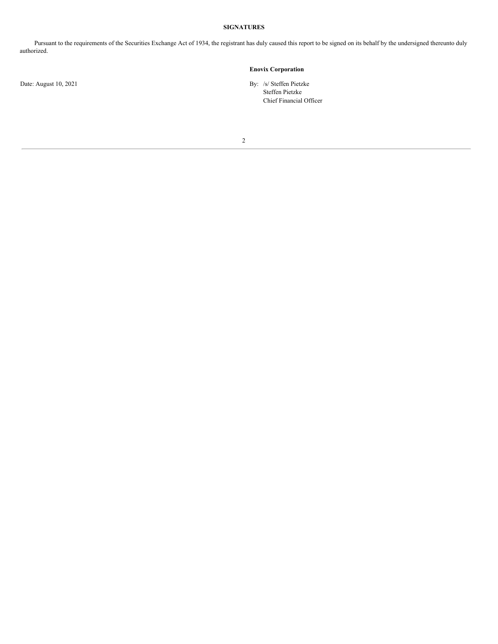## **SIGNATURES**

Pursuant to the requirements of the Securities Exchange Act of 1934, the registrant has duly caused this report to be signed on its behalf by the undersigned thereunto duly authorized.

2

## **Enovix Corporation**

Date: August 10, 2021 By: /s/ Steffen Pietzke Steffen Pietzke Chief Financial Officer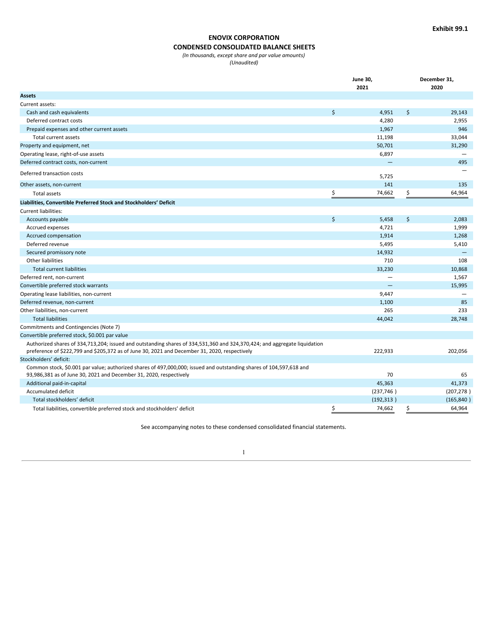## **ENOVIX CORPORATION**

## **CONDENSED CONSOLIDATED BALANCE SHEETS**

*(In thousands, except share and par value amounts)*

*(Unaudited)*

|                                                                                                                                                                                                                            | <b>June 30,</b> |            |    | December 31, |
|----------------------------------------------------------------------------------------------------------------------------------------------------------------------------------------------------------------------------|-----------------|------------|----|--------------|
|                                                                                                                                                                                                                            |                 | 2021       |    | 2020         |
| <b>Assets</b>                                                                                                                                                                                                              |                 |            |    |              |
| Current assets:                                                                                                                                                                                                            |                 |            |    |              |
| Cash and cash equivalents                                                                                                                                                                                                  | \$              | 4,951      | \$ | 29,143       |
| Deferred contract costs                                                                                                                                                                                                    |                 | 4,280      |    | 2,955        |
| Prepaid expenses and other current assets                                                                                                                                                                                  |                 | 1,967      |    | 946          |
| Total current assets                                                                                                                                                                                                       |                 | 11,198     |    | 33,044       |
| Property and equipment, net                                                                                                                                                                                                |                 | 50,701     |    | 31,290       |
| Operating lease, right-of-use assets                                                                                                                                                                                       |                 | 6,897      |    |              |
| Deferred contract costs, non-current                                                                                                                                                                                       |                 |            |    | 495          |
| Deferred transaction costs                                                                                                                                                                                                 |                 | 5,725      |    |              |
| Other assets, non-current                                                                                                                                                                                                  |                 | 141        |    | 135          |
| Total assets                                                                                                                                                                                                               | \$              | 74,662     | \$ | 64,964       |
| Liabilities, Convertible Preferred Stock and Stockholders' Deficit                                                                                                                                                         |                 |            |    |              |
| Current liabilities:                                                                                                                                                                                                       |                 |            |    |              |
| Accounts payable                                                                                                                                                                                                           | \$              | 5,458      | \$ | 2,083        |
| Accrued expenses                                                                                                                                                                                                           |                 | 4,721      |    | 1,999        |
| Accrued compensation                                                                                                                                                                                                       |                 | 1,914      |    | 1,268        |
| Deferred revenue                                                                                                                                                                                                           |                 | 5,495      |    | 5,410        |
| Secured promissory note                                                                                                                                                                                                    |                 | 14,932     |    |              |
| Other liabilities                                                                                                                                                                                                          |                 | 710        |    | 108          |
| <b>Total current liabilities</b>                                                                                                                                                                                           |                 | 33,230     |    | 10,868       |
| Deferred rent, non-current                                                                                                                                                                                                 |                 |            |    | 1,567        |
| Convertible preferred stock warrants                                                                                                                                                                                       |                 |            |    | 15,995       |
| Operating lease liabilities, non-current                                                                                                                                                                                   |                 | 9,447      |    |              |
| Deferred revenue, non-current                                                                                                                                                                                              |                 | 1,100      |    | 85           |
| Other liabilities, non-current                                                                                                                                                                                             |                 | 265        |    | 233          |
| <b>Total liabilities</b>                                                                                                                                                                                                   |                 | 44,042     |    | 28,748       |
| Commitments and Contingencies (Note 7)                                                                                                                                                                                     |                 |            |    |              |
| Convertible preferred stock, \$0.001 par value                                                                                                                                                                             |                 |            |    |              |
| Authorized shares of 334,713,204; issued and outstanding shares of 334,531,360 and 324,370,424; and aggregate liquidation<br>preference of \$222,799 and \$205,372 as of June 30, 2021 and December 31, 2020, respectively |                 | 222,933    |    | 202,056      |
| Stockholders' deficit:                                                                                                                                                                                                     |                 |            |    |              |
| Common stock, \$0.001 par value; authorized shares of 497,000,000; issued and outstanding shares of 104,597,618 and                                                                                                        |                 |            |    |              |
| 93,986,381 as of June 30, 2021 and December 31, 2020, respectively                                                                                                                                                         |                 | 70         |    | 65           |
| Additional paid-in-capital                                                                                                                                                                                                 |                 | 45,363     |    | 41,373       |
| <b>Accumulated deficit</b>                                                                                                                                                                                                 |                 | (237, 746) |    | (207, 278)   |
| Total stockholders' deficit                                                                                                                                                                                                |                 | (192, 313) |    | (165, 840)   |
| Total liabilities, convertible preferred stock and stockholders' deficit                                                                                                                                                   | \$              | 74,662     | \$ | 64,964       |

See accompanying notes to these condensed consolidated financial statements.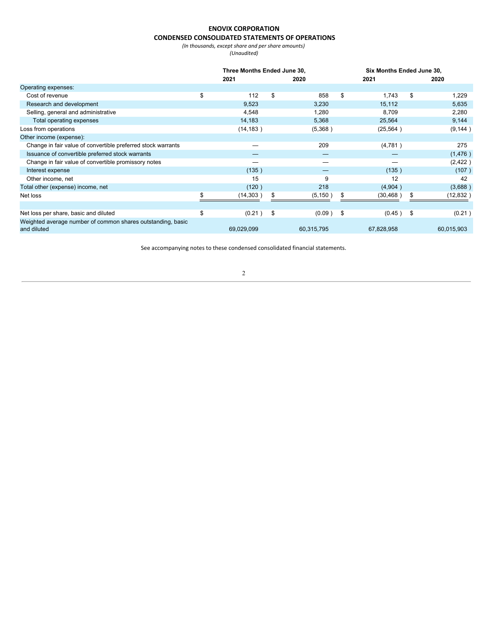## **ENOVIX CORPORATION CONDENSED CONSOLIDATED STATEMENTS OF OPERATIONS**

*(In thousands, except share and per share amounts)*

*(Unaudited)*

|                                                                            |    | Three Months Ended June 30, |      |            |     | Six Months Ended June 30, |    |            |  |
|----------------------------------------------------------------------------|----|-----------------------------|------|------------|-----|---------------------------|----|------------|--|
|                                                                            |    | 2021                        |      | 2020       |     | 2021                      |    | 2020       |  |
| Operating expenses:                                                        |    |                             |      |            |     |                           |    |            |  |
| Cost of revenue                                                            | \$ | 112                         | \$   | 858        | \$  | 1.743                     | \$ | 1,229      |  |
| Research and development                                                   |    | 9,523                       |      | 3,230      |     | 15,112                    |    | 5,635      |  |
| Selling, general and administrative                                        |    | 4,548                       |      | 1,280      |     | 8,709                     |    | 2,280      |  |
| Total operating expenses                                                   |    | 14,183                      |      | 5,368      |     | 25,564                    |    | 9,144      |  |
| Loss from operations                                                       |    | (14, 183)                   |      | (5,368)    |     | (25, 564)                 |    | (9, 144)   |  |
| Other income (expense):                                                    |    |                             |      |            |     |                           |    |            |  |
| Change in fair value of convertible preferred stock warrants               |    |                             |      | 209        |     | (4,781)                   |    | 275        |  |
| Issuance of convertible preferred stock warrants                           |    |                             |      |            |     |                           |    | (1, 476)   |  |
| Change in fair value of convertible promissory notes                       |    |                             |      |            |     |                           |    | (2, 422)   |  |
| Interest expense                                                           |    | (135)                       |      | –          |     | (135)                     |    | (107)      |  |
| Other income, net                                                          |    | 15                          |      | 9          |     | 12                        |    | 42         |  |
| Total other (expense) income, net                                          |    | (120)                       |      | 218        |     | (4,904)                   |    | (3,688)    |  |
| Net loss                                                                   | æ. | (14, 303)                   | \$   | (5, 150)   | \$  | (30, 468)                 | \$ | (12, 832)  |  |
|                                                                            |    |                             |      |            |     |                           |    |            |  |
| Net loss per share, basic and diluted                                      | \$ | (0.21)                      | - \$ | (0.09)     | -\$ | $(0.45)$ \$               |    | (0.21)     |  |
| Weighted average number of common shares outstanding, basic<br>and diluted |    | 69,029,099                  |      | 60,315,795 |     | 67,828,958                |    | 60,015,903 |  |

See accompanying notes to these condensed consolidated financial statements.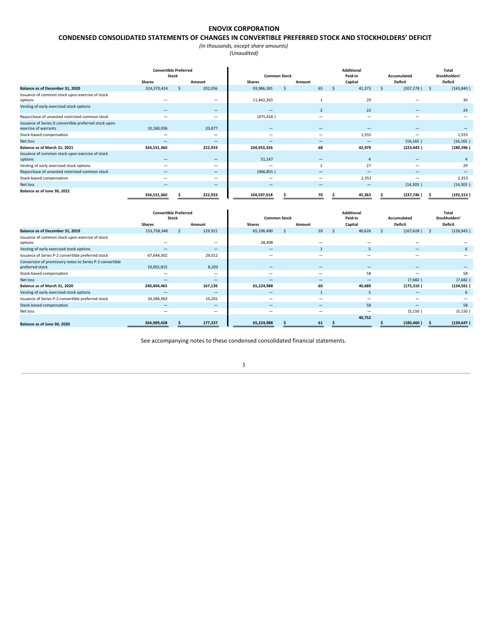## **ENOVIX CORPORATION**

## **CONDENSED CONSOLIDATED STATEMENTS OF CHANGES IN CONVERTIBLE PREFERRED STOCK AND STOCKHOLDERS' DEFICIT**

*(In thousands, except share amounts) (Unaudited)*

|                                                                               | <b>Convertible Preferred</b><br><b>Stock</b> |    |                          | <b>Common Stock</b>      |    |                              | <b>Additional</b><br>Paid-in |    | Accumulated                  |     | Total<br>Stockholders' |
|-------------------------------------------------------------------------------|----------------------------------------------|----|--------------------------|--------------------------|----|------------------------------|------------------------------|----|------------------------------|-----|------------------------|
|                                                                               | <b>Shares</b>                                |    | Amount                   | <b>Shares</b>            |    | Amount                       | Capital                      |    | <b>Deficit</b>               |     | <b>Deficit</b>         |
| Balance as of December 31, 2020                                               | 324,370,424                                  | S. | 202,056                  | 93,986,381               | S. | 65                           | 41,373                       | S. | (207, 278)                   | - S | (165, 840)             |
| Issuance of common stock upon exercise of stock                               |                                              |    |                          |                          |    |                              |                              |    |                              |     |                        |
| options                                                                       |                                              |    | -                        | 11,442,363               |    |                              | 29                           |    |                              |     | 30                     |
| Vesting of early exercised stock options                                      |                                              |    | $\overline{\phantom{0}}$ | $\overline{\phantom{a}}$ |    | $\overline{2}$               | 22                           |    | $\overline{\phantom{a}}$     |     | 24                     |
| Repurchase of unvested restricted common stock                                |                                              |    | $\overline{\phantom{a}}$ | (475, 418)               |    |                              | $\overline{\phantom{a}}$     |    |                              |     |                        |
| Issuance of Series D convertible preferred stock upon<br>exercise of warrants | 10,160,936                                   |    | 20,877                   | $\qquad \qquad -$        |    |                              |                              |    |                              |     |                        |
| Stock-based compensation                                                      | -                                            |    | $\overline{\phantom{0}}$ | $\overline{\phantom{a}}$ |    | $\overline{\phantom{a}}$     | 1,555                        |    | $\overline{\phantom{a}}$     |     | 1,555                  |
| Net loss                                                                      |                                              |    | -                        | $\overline{\phantom{a}}$ |    | $\overline{\phantom{a}}$     | $\overline{\phantom{0}}$     |    | (16, 165)                    |     | (16, 165)              |
| Balance as of March 31, 2021                                                  | 334,531,360                                  |    | 222,933                  | 104,953,326              |    | 68                           | 42,979                       |    | (223, 443)                   |     | (180, 396)             |
| Issuance of common stock upon exercise of stock<br>options                    |                                              |    | $\overline{\phantom{0}}$ | 51,147                   |    | $\qquad \qquad -$            | Δ                            |    |                              |     |                        |
| Vesting of early exercised stock options                                      |                                              |    | $\overline{\phantom{0}}$ | -                        |    | $\overline{\phantom{a}}$     | 27                           |    | $\overline{\phantom{a}}$     |     | 29                     |
| Repurchase of unvested restricted common stock                                | —                                            |    | $\overline{\phantom{0}}$ | (406, 855)               |    | $\overline{\phantom{a}}$     | $\overline{\phantom{a}}$     |    | $\qquad \qquad \blacksquare$ |     |                        |
| Stock-based compensation                                                      | -                                            |    | $\overline{\phantom{a}}$ | -                        |    | $\sim$                       | 2,353                        |    |                              |     | 2,353                  |
| Net loss                                                                      | -                                            |    | $\overline{\phantom{0}}$ | $\qquad \qquad -$        |    | $\qquad \qquad \blacksquare$ | $\overline{\phantom{0}}$     |    | (14,303)                     |     | (14, 303)              |
| Balance as of June 30, 2021                                                   | 334,531,360                                  |    | 222,933                  | 104,597,618              |    | 70                           | 45,363                       |    | (237,746)                    | s   | (192, 313)             |

|                                                                             | <b>Convertible Preferred</b> | <b>Stock</b> |                          | <b>Common Stock</b>      |   |                          | <b>Additional</b><br>Paid-in | Accumulated |    | <b>Total</b><br>Stockholders' |
|-----------------------------------------------------------------------------|------------------------------|--------------|--------------------------|--------------------------|---|--------------------------|------------------------------|-------------|----|-------------------------------|
|                                                                             | <b>Shares</b>                |              | Amount                   | Shares                   |   | Amount                   | Capital                      | Deficit     |    | <b>Deficit</b>                |
| Balance as of December 31, 2019                                             | 153,758,348                  | S.           | 129,921                  | 65,196,490               | S | 59                       | 40,626                       | (167, 628)  | -S | (126, 943)                    |
| Issuance of common stock upon exercise of stock<br>options                  |                              |              | $\overline{\phantom{0}}$ | 28,498                   |   |                          |                              |             |    |                               |
| Vesting of early exercised stock options                                    |                              |              | $\overline{\phantom{0}}$ | $\overline{\phantom{a}}$ |   |                          |                              |             |    |                               |
| Issuance of Series P-2 convertible preferred stock                          | 67,644,302                   |              | 29,012                   | -                        |   |                          |                              |             |    |                               |
| Conversion of promissory notes to Series P-2 convertible<br>preferred stock | 19,001,815                   |              | 8,203                    | -                        |   |                          |                              |             |    |                               |
| Stock-based compensation                                                    |                              |              | $\overline{\phantom{a}}$ | -                        |   |                          | 58                           |             |    | 58                            |
| Net loss                                                                    |                              |              | $\overline{\phantom{0}}$ | -                        |   | $\overline{\phantom{a}}$ | -                            | (7,682)     |    | (7,682)                       |
| Balance as of March 31, 2020                                                | 240,404,465                  |              | 167,136                  | 65,224,988               |   | 60                       | 40,689                       | (175, 310)  |    | (134, 561)                    |
| Vesting of early exercised stock options                                    | -                            |              | $\overline{\phantom{0}}$ | $\overline{\phantom{a}}$ |   |                          | 5                            | -           |    |                               |
| Issuance of Series P-2 convertible preferred stock                          | 24,584,963                   |              | 10,201                   | -                        |   |                          |                              |             |    |                               |
| Stock-based compensation                                                    |                              |              | $\overline{\phantom{0}}$ | -                        |   | $\overline{\phantom{a}}$ | 58                           | -           |    | 58                            |
| Net loss                                                                    |                              |              | $\overline{\phantom{0}}$ | $\overline{\phantom{a}}$ |   |                          | -                            | (5, 150)    |    | (5, 150)                      |
| Balance as of June 30, 2020                                                 | 264,989,428                  |              | 177,337                  | 65,224,988               |   | 61                       | 40,752                       | (180, 460)  |    | (139, 647)                    |

See accompanying notes to these condensed consolidated financial statements.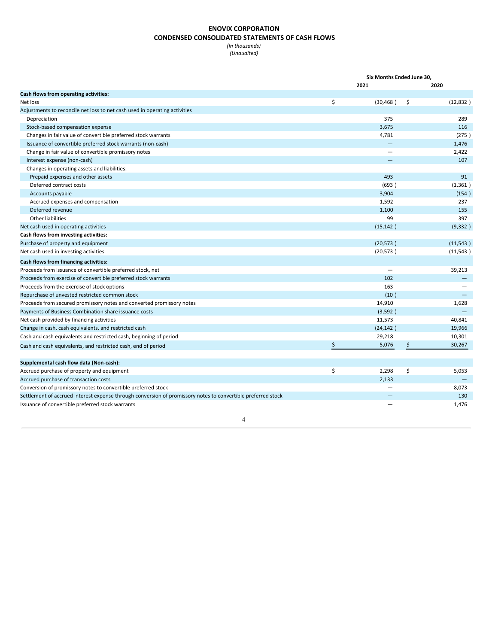## **ENOVIX CORPORATION CONDENSED CONSOLIDATED STATEMENTS OF CASH FLOWS**

*(In thousands) (Unaudited)*

|                                                                                                              | Six Months Ended June 30, |           |    |           |  |  |
|--------------------------------------------------------------------------------------------------------------|---------------------------|-----------|----|-----------|--|--|
|                                                                                                              |                           | 2021      |    | 2020      |  |  |
| Cash flows from operating activities:                                                                        |                           |           |    |           |  |  |
| Net loss                                                                                                     | \$                        | (30, 468) | \$ | (12,832)  |  |  |
| Adjustments to reconcile net loss to net cash used in operating activities                                   |                           |           |    |           |  |  |
| Depreciation                                                                                                 |                           | 375       |    | 289       |  |  |
| Stock-based compensation expense                                                                             |                           | 3,675     |    | 116       |  |  |
| Changes in fair value of convertible preferred stock warrants                                                |                           | 4,781     |    | (275)     |  |  |
| Issuance of convertible preferred stock warrants (non-cash)                                                  |                           |           |    | 1,476     |  |  |
| Change in fair value of convertible promissory notes                                                         |                           |           |    | 2,422     |  |  |
| Interest expense (non-cash)                                                                                  |                           |           |    | 107       |  |  |
| Changes in operating assets and liabilities:                                                                 |                           |           |    |           |  |  |
| Prepaid expenses and other assets                                                                            |                           | 493       |    | 91        |  |  |
| Deferred contract costs                                                                                      |                           | (693)     |    | (1, 361)  |  |  |
| Accounts payable                                                                                             |                           | 3,904     |    | (154)     |  |  |
| Accrued expenses and compensation                                                                            |                           | 1,592     |    | 237       |  |  |
| Deferred revenue                                                                                             |                           | 1,100     |    | 155       |  |  |
| Other liabilities                                                                                            |                           | 99        |    | 397       |  |  |
| Net cash used in operating activities                                                                        |                           | (15, 142) |    | (9, 332)  |  |  |
| Cash flows from investing activities:                                                                        |                           |           |    |           |  |  |
| Purchase of property and equipment                                                                           |                           | (20, 573) |    | (11,543)  |  |  |
| Net cash used in investing activities                                                                        |                           | (20, 573) |    | (11, 543) |  |  |
| Cash flows from financing activities:                                                                        |                           |           |    |           |  |  |
| Proceeds from issuance of convertible preferred stock, net                                                   |                           |           |    | 39,213    |  |  |
| Proceeds from exercise of convertible preferred stock warrants                                               |                           | 102       |    |           |  |  |
| Proceeds from the exercise of stock options                                                                  |                           | 163       |    |           |  |  |
| Repurchase of unvested restricted common stock                                                               |                           | (10)      |    |           |  |  |
| Proceeds from secured promissory notes and converted promissory notes                                        |                           | 14,910    |    | 1,628     |  |  |
| Payments of Business Combination share issuance costs                                                        |                           | (3,592)   |    | $\equiv$  |  |  |
| Net cash provided by financing activities                                                                    |                           | 11,573    |    | 40,841    |  |  |
| Change in cash, cash equivalents, and restricted cash                                                        |                           | (24, 142) |    | 19,966    |  |  |
| Cash and cash equivalents and restricted cash, beginning of period                                           |                           | 29,218    |    | 10,301    |  |  |
| Cash and cash equivalents, and restricted cash, end of period                                                | \$                        | 5,076     | \$ | 30,267    |  |  |
|                                                                                                              |                           |           |    |           |  |  |
| Supplemental cash flow data (Non-cash):                                                                      |                           |           |    |           |  |  |
| Accrued purchase of property and equipment                                                                   | \$                        | 2,298     | \$ | 5,053     |  |  |
| Accrued purchase of transaction costs                                                                        |                           | 2,133     |    |           |  |  |
| Conversion of promissory notes to convertible preferred stock                                                |                           |           |    | 8,073     |  |  |
| Settlement of accrued interest expense through conversion of promissory notes to convertible preferred stock |                           |           |    | 130       |  |  |
| Issuance of convertible preferred stock warrants                                                             |                           |           |    | 1,476     |  |  |
|                                                                                                              |                           |           |    |           |  |  |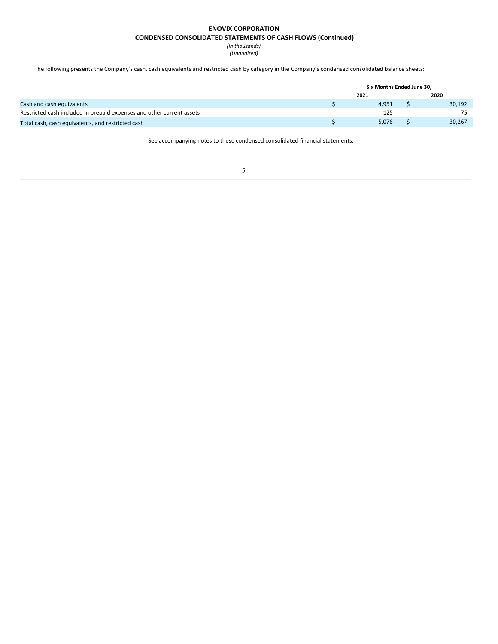## **ENOVIX CORPORATION**

## **CONDENSED CONSOLIDATED STATEMENTS OF CASH FLOWS (Continued)**

*(In thousands) (Unaudited)*

The following presents the Company's cash, cash equivalents and restricted cash by category in the Company's condensed consolidated balance sheets:

|                                                                       | Six Months Ended June 30, |        |
|-----------------------------------------------------------------------|---------------------------|--------|
|                                                                       | 2021                      | 2020   |
| Cash and cash equivalents                                             | 4.951                     | 30,192 |
| Restricted cash included in prepaid expenses and other current assets | 125                       | 75     |
| Total cash, cash equivalents, and restricted cash                     | 5.076                     | 30.267 |

See accompanying notes to these condensed consolidated financial statements.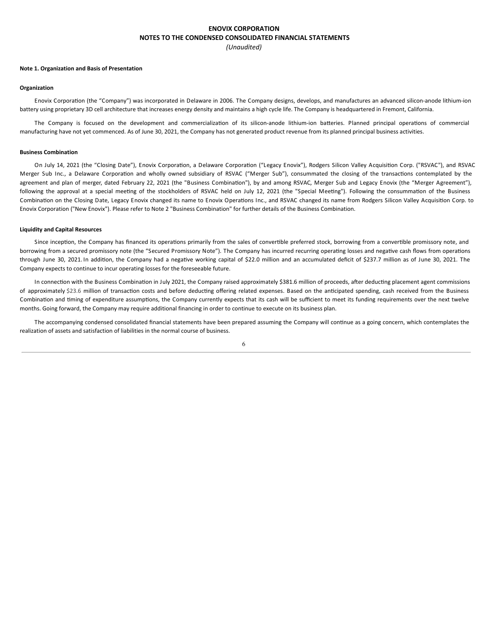## **ENOVIX CORPORATION NOTES TO THE CONDENSED CONSOLIDATED FINANCIAL STATEMENTS** *(Unaudited)*

#### **Note 1. Organization and Basis of Presentation**

#### **Organization**

Enovix Corporation (the "Company") was incorporated in Delaware in 2006. The Company designs, develops, and manufactures an advanced silicon-anode lithium-ion battery using proprietary 3D cell architecture that increases energy density and maintains a high cycle life. The Company is headquartered in Fremont, California.

The Company is focused on the development and commercialization of its silicon-anode lithium-ion batteries. Planned principal operations of commercial manufacturing have not yet commenced. As of June 30, 2021, the Company has not generated product revenue from its planned principal business activities.

#### **Business Combination**

On July 14, 2021 (the "Closing Date"), Enovix Corporation, a Delaware Corporation ("Legacy Enovix"), Rodgers Silicon Valley Acquisition Corp. ("RSVAC"), and RSVAC Merger Sub Inc., a Delaware Corporation and wholly owned subsidiary of RSVAC ("Merger Sub"), consummated the closing of the transactions contemplated by the agreement and plan of merger, dated February 22, 2021 (the "Business Combination"), by and among RSVAC, Merger Sub and Legacy Enovix (the "Merger Agreement"), following the approval at a special meeting of the stockholders of RSVAC held on July 12, 2021 (the "Special Meeting"). Following the consummation of the Business Combination on the Closing Date, Legacy Enovix changed its name to Enovix Operations Inc., and RSVAC changed its name from Rodgers Silicon Valley Acquisition Corp. to Enovix Corporation ("New Enovix"). Please refer to Note 2 "Business Combination" for further details of the Business Combination.

#### **Liquidity and Capital Resources**

Since inception, the Company has financed its operations primarily from the sales of convertible preferred stock, borrowing from a convertible promissory note, and borrowing from a secured promissory note (the "Secured Promissory Note"). The Company has incurred recurring operating losses and negative cash flows from operations through June 30, 2021. In addition, the Company had a negative working capital of \$22.0 million and an accumulated deficit of \$237.7 million as of June 30, 2021. The Company expects to continue to incur operating losses for the foreseeable future.

In connection with the Business Combination in July 2021, the Company raised approximately \$381.6 million of proceeds, after deducting placement agent commissions of approximately \$23.6 million of transaction costs and before deducting offering related expenses. Based on the anticipated spending, cash received from the Business Combination and timing of expenditure assumptions, the Company currently expects that its cash will be sufficient to meet its funding requirements over the next twelve months. Going forward, the Company may require additional financing in order to continue to execute on its business plan.

The accompanying condensed consolidated financial statements have been prepared assuming the Company will continue as a going concern, which contemplates the realization of assets and satisfaction of liabilities in the normal course of business.

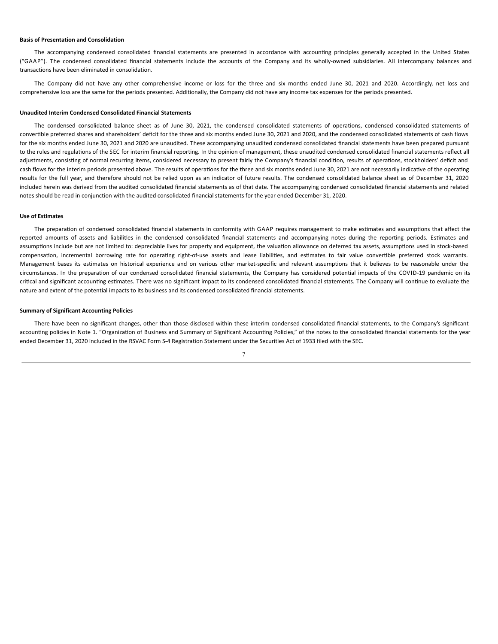## **Basis of Presentation and Consolidation**

The accompanying condensed consolidated financial statements are presented in accordance with accounting principles generally accepted in the United States ("GAAP"). The condensed consolidated financial statements include the accounts of the Company and its wholly-owned subsidiaries. All intercompany balances and transactions have been eliminated in consolidation.

The Company did not have any other comprehensive income or loss for the three and six months ended June 30, 2021 and 2020. Accordingly, net loss and comprehensive loss are the same for the periods presented. Additionally, the Company did not have any income tax expenses for the periods presented.

## **Unaudited Interim Condensed Consolidated Financial Statements**

The condensed consolidated balance sheet as of June 30, 2021, the condensed consolidated statements of operations, condensed consolidated statements of convertible preferred shares and shareholders' deficit for the three and six months ended June 30, 2021 and 2020, and the condensed consolidated statements of cash flows for the six months ended June 30, 2021 and 2020 are unaudited. These accompanying unaudited condensed consolidated financial statements have been prepared pursuant to the rules and regulations of the SEC for interim financial reporting. In the opinion of management, these unaudited condensed consolidated financial statements reflect all adjustments, consisting of normal recurring items, considered necessary to present fairly the Company's financial condition, results of operations, stockholders' deficit and cash flows for the interim periods presented above. The results of operations for the three and six months ended June 30, 2021 are not necessarily indicative of the operating results for the full year, and therefore should not be relied upon as an indicator of future results. The condensed consolidated balance sheet as of December 31, 2020 included herein was derived from the audited consolidated financial statements as of that date. The accompanying condensed consolidated financial statements and related notes should be read in conjunction with the audited consolidated financial statements for the year ended December 31, 2020.

#### **Use of Estimates**

The preparation of condensed consolidated financial statements in conformity with GAAP requires management to make estimates and assumptions that affect the reported amounts of assets and liabilities in the condensed consolidated financial statements and accompanying notes during the reporting periods. Estimates and assumptions include but are not limited to: depreciable lives for property and equipment, the valuation allowance on deferred tax assets, assumptions used in stock-based compensation, incremental borrowing rate for operating right-of-use assets and lease liabilities, and estimates to fair value convertible preferred stock warrants. Management bases its estimates on historical experience and on various other market-specific and relevant assumptions that it believes to be reasonable under the circumstances. In the preparation of our condensed consolidated financial statements, the Company has considered potential impacts of the COVID-19 pandemic on its critical and significant accounting estimates. There was no significant impact to its condensed consolidated financial statements. The Company will continue to evaluate the nature and extent of the potential impacts to its business and its condensed consolidated financial statements.

#### **Summary of Significant Accounting Policies**

There have been no significant changes, other than those disclosed within these interim condensed consolidated financial statements, to the Company's significant accounting policies in Note 1. "Organization of Business and Summary of Significant Accounting Policies," of the notes to the consolidated financial statements for the year ended December 31, 2020 included in the RSVAC Form S-4 Registration Statement under the Securities Act of 1933 filed with the SEC.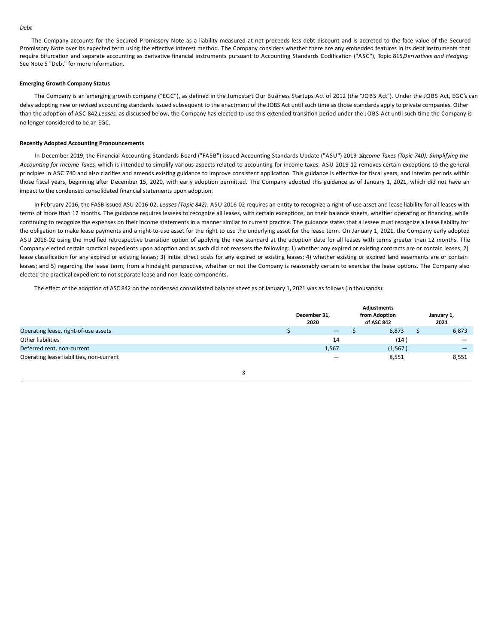#### *Debt*

The Company accounts for the Secured Promissory Note as a liability measured at net proceeds less debt discount and is accreted to the face value of the Secured Promissory Note over its expected term using the effective interest method. The Company considers whether there are any embedded features in its debt instruments that require bifurcation and separate accounting as derivative financial instruments pursuant to Accounting Standards Codification ("ASC"), Topic 815*Derivatives and Hedging*. See Note 5 "Debt" for more information.

#### **Emerging Growth Company Status**

The Company is an emerging growth company ("EGC"), as defined in the Jumpstart Our Business Startups Act of 2012 (the "JOBS Act"). Under the JOBS Act, EGC's can delay adopting new or revised accounting standards issued subsequent to the enactment of the JOBS Act until such time as those standards apply to private companies. Other than the adoption of ASC 842, Leases, as discussed below, the Company has elected to use this extended transition period under the JOBS Act until such time the Company is no longer considered to be an EGC.

#### **Recently Adopted Accounting Pronouncements**

In December 2019, the Financial Accounting Standards Board ("FASB") issued Accounting Standards Update ("ASU") 2019-1*Dacome Taxes (Topic 740): Simplifying the* Accounting for Income Taxes, which is intended to simplify various aspects related to accounting for income taxes. ASU 2019-12 removes certain exceptions to the general principles in ASC 740 and also clarifies and amends existing guidance to improve consistent application. This guidance is effective for fiscal years, and interim periods within those fiscal years, beginning after December 15, 2020, with early adoption permitted. The Company adopted this guidance as of January 1, 2021, which did not have an impact to the condensed consolidated financial statements upon adoption.

In February 2016, the FASB issued ASU 2016-02, Leases (Topic 842). ASU 2016-02 requires an entity to recognize a right-of-use asset and lease liability for all leases with terms of more than 12 months. The guidance requires lessees to recognize all leases, with certain exceptions, on their balance sheets, whether operating or financing, while continuing to recognize the expenses on their income statements in a manner similar to current practice. The guidance states that a lessee must recognize a lease liability for the obligation to make lease payments and a right-to-use asset for the right to use the underlying asset for the lease term. On January 1, 2021, the Company early adopted ASU 2016-02 using the modified retrospective transition option of applying the new standard at the adoption date for all leases with terms greater than 12 months. The Company elected certain practical expedients upon adoption and as such did not reassess the following: 1) whether any expired or existing contracts are or contain leases; 2) lease classification for any expired or existing leases; 3) initial direct costs for any expired or existing leases; 4) whether existing or expired land easements are or contain leases; and 5) regarding the lease term, from a hindsight perspective, whether or not the Company is reasonably certain to exercise the lease options. The Company also elected the practical expedient to not separate lease and non-lease components.

The effect of the adoption of ASC 842 on the condensed consolidated balance sheet as of January 1, 2021 was as follows (in thousands):

|                                          | December 31,<br>2020 | Adjustments<br>from Adoption<br>of ASC 842 | January 1,<br>2021 |
|------------------------------------------|----------------------|--------------------------------------------|--------------------|
| Operating lease, right-of-use assets     | $\qquad \qquad -$    | 6,873                                      | 6,873              |
| Other liabilities                        | 14                   | (14                                        |                    |
| Deferred rent, non-current               | 1,567                | (1, 567)                                   |                    |
| Operating lease liabilities, non-current | -                    | 8,551                                      | 8,551              |
|                                          |                      |                                            |                    |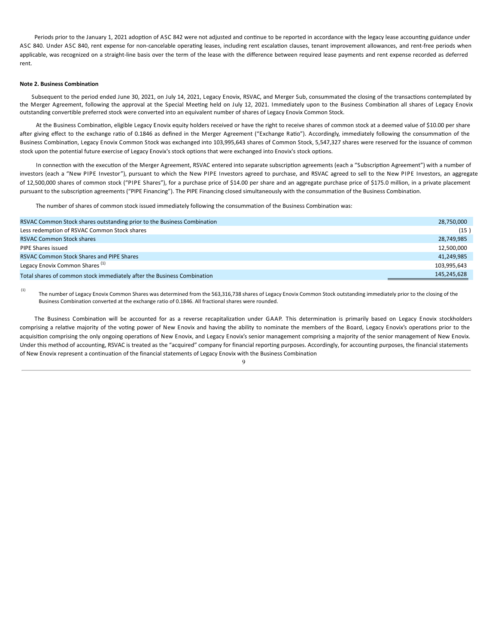<span id="page-12-0"></span>Periods prior to the January 1, 2021 adoption of ASC 842 were not adjusted and continue to be reported in accordance with the legacy lease accounting guidance under ASC 840. Under ASC 840, rent expense for non-cancelable operating leases, including rent escalation clauses, tenant improvement allowances, and rent-free periods when applicable, was recognized on a straight-line basis over the term of the lease with the difference between required lease payments and rent expense recorded as deferred rent.

## **Note 2. Business Combination**

Subsequent to the period ended June 30, 2021, on July 14, 2021, Legacy Enovix, RSVAC, and Merger Sub, consummated the closing of the transactions contemplated by the Merger Agreement, following the approval at the Special Meeting held on July 12, 2021. Immediately upon to the Business Combination all shares of Legacy Enovix outstanding convertible preferred stock were converted into an equivalent number of shares of Legacy Enovix Common Stock.

At the Business Combination, eligible Legacy Enovix equity holders received or have the right to receive shares of common stock at a deemed value of \$10.00 per share after giving effect to the exchange ratio of 0.1846 as defined in the Merger Agreement ("Exchange Ratio"). Accordingly, immediately following the consummation of the Business Combination, Legacy Enovix Common Stock was exchanged into 103,995,643 shares of Common Stock, 5,547,327 shares were reserved for the issuance of common stock upon the potential future exercise of Legacy Enovix's stock options that were exchanged into Enovix's stock options.

In connection with the execution of the Merger Agreement, RSVAC entered into separate subscription agreements (each a "Subscription Agreement") with a number of investors (each a "New PIPE Investor"), pursuant to which the New PIPE Investors agreed to purchase, and RSVAC agreed to sell to the New PIPE Investors, an aggregate of 12,500,000 shares of common stock ("PIPE Shares"), for a purchase price of \$14.00 per share and an aggregate purchase price of \$175.0 million, in a private placement pursuant to the subscription agreements ("PIPE Financing"). The PIPE Financing closed simultaneously with the consummation of the Business Combination.

The number of shares of common stock issued immediately following the consummation of the Business Combination was:

| RSVAC Common Stock shares outstanding prior to the Business Combination | 28,750,000  |
|-------------------------------------------------------------------------|-------------|
| Less redemption of RSVAC Common Stock shares                            | (15 )       |
| <b>RSVAC Common Stock shares</b>                                        | 28,749,985  |
| PIPE Shares issued                                                      | 12,500,000  |
| <b>RSVAC Common Stock Shares and PIPE Shares</b>                        | 41,249,985  |
| Legacy Enovix Common Shares <sup>(1)</sup>                              | 103.995.643 |
| Total shares of common stock immediately after the Business Combination | 145,245,628 |

The number of Legacy Enovix Common Shares was determined from the 563,316,738 shares of Legacy Enovix Common Stock outstanding immediately prior to the closing of the Business Combination converted at the exchange ratio of 0.1846. All fractional shares were rounded. (1)

The Business Combination will be accounted for as a reverse recapitalization under GAAP. This determination is primarily based on Legacy Enovix stockholders comprising a relative majority of the voting power of New Enovix and having the ability to nominate the members of the Board, Legacy Enovix's operations prior to the acquisition comprising the only ongoing operations of New Enovix, and Legacy Enovix's senior management comprising a majority of the senior management of New Enovix. Under this method of accounting, RSVAC is treated as the "acquired" company for financial reporting purposes. Accordingly, for accounting purposes, the financial statements of New Enovix represent a continuation of the financial statements of Legacy Enovix with the Business Combination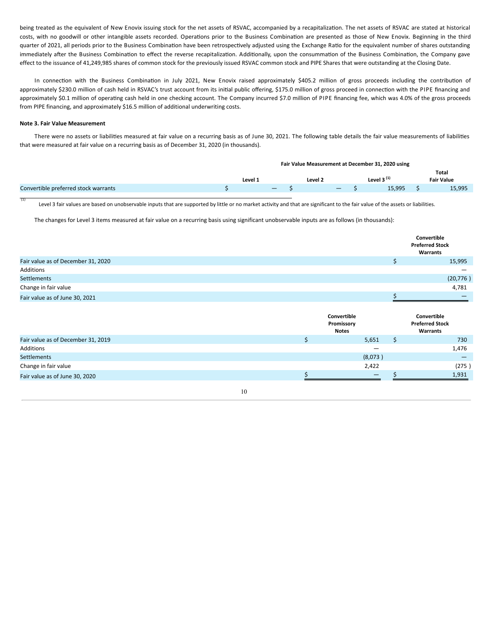being treated as the equivalent of New Enovix issuing stock for the net assets of RSVAC, accompanied by a recapitalization. The net assets of RSVAC are stated at historical costs, with no goodwill or other intangible assets recorded. Operations prior to the Business Combination are presented as those of New Enovix. Beginning in the third quarter of 2021, all periods prior to the Business Combination have been retrospectively adjusted using the Exchange Ratio for the equivalent number of shares outstanding immediately after the Business Combination to effect the reverse recapitalization. Additionally, upon the consummation of the Business Combination, the Company gave effect to the issuance of 41,249,985 shares of common stock for the previously issued RSVAC common stock and PIPE Shares that were outstanding at the Closing Date.

In connection with the Business Combination in July 2021, New Enovix raised approximately \$405.2 million of gross proceeds including the contribution of approximately \$230.0 million of cash held in RSVAC's trust account from its initial public offering, \$175.0 million of gross proceed in connection with the PIPE financing and approximately \$0.1 million of operating cash held in one checking account. The Company incurred \$7.0 million of PIPE financing fee, which was 4.0% of the gross proceeds from PIPE financing, and approximately \$16.5 million of additional underwriting costs.

## **Note 3. Fair Value Measurement**

(1)

There were no assets or liabilities measured at fair value on a recurring basis as of June 30, 2021. The following table details the fair value measurements of liabilities that were measured at fair value on a recurring basis as of December 31, 2020 (in thousands).

|                                      | Fair Value Measurement at December 31, 2020 using |         |        |  |         |                   |  |                 |  |                            |
|--------------------------------------|---------------------------------------------------|---------|--------|--|---------|-------------------|--|-----------------|--|----------------------------|
|                                      |                                                   | Level 1 |        |  | Level 2 |                   |  | Level $3^{(1)}$ |  | Total<br><b>Fair Value</b> |
| Convertible preferred stock warrants |                                                   |         | $\sim$ |  |         | $\sim$ 100 $\sim$ |  | 15.995          |  | 15,995                     |

Level 3 fair values are based on unobservable inputs that are supported by little or no market activity and that are significant to the fair value of the assets or liabilities.

The changes for Level 3 items measured at fair value on a recurring basis using significant unobservable inputs are as follows (in thousands):

|                                    |         |                                           | Convertible<br><b>Preferred Stock</b><br><b>Warrants</b> |
|------------------------------------|---------|-------------------------------------------|----------------------------------------------------------|
| Fair value as of December 31, 2020 |         | \$                                        | 15,995                                                   |
| Additions                          |         |                                           |                                                          |
| <b>Settlements</b>                 |         |                                           | (20, 776)                                                |
| Change in fair value               |         |                                           | 4,781                                                    |
| Fair value as of June 30, 2021     |         | Ś                                         |                                                          |
|                                    |         | Convertible<br>Promissory<br><b>Notes</b> | Convertible<br><b>Preferred Stock</b><br>Warrants        |
| Fair value as of December 31, 2019 | $\zeta$ | Ś.<br>5,651                               | 730                                                      |
| Additions                          |         |                                           | 1,476                                                    |
| <b>Settlements</b>                 |         | (8,073)                                   | –                                                        |
| Change in fair value               |         | 2,422                                     | (275)                                                    |
| Fair value as of June 30, 2020     | \$      | \$                                        | 1,931                                                    |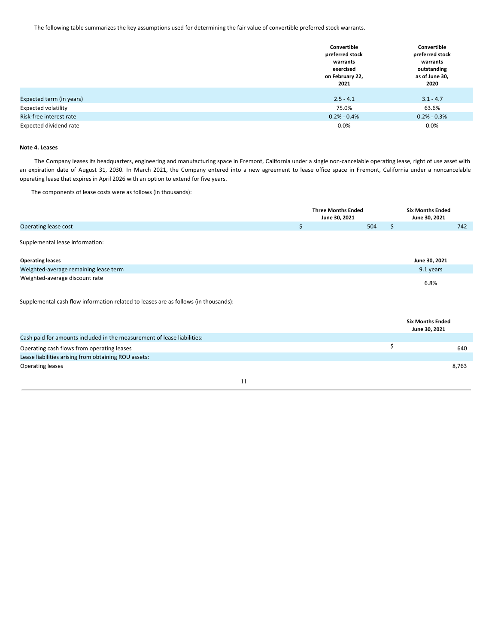The following table summarizes the key assumptions used for determining the fair value of convertible preferred stock warrants.

|                            | Convertible<br>preferred stock<br>warrants | Convertible<br>preferred stock<br>warrants |
|----------------------------|--------------------------------------------|--------------------------------------------|
|                            | exercised<br>on February 22,<br>2021       | outstanding<br>as of June 30,<br>2020      |
| Expected term (in years)   | $2.5 - 4.1$                                | $3.1 - 4.7$                                |
| <b>Expected volatility</b> | 75.0%                                      | 63.6%                                      |
| Risk-free interest rate    | $0.2\% - 0.4\%$                            | $0.2\% - 0.3\%$                            |
| Expected dividend rate     | $0.0\%$                                    | 0.0%                                       |

## **Note 4. Leases**

The Company leases its headquarters, engineering and manufacturing space in Fremont, California under a single non-cancelable operating lease, right of use asset with an expiration date of August 31, 2030. In March 2021, the Company entered into a new agreement to lease office space in Fremont, California under a noncancelable operating lease that expires in April 2026 with an option to extend for five years.

The components of lease costs were as follows (in thousands):

|                                                                                     | <b>Three Months Ended</b><br>June 30, 2021 |     |    | <b>Six Months Ended</b><br>June 30, 2021 |
|-------------------------------------------------------------------------------------|--------------------------------------------|-----|----|------------------------------------------|
| Operating lease cost                                                                | \$                                         | 504 | \$ | 742                                      |
| Supplemental lease information:                                                     |                                            |     |    |                                          |
| <b>Operating leases</b>                                                             |                                            |     |    | June 30, 2021                            |
| Weighted-average remaining lease term                                               |                                            |     |    | 9.1 years                                |
| Weighted-average discount rate                                                      |                                            |     |    | 6.8%                                     |
| Supplemental cash flow information related to leases are as follows (in thousands): |                                            |     |    |                                          |
|                                                                                     |                                            |     |    | <b>Six Months Ended</b><br>June 30, 2021 |
| Cash paid for amounts included in the measurement of lease liabilities:             |                                            |     |    |                                          |
| Operating cash flows from operating leases                                          |                                            |     | \$ | 640                                      |
| Lease liabilities arising from obtaining ROU assets:                                |                                            |     |    |                                          |
| <b>Operating leases</b>                                                             |                                            |     |    | 8,763                                    |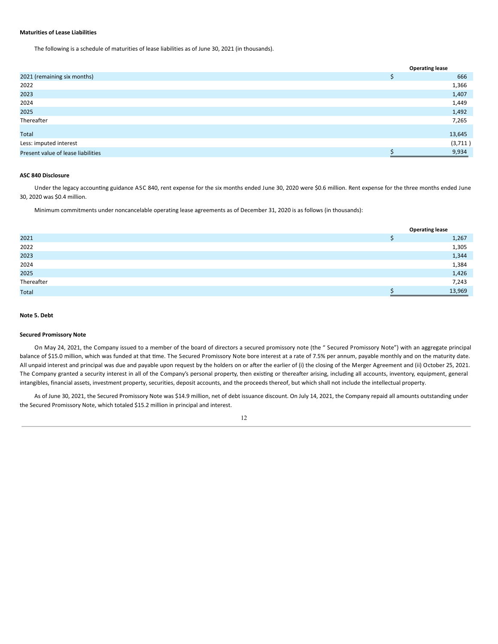## **Maturities of Lease Liabilities**

The following is a schedule of maturities of lease liabilities as of June 30, 2021 (in thousands).

|                                    | <b>Operating lease</b> |
|------------------------------------|------------------------|
| 2021 (remaining six months)        | 666                    |
| 2022                               | 1,366                  |
| 2023                               | 1,407                  |
| 2024                               | 1,449                  |
| 2025                               | 1,492                  |
| Thereafter                         | 7,265                  |
| Total                              | 13,645                 |
| Less: imputed interest             | (3,711)                |
| Present value of lease liabilities | 9,934                  |

## **ASC 840 Disclosure**

Under the legacy accounting guidance ASC 840, rent expense for the six months ended June 30, 2020 were \$0.6 million. Rent expense for the three months ended June 30, 2020 was \$0.4 million.

Minimum commitments under noncancelable operating lease agreements as of December 31, 2020 is as follows (in thousands):

|              | <b>Operating lease</b> |
|--------------|------------------------|
| 2021         | 1,267                  |
| 2022         | 1,305                  |
| 2023         | 1,344                  |
| 2024         | 1,384                  |
| 2025         | 1,426                  |
| Thereafter   | 7,243                  |
| <b>Total</b> | 13,969                 |

## **Note 5. Debt**

## **Secured Promissory Note**

On May 24, 2021, the Company issued to a member of the board of directors a secured promissory note (the " Secured Promissory Note") with an aggregate principal balance of \$15.0 million, which was funded at that time. The Secured Promissory Note bore interest at a rate of 7.5% per annum, payable monthly and on the maturity date. All unpaid interest and principal was due and payable upon request by the holders on or after the earlier of (i) the closing of the Merger Agreement and (ii) October 25, 2021. The Company granted a security interest in all of the Company's personal property, then existing or thereafter arising, including all accounts, inventory, equipment, general intangibles, financial assets, investment property, securities, deposit accounts, and the proceeds thereof, but which shall not include the intellectual property.

As of June 30, 2021, the Secured Promissory Note was \$14.9 million, net of debt issuance discount. On July 14, 2021, the Company repaid all amounts outstanding under the Secured Promissory Note, which totaled \$15.2 million in principal and interest.

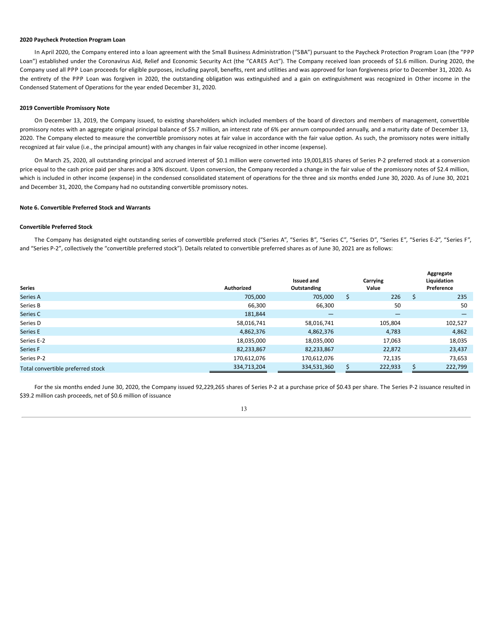## **2020 Paycheck Protection Program Loan**

In April 2020, the Company entered into a loan agreement with the Small Business Administration ("SBA") pursuant to the Paycheck Protection Program Loan (the "PPP Loan") established under the Coronavirus Aid, Relief and Economic Security Act (the "CARES Act"). The Company received loan proceeds of \$1.6 million. During 2020, the Company used all PPP Loan proceeds for eligible purposes, including payroll, benefits, rent and utilities and was approved for loan forgiveness prior to December 31, 2020. As the entirety of the PPP Loan was forgiven in 2020, the outstanding obligation was extinguished and a gain on extinguishment was recognized in Other income in the Condensed Statement of Operations for the year ended December 31, 2020.

## **2019 Convertible Promissory Note**

On December 13, 2019, the Company issued, to existing shareholders which included members of the board of directors and members of management, convertible promissory notes with an aggregate original principal balance of \$5.7 million, an interest rate of 6% per annum compounded annually, and a maturity date of December 13, 2020. The Company elected to measure the convertible promissory notes at fair value in accordance with the fair value option. As such, the promissory notes were initially recognized at fair value (i.e., the principal amount) with any changes in fair value recognized in other income (expense).

On March 25, 2020, all outstanding principal and accrued interest of \$0.1 million were converted into 19,001,815 shares of Series P-2 preferred stock at a conversion price equal to the cash price paid per shares and a 30% discount. Upon conversion, the Company recorded a change in the fair value of the promissory notes of \$2.4 million, which is included in other income (expense) in the condensed consolidated statement of operations for the three and six months ended June 30, 2020. As of June 30, 2021 and December 31, 2020, the Company had no outstanding convertible promissory notes.

#### **Note 6. Convertible Preferred Stock and Warrants**

## **Convertible Preferred Stock**

The Company has designated eight outstanding series of convertible preferred stock ("Series A", "Series B", "Series C", "Series E", "Series E-2", "Series F", "Series E-2", "Series F", and "Series P-2", collectively the "convertible preferred stock"). Details related to convertible preferred shares as of June 30, 2021 are as follows:

| <b>Series</b>                     | <b>Authorized</b> | <b>Issued and</b><br>Outstanding |   | Carrying<br>Value |   | Aggregate<br>Liquidation<br>Preference |
|-----------------------------------|-------------------|----------------------------------|---|-------------------|---|----------------------------------------|
| Series A                          | 705,000           | 705,000                          | Ś | 226               | Ś | 235                                    |
| Series B                          | 66,300            | 66,300                           |   | 50                |   | 50                                     |
| Series C                          | 181,844           | $\overline{\phantom{0}}$         |   |                   |   | –                                      |
| Series D                          | 58,016,741        | 58,016,741                       |   | 105,804           |   | 102,527                                |
| Series E                          | 4,862,376         | 4,862,376                        |   | 4,783             |   | 4,862                                  |
| Series E-2                        | 18,035,000        | 18,035,000                       |   | 17,063            |   | 18,035                                 |
| Series F                          | 82,233,867        | 82,233,867                       |   | 22,872            |   | 23,437                                 |
| Series P-2                        | 170,612,076       | 170,612,076                      |   | 72,135            |   | 73,653                                 |
| Total convertible preferred stock | 334,713,204       | 334,531,360                      |   | 222,933           | ς | 222,799                                |

For the six months ended June 30, 2020, the Company issued 92,229,265 shares of Series P-2 at a purchase price of \$0.43 per share. The Series P-2 issuance resulted in \$39.2 million cash proceeds, net of \$0.6 million of issuance

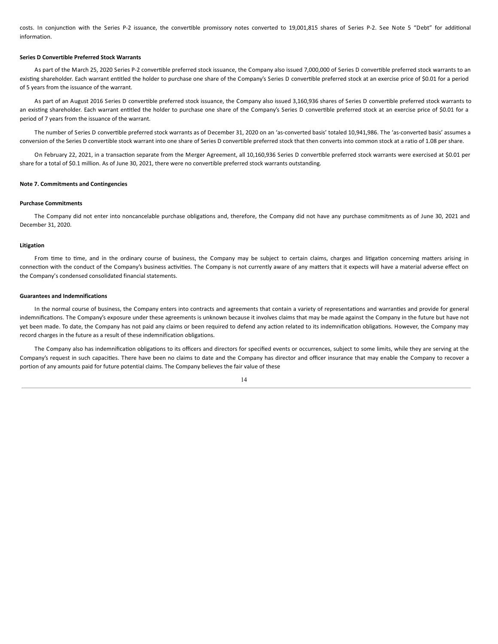costs. In conjunction with the Series P-2 issuance, the convertible promissory notes converted to 19,001,815 shares of Series P-2. See Note 5 "Debt" for additional information.

## **Series D Convertible Preferred Stock Warrants**

As part of the March 25, 2020 Series P-2 convertible preferred stock issuance, the Company also issued 7,000,000 of Series D convertible preferred stock warrants to an existing shareholder. Each warrant entitled the holder to purchase one share of the Company's Series D convertible preferred stock at an exercise price of \$0.01 for a period of 5 years from the issuance of the warrant.

As part of an August 2016 Series D convertible preferred stock issuance, the Company also issued 3,160,936 shares of Series D convertible preferred stock warrants to an existing shareholder. Each warrant entitled the holder to purchase one share of the Company's Series D convertible preferred stock at an exercise price of \$0.01 for a period of 7 years from the issuance of the warrant.

The number of Series D convertible preferred stock warrants as of December 31, 2020 on an 'as-converted basis' totaled 10,941,986. The 'as-converted basis' assumes a conversion of the Series D convertible stock warrant into one share of Series D convertible preferred stock that then converts into common stock at a ratio of 1.08 per share.

On February 22, 2021, in a transaction separate from the Merger Agreement, all 10,160,936 Series D convertible preferred stock warrants were exercised at \$0.01 per share for a total of \$0.1 million. As of June 30, 2021, there were no convertible preferred stock warrants outstanding.

#### **Note 7. Commitments and Contingencies**

#### **Purchase Commitments**

The Company did not enter into noncancelable purchase obligations and, therefore, the Company did not have any purchase commitments as of June 30, 2021 and December 31, 2020.

#### **Litigation**

From time to time, and in the ordinary course of business, the Company may be subject to certain claims, charges and litigation concerning matters arising in connection with the conduct of the Company's business activities. The Company is not currently aware of any matters that it expects will have a material adverse effect on the Company's condensed consolidated financial statements.

## **Guarantees and Indemnifications**

In the normal course of business, the Company enters into contracts and agreements that contain a variety of representations and warranties and provide for general indemnifications. The Company's exposure under these agreements is unknown because it involves claims that may be made against the Company in the future but have not yet been made. To date, the Company has not paid any claims or been required to defend any action related to its indemnification obligations. However, the Company may record charges in the future as a result of these indemnification obligations.

The Company also has indemnification obligations to its officers and directors for specified events or occurrences, subject to some limits, while they are serving at the Company's request in such capacities. There have been no claims to date and the Company has director and officer insurance that may enable the Company to recover a portion of any amounts paid for future potential claims. The Company believes the fair value of these

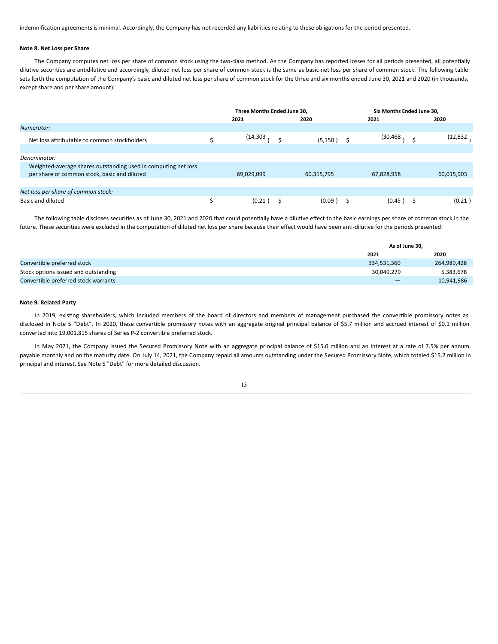indemnification agreements is minimal. Accordingly, the Company has not recorded any liabilities relating to these obligations for the period presented.

## **Note 8. Net Loss per Share**

The Company computes net loss per share of common stock using the two-class method. As the Company has reported losses for all periods presented, all potentially dilutive securities are antidilutive and accordingly, diluted net loss per share of common stock is the same as basic net loss per share of common stock. The following table sets forth the computation of the Company's basic and diluted net loss per share of common stock for the three and six months ended June 30, 2021 and 2020 (in thousands, except share and per share amount):

|                                                                                                                | Three Months Ended June 30. |              | Six Months Ended June 30. |            |  |  |
|----------------------------------------------------------------------------------------------------------------|-----------------------------|--------------|---------------------------|------------|--|--|
|                                                                                                                | 2021                        | 2020         | 2021                      | 2020       |  |  |
| Numerator:                                                                                                     |                             |              |                           |            |  |  |
| Net loss attributable to common stockholders                                                                   | (14,303                     | $(5,150)$ \$ | (30,468                   | (12,832    |  |  |
|                                                                                                                |                             |              |                           |            |  |  |
| Denominator:                                                                                                   |                             |              |                           |            |  |  |
| Weighted-average shares outstanding used in computing net loss<br>per share of common stock, basic and diluted | 69,029,099                  | 60,315,795   | 67,828,958                | 60,015,903 |  |  |
|                                                                                                                |                             |              |                           |            |  |  |
| Net loss per share of common stock:                                                                            |                             |              |                           |            |  |  |
| <b>Basic and diluted</b>                                                                                       | (0.21)                      | (0.09)       | (0.45)                    | (0.21)     |  |  |

The following table discloses securities as of June 30, 2021 and 2020 that could potentially have a dilutive effect to the basic earnings per share of common stock in the future. These securities were excluded in the computation of diluted net loss per share because their effect would have been anti-dilutive for the periods presented:

|                                      | As of June 30, |             |  |
|--------------------------------------|----------------|-------------|--|
|                                      | 2021           | 2020        |  |
| Convertible preferred stock          | 334,531,360    | 264,989,428 |  |
| Stock options issued and outstanding | 30,049,279     | 5,383,678   |  |
| Convertible preferred stock warrants |                | 10,941,986  |  |

## **Note 9. Related Party**

In 2019, existing shareholders, which included members of the board of directors and members of management purchased the convertible promissory notes as disclosed in Note 5 "Debt". In 2020, these convertible promissory notes with an aggregate original principal balance of \$5.7 million and accrued interest of \$0.1 million converted into 19,001,815 shares of Series P-2 convertible preferred stock.

In May 2021, the Company issued the Secured Promissory Note with an aggregate principal balance of \$15.0 million and an interest at a rate of 7.5% per annum, payable monthly and on the maturity date. On July 14, 2021, the Company repaid all amounts outstanding under the Secured Promissory Note, which totaled \$15.2 million in principal and interest. See Note 5 "Debt" for more detailed discussion.

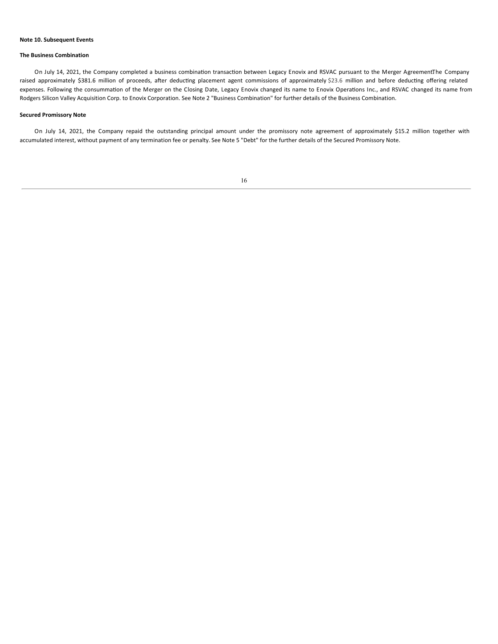## **Note 10. Subsequent Events**

#### **The Business Combination**

On July 14, 2021, the Company completed a business combination transaction between Legacy Enovix and RSVAC pursuant to the Merger AgreementThe Company raised approximately \$381.6 million of proceeds, after deducting placement agent commissions of approximately \$23.6 million and before deducting offering related expenses. Following the consummation of the Merger on the Closing Date, Legacy Enovix changed its name to Enovix Operations Inc., and RSVAC changed its name from Rodgers Silicon Valley Acquisition Corp. to Enovix Corporation. See Note 2 "Business Combination" for further details of the Business Combination.

## **Secured Promissory Note**

On July 14, 2021, the Company repaid the outstanding principal amount under the promissory note agreement of approximately \$15.2 million together with accumulated interest, without payment of any termination fee or penalty. See Note 5 "Debt" for the further details of the Secured Promissory Note.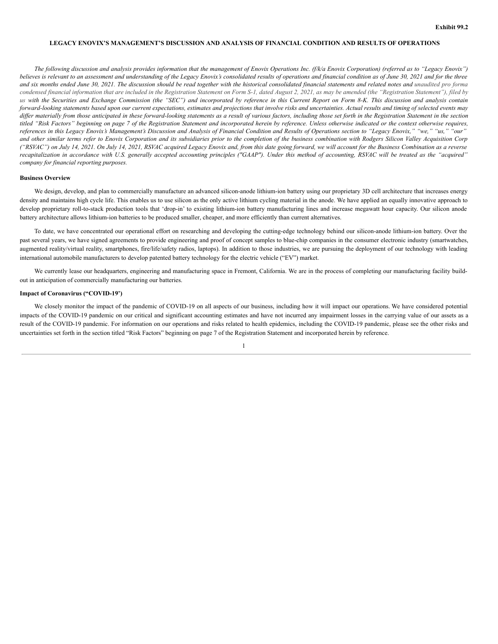## **LEGACY ENOVIX'S MANAGEMENT'S DISCUSSION AND ANALYSIS OF FINANCIAL CONDITION AND RESULTS OF OPERATIONS**

The following discussion and analysis provides information that the management of Enovix Operations Inc. (f/k/a Enovix Corporation) (referred as to "Legacy Enovix") believes is relevant to an assessment and understanding of the Legacy Enovix's consolidated results of operations and financial condition as of June 30, 2021 and for the three and six months ended June 30, 2021. The discussion should be read together with the historical consolidated financial statements and related notes and unaudited pro forma condensed financial information that are included in the Registration Statement on Form S-1, dated August 2, 2021, as may be amended (the "Registration Statement"), filed by us with the Securities and Exchange Commission (the "SEC") and incorporated by reference in this Current Report on Form 8-K. This discussion and analysis contain forward-looking statements based upon our current expectations, estimates and projections that involve risks and uncertainties. Actual results and timing of selected events may differ materially from those anticipated in these forward-looking statements as a result of various factors, including those set forth in the Registration Statement in the section titled "Risk Factors" beginning on page 7 of the Registration Statement and incorporated herein by reference. Unless otherwise indicated or the context otherwise requires, references in this Legacy Enovix's Management's Discussion and Analysis of Financial Condition and Results of Operations section to "Legacy Enovix," "we," "us," "our" and other similar terms refer to Enovix Corporation and its subsidiaries prior to the completion of the business combination with Rodgers Silicon Valley Acquisition Corp ("RSVAC") on July 14, 2021. On July 14, 2021, RSVAC acquired Legacy Enovix and, from this date going forward, we will account for the Business Combination as a reverse recapitalization in accordance with U.S. generally accepted accounting principles ("GAAP"). Under this method of accounting, RSVAC will be treated as the "acquired" *company for financial reporting purposes.*

## **Business Overview**

We design, develop, and plan to commercially manufacture an advanced silicon-anode lithium-ion battery using our proprietary 3D cell architecture that increases energy density and maintains high cycle life. This enables us to use silicon as the only active lithium cycling material in the anode. We have applied an equally innovative approach to develop proprietary roll-to-stack production tools that 'drop-in' to existing lithium-ion battery manufacturing lines and increase megawatt hour capacity. Our silicon anode battery architecture allows lithium-ion batteries to be produced smaller, cheaper, and more efficiently than current alternatives.

To date, we have concentrated our operational effort on researching and developing the cutting-edge technology behind our silicon-anode lithium-ion battery. Over the past several years, we have signed agreements to provide engineering and proof of concept samples to blue-chip companies in the consumer electronic industry (smartwatches, augmented reality/virtual reality, smartphones, fire/life/safety radios, laptops). In addition to those industries, we are pursuing the deployment of our technology with leading international automobile manufacturers to develop patented battery technology for the electric vehicle ("EV") market.

We currently lease our headquarters, engineering and manufacturing space in Fremont, California. We are in the process of completing our manufacturing facility buildout in anticipation of commercially manufacturing our batteries.

#### **Impact of Coronavirus ("COVID-19')**

We closely monitor the impact of the pandemic of COVID-19 on all aspects of our business, including how it will impact our operations. We have considered potential impacts of the COVID-19 pandemic on our critical and significant accounting estimates and have not incurred any impairment losses in the carrying value of our assets as a result of the COVID-19 pandemic. For information on our operations and risks related to health epidemics, including the COVID-19 pandemic, please see the other risks and uncertainties set forth in the section titled "Risk Factors" beginning on page 7 of the Registration Statement and incorporated herein by reference.

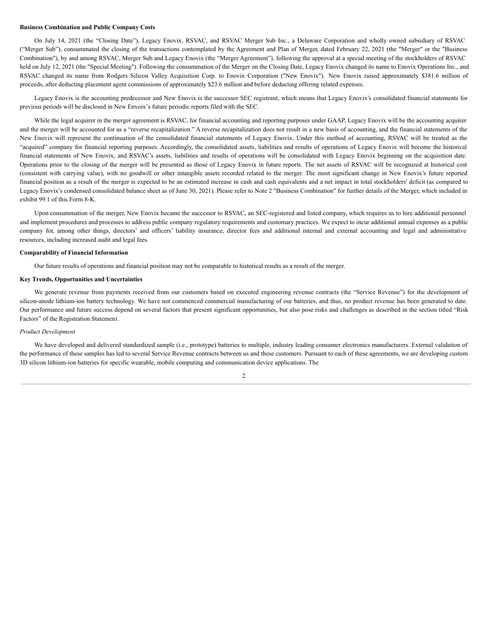#### **Business Combination and Public Company Costs**

On July 14, 2021 (the "Closing Date"), Legacy Enovix, RSVAC, and RSVAC Merger Sub Inc., a Delaware Corporation and wholly owned subsidiary of RSVAC ("Merger Sub"), consummated the closing of the transactions contemplated by the Agreement and Plan of Merger, dated February 22, 2021 (the "Merger" or the "Business Combination"), by and among RSVAC, Merger Sub and Legacy Enovix (the "Merger Agreement"), following the approval at a special meeting of the stockholders of RSVAC held on July 12, 2021 (the "Special Meeting"). Following the consummation of the Merger on the Closing Date, Legacy Enovix changed its name to Enovix Operations Inc., and RSVAC changed its name from Rodgers Silicon Valley Acquisition Corp. to Enovix Corporation ("New Enovix"). New Enovix raised approximately \$381.6 million of proceeds, after deducting placement agent commissions of approximately \$23.6 million and before deducting offering related expenses.

Legacy Enovix is the accounting predecessor and New Enovix is the successor SEC registrant, which means that Legacy Enovix's consolidated financial statements for previous periods will be disclosed in New Envoix's future periodic reports filed with the SEC.

While the legal acquirer in the merger agreement is RSVAC, for financial accounting and reporting purposes under GAAP, Legacy Enovix will be the accounting acquirer and the merger will be accounted for as a "reverse recapitalization." A reverse recapitalization does not result in a new basis of accounting, and the financial statements of the New Enovix will represent the continuation of the consolidated financial statements of Legacy Enovix. Under this method of accounting, RSVAC will be treated as the "acquired" company for financial reporting purposes. Accordingly, the consolidated assets, liabilities and results of operations of Legacy Enovix will become the historical financial statements of New Enovix, and RSVAC's assets, liabilities and results of operations will be consolidated with Legacy Enovix beginning on the acquisition date. Operations prior to the closing of the merger will be presented as those of Legacy Enovix in future reports. The net assets of RSVAC will be recognized at historical cost (consistent with carrying value), with no goodwill or other intangible assets recorded related to the merger. The most significant change in New Enovix's future reported financial position as a result of the merger is expected to be an estimated increase in cash and cash equivalents and a net impact in total stockholders' deficit (as compared to Legacy Enovix's condensed consolidated balance sheet as of June 30, 2021). Please refer to Note 2 "Business Combination" for further details of the Merger, which included in exhibit 99.1 of this Form 8-K.

Upon consummation of the merger, New Enovix became the successor to RSVAC, an SEC-registered and listed company, which requires us to hire additional personnel and implement procedures and processes to address public company regulatory requirements and customary practices. We expect to incur additional annual expenses as a public company for, among other things, directors' and officers' liability insurance, director fees and additional internal and external accounting and legal and administrative resources, including increased audit and legal fees.

#### **Comparability of Financial Information**

Our future results of operations and financial position may not be comparable to historical results as a result of the merger.

## **Key Trends, Opportunities and Uncertainties**

We generate revenue from payments received from our customers based on executed engineering revenue contracts (the "Service Revenue") for the development of silicon-anode lithium-ion battery technology. We have not commenced commercial manufacturing of our batteries, and thus, no product revenue has been generated to date. Our performance and future success depend on several factors that present significant opportunities, but also pose risks and challenges as described in the section titled "Risk Factors" of the Registration Statemen*t*.

#### *Product Development*

We have developed and delivered standardized sample (i.e., prototype) batteries to multiple, industry leading consumer electronics manufacturers. External validation of the performance of these samples has led to several Service Revenue contracts between us and these customers. Pursuant to each of these agreements, we are developing custom 3D silicon lithium-ion batteries for specific wearable, mobile computing and communication device applications. The

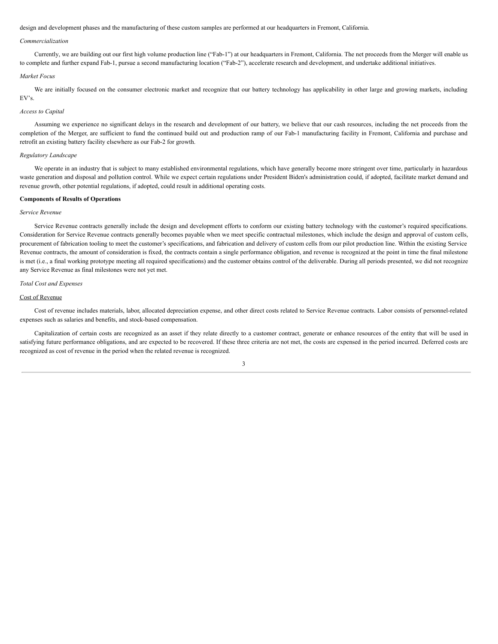design and development phases and the manufacturing of these custom samples are performed at our headquarters in Fremont, California.

## *Commercialization*

Currently, we are building out our first high volume production line ("Fab-1") at our headquarters in Fremont, California. The net proceeds from the Merger will enable us to complete and further expand Fab-1, pursue a second manufacturing location ("Fab-2"), accelerate research and development, and undertake additional initiatives.

## *Market Focus*

We are initially focused on the consumer electronic market and recognize that our battery technology has applicability in other large and growing markets, including EV's.

## *Access to Capital*

Assuming we experience no significant delays in the research and development of our battery, we believe that our cash resources, including the net proceeds from the completion of the Merger, are sufficient to fund the continued build out and production ramp of our Fab-1 manufacturing facility in Fremont, California and purchase and retrofit an existing battery facility elsewhere as our Fab-2 for growth.

## *Regulatory Landscape*

We operate in an industry that is subject to many established environmental regulations, which have generally become more stringent over time, particularly in hazardous waste generation and disposal and pollution control. While we expect certain regulations under President Biden's administration could, if adopted, facilitate market demand and revenue growth, other potential regulations, if adopted, could result in additional operating costs.

#### **Components of Results of Operations**

#### *Service Revenue*

Service Revenue contracts generally include the design and development efforts to conform our existing battery technology with the customer's required specifications. Consideration for Service Revenue contracts generally becomes payable when we meet specific contractual milestones, which include the design and approval of custom cells, procurement of fabrication tooling to meet the customer's specifications, and fabrication and delivery of custom cells from our pilot production line. Within the existing Service Revenue contracts, the amount of consideration is fixed, the contracts contain a single performance obligation, and revenue is recognized at the point in time the final milestone is met (i.e., a final working prototype meeting all required specifications) and the customer obtains control of the deliverable. During all periods presented, we did not recognize any Service Revenue as final milestones were not yet met.

#### *Total Cost and Expenses*

## Cost of Revenue

Cost of revenue includes materials, labor, allocated depreciation expense, and other direct costs related to Service Revenue contracts. Labor consists of personnel-related expenses such as salaries and benefits, and stock-based compensation.

Capitalization of certain costs are recognized as an asset if they relate directly to a customer contract, generate or enhance resources of the entity that will be used in satisfying future performance obligations, and are expected to be recovered. If these three criteria are not met, the costs are expensed in the period incurred. Deferred costs are recognized as cost of revenue in the period when the related revenue is recognized.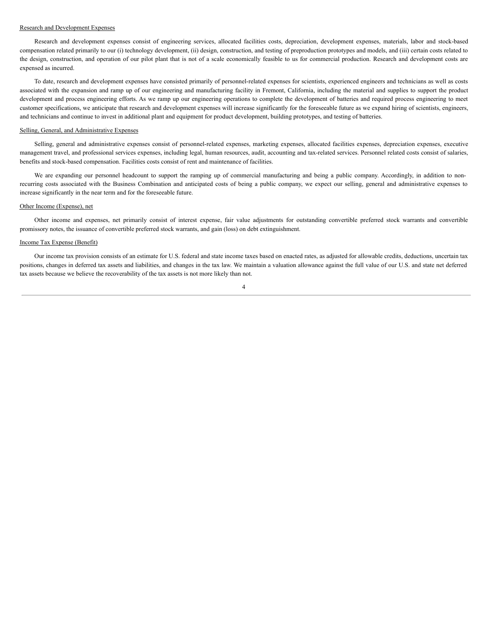## Research and Development Expenses

Research and development expenses consist of engineering services, allocated facilities costs, depreciation, development expenses, materials, labor and stock-based compensation related primarily to our (i) technology development, (ii) design, construction, and testing of preproduction prototypes and models, and (iii) certain costs related to the design, construction, and operation of our pilot plant that is not of a scale economically feasible to us for commercial production. Research and development costs are expensed as incurred.

To date, research and development expenses have consisted primarily of personnel-related expenses for scientists, experienced engineers and technicians as well as costs associated with the expansion and ramp up of our engineering and manufacturing facility in Fremont, California, including the material and supplies to support the product development and process engineering efforts. As we ramp up our engineering operations to complete the development of batteries and required process engineering to meet customer specifications, we anticipate that research and development expenses will increase significantly for the foreseeable future as we expand hiring of scientists, engineers, and technicians and continue to invest in additional plant and equipment for product development, building prototypes, and testing of batteries.

## Selling, General, and Administrative Expenses

Selling, general and administrative expenses consist of personnel-related expenses, marketing expenses, allocated facilities expenses, depreciation expenses, executive management travel, and professional services expenses, including legal, human resources, audit, accounting and tax-related services. Personnel related costs consist of salaries, benefits and stock-based compensation. Facilities costs consist of rent and maintenance of facilities.

We are expanding our personnel headcount to support the ramping up of commercial manufacturing and being a public company. Accordingly, in addition to nonrecurring costs associated with the Business Combination and anticipated costs of being a public company, we expect our selling, general and administrative expenses to increase significantly in the near term and for the foreseeable future.

#### Other Income (Expense), net

Other income and expenses, net primarily consist of interest expense, fair value adjustments for outstanding convertible preferred stock warrants and convertible promissory notes, the issuance of convertible preferred stock warrants, and gain (loss) on debt extinguishment.

## Income Tax Expense (Benefit)

Our income tax provision consists of an estimate for U.S. federal and state income taxes based on enacted rates, as adjusted for allowable credits, deductions, uncertain tax positions, changes in deferred tax assets and liabilities, and changes in the tax law. We maintain a valuation allowance against the full value of our U.S. and state net deferred tax assets because we believe the recoverability of the tax assets is not more likely than not.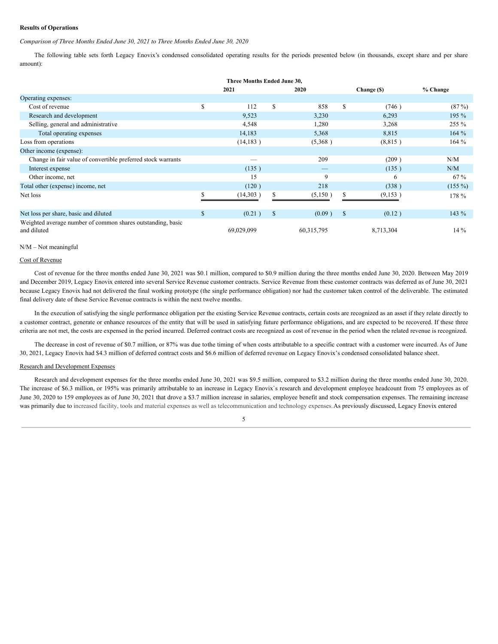## **Results of Operations**

## *Comparison of Three Months Ended June 30, 2021 to Three Months Ended June 30, 2020*

The following table sets forth Legacy Enovix's condensed consolidated operating results for the periods presented below (in thousands, except share and per share amount):

| Three Months Ended June 30,                                                |    |            |    |                                 |              |             |           |
|----------------------------------------------------------------------------|----|------------|----|---------------------------------|--------------|-------------|-----------|
|                                                                            |    | 2021       |    | 2020                            |              | Change (\$) | % Change  |
| Operating expenses:                                                        |    |            |    |                                 |              |             |           |
| Cost of revenue                                                            | \$ | 112        | \$ | 858                             | S            | (746)       | (87%)     |
| Research and development                                                   |    | 9,523      |    | 3,230                           |              | 6,293       | 195 %     |
| Selling, general and administrative                                        |    | 4,548      |    | 1,280                           |              | 3,268       | 255 %     |
| Total operating expenses                                                   |    | 14,183     |    | 5,368                           |              | 8,815       | 164%      |
| Loss from operations                                                       |    | (14, 183)  |    | (5,368)                         |              | (8,815)     | 164%      |
| Other income (expense):                                                    |    |            |    |                                 |              |             |           |
| Change in fair value of convertible preferred stock warrants               |    |            |    | 209                             |              | (209)       | N/M       |
| Interest expense                                                           |    | (135)      |    | $\hspace{0.1mm}-\hspace{0.1mm}$ |              | (135)       | N/M       |
| Other income, net                                                          |    | 15         |    | 9                               |              | 6           | $67\%$    |
| Total other (expense) income, net                                          |    | (120)      |    | 218                             |              | (338)       | $(155\%)$ |
| Net loss                                                                   |    | (14,303)   | \$ | (5,150)                         | S            | (9,153)     | 178 %     |
| Net loss per share, basic and diluted                                      | \$ | (0.21)     | \$ | (0.09)                          | <sup>S</sup> | (0.12)      | 143 %     |
| Weighted average number of common shares outstanding, basic<br>and diluted |    | 69,029,099 |    | 60,315,795                      |              | 8,713,304   | $14\%$    |

## N/M – Not meaningful

## Cost of Revenue

Cost of revenue for the three months ended June 30, 2021 was \$0.1 million, compared to \$0.9 million during the three months ended June 30, 2020. Between May 2019 and December 2019, Legacy Enovix entered into several Service Revenue customer contracts. Service Revenue from these customer contracts was deferred as of June 30, 2021 because Legacy Enovix had not delivered the final working prototype (the single performance obligation) nor had the customer taken control of the deliverable. The estimated final delivery date of these Service Revenue contracts is within the next twelve months.

In the execution of satisfying the single performance obligation per the existing Service Revenue contracts, certain costs are recognized as an asset if they relate directly to a customer contract, generate or enhance resources of the entity that will be used in satisfying future performance obligations, and are expected to be recovered. If these three criteria are not met, the costs are expensed in the period incurred. Deferred contract costs are recognized as cost of revenue in the period when the related revenue is recognized.

The decrease in cost of revenue of \$0.7 million, or 87% was due tothe timing of when costs attributable to a specific contract with a customer were incurred. As of June 30, 2021, Legacy Enovix had \$4.3 million of deferred contract costs and \$6.6 million of deferred revenue on Legacy Enovix's condensed consolidated balance sheet.

## Research and Development Expenses

Research and development expenses for the three months ended June 30, 2021 was \$9.5 million, compared to \$3.2 million during the three months ended June 30, 2020. The increase of \$6.3 million, or 195% was primarily attributable to an increase in Legacy Enovix's research and development employee headcount from 75 employees as of June 30, 2020 to 159 employees as of June 30, 2021 that drove a \$3.7 million increase in salaries, employee benefit and stock compensation expenses. The remaining increase was primarily due to increased facility, tools and material expenses as well as telecommunication and technology expenses. As previously discussed, Legacy Enovix entered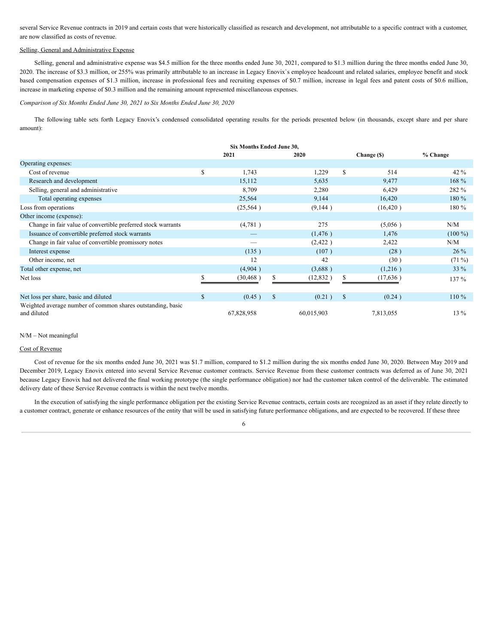<span id="page-26-0"></span>several Service Revenue contracts in 2019 and certain costs that were historically classified as research and development, not attributable to a specific contract with a customer, are now classified as costs of revenue.

## Selling, General and Administrative Expense

Selling, general and administrative expense was \$4.5 million for the three months ended June 30, 2021, compared to \$1.3 million during the three months ended June 30, 2020. The increase of \$3.3 million, or 255% was primarily attributable to an increase in Legacy Enovix`s employee headcount and related salaries, employee benefit and stock based compensation expenses of \$1.3 million, increase in professional fees and recruiting expenses of \$0.7 million, increase in legal fees and patent costs of \$0.6 million, increase in marketing expense of \$0.3 million and the remaining amount represented miscellaneous expenses.

*Comparison of Six Months Ended June 30, 2021 to Six Months Ended June 30, 2020*

The following table sets forth Legacy Enovix's condensed consolidated operating results for the periods presented below (in thousands, except share and per share amount):

|                                                                            |              | 2021       | 2020                   |              | Change (\$) | $%$ Change |
|----------------------------------------------------------------------------|--------------|------------|------------------------|--------------|-------------|------------|
| Operating expenses:                                                        |              |            |                        |              |             |            |
| Cost of revenue                                                            | \$           | 1,743      | 1,229                  | S            | 514         | $42\%$     |
| Research and development                                                   |              | 15,112     | 5,635                  |              | 9,477       | $168 \%$   |
| Selling, general and administrative                                        |              | 8,709      | 2,280                  |              | 6,429       | 282 %      |
| Total operating expenses                                                   |              | 25,564     | 9,144                  |              | 16,420      | 180 %      |
| Loss from operations                                                       |              | (25,564)   | (9,144)                |              | (16, 420)   | 180 %      |
| Other income (expense):                                                    |              |            |                        |              |             |            |
| Change in fair value of convertible preferred stock warrants               |              | (4,781)    | 275                    |              | (5,056)     | N/M        |
| Issuance of convertible preferred stock warrants                           |              |            | (1, 476)               |              | 1,476       | $(100\%)$  |
| Change in fair value of convertible promissory notes                       |              |            | (2,422)                |              | 2,422       | N/M        |
| Interest expense                                                           |              | (135)      | (107)                  |              | (28)        | $26\%$     |
| Other income, net                                                          |              | 12         | 42                     |              | (30)        | $(71\%)$   |
| Total other expense, net                                                   |              | (4,904)    | (3,688)                |              | (1,216)     | 33 %       |
| Net loss                                                                   | $\mathbf S$  | (30, 468)  | \$<br>(12, 832)        | S            | (17, 636)   | 137 %      |
| Net loss per share, basic and diluted                                      | $\mathbb{S}$ | (0.45)     | $\mathbb{S}$<br>(0.21) | <sup>S</sup> | (0.24)      | $110\%$    |
| Weighted average number of common shares outstanding, basic<br>and diluted |              | 67,828,958 | 60,015,903             |              | 7,813,055   | 13 %       |

#### N/M – Not meaningful

#### Cost of Revenue

Cost of revenue for the six months ended June 30, 2021 was \$1.7 million, compared to \$1.2 million during the six months ended June 30, 2020. Between May 2019 and December 2019, Legacy Enovix entered into several Service Revenue customer contracts. Service Revenue from these customer contracts was deferred as of June 30, 2021 because Legacy Enovix had not delivered the final working prototype (the single performance obligation) nor had the customer taken control of the deliverable. The estimated delivery date of these Service Revenue contracts is within the next twelve months.

In the execution of satisfying the single performance obligation per the existing Service Revenue contracts, certain costs are recognized as an asset if they relate directly to a customer contract, generate or enhance resources of the entity that will be used in satisfying future performance obligations, and are expected to be recovered. If these three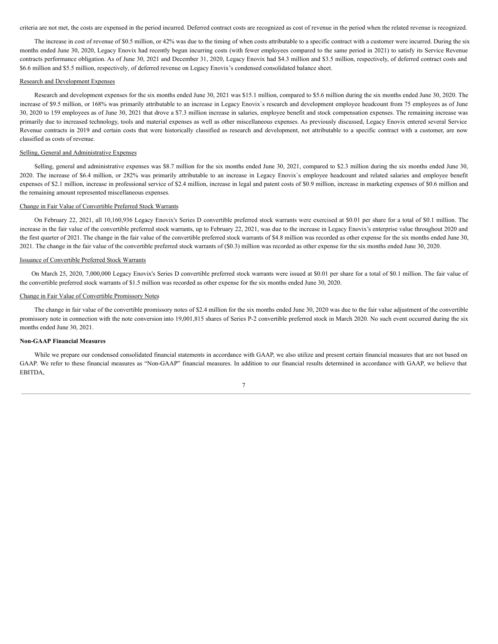criteria are not met, the costs are expensed in the period incurred. Deferred contract costs are recognized as cost of revenue in the period when the related revenue is recognized.

The increase in cost of revenue of \$0.5 million, or 42% was due to the timing of when costs attributable to a specific contract with a customer were incurred. During the six months ended June 30, 2020, Legacy Enovix had recently begun incurring costs (with fewer employees compared to the same period in 2021) to satisfy its Service Revenue contracts performance obligation. As of June 30, 2021 and December 31, 2020, Legacy Enovix had \$4.3 million and \$3.5 million, respectively, of deferred contract costs and \$6.6 million and \$5.5 million, respectively, of deferred revenue on Legacy Enovix's condensed consolidated balance sheet.

#### Research and Development Expenses

Research and development expenses for the six months ended June 30, 2021 was \$15.1 million, compared to \$5.6 million during the six months ended June 30, 2020. The increase of \$9.5 million, or 168% was primarily attributable to an increase in Legacy Enovix`s research and development employee headcount from 75 employees as of June 30, 2020 to 159 employees as of June 30, 2021 that drove a \$7.3 million increase in salaries, employee benefit and stock compensation expenses. The remaining increase was primarily due to increased technology, tools and material expenses as well as other miscellaneous expenses. As previously discussed, Legacy Enovix entered several Service Revenue contracts in 2019 and certain costs that were historically classified as research and development, not attributable to a specific contract with a customer, are now classified as costs of revenue.

## Selling, General and Administrative Expenses

Selling, general and administrative expenses was \$8.7 million for the six months ended June 30, 2021, compared to \$2.3 million during the six months ended June 30, 2020. The increase of \$6.4 million, or 282% was primarily attributable to an increase in Legacy Enovix`s employee headcount and related salaries and employee benefit expenses of \$2.1 million, increase in professional service of \$2.4 million, increase in legal and patent costs of \$0.9 million, increase in marketing expenses of \$0.6 million and the remaining amount represented miscellaneous expenses.

## Change in Fair Value of Convertible Preferred Stock Warrants

On February 22, 2021, all 10,160,936 Legacy Enovix's Series D convertible preferred stock warrants were exercised at \$0.01 per share for a total of \$0.1 million. The increase in the fair value of the convertible preferred stock warrants, up to February 22, 2021, was due to the increase in Legacy Enovix's enterprise value throughout 2020 and the first quarter of 2021. The change in the fair value of the convertible preferred stock warrants of \$4.8 million was recorded as other expense for the six months ended June 30, 2021. The change in the fair value of the convertible preferred stock warrants of (\$0.3) million was recorded as other expense for the six months ended June 30, 2020.

## Issuance of Convertible Preferred Stock Warrants

On March 25, 2020, 7,000,000 Legacy Enovix's Series D convertible preferred stock warrants were issued at \$0.01 per share for a total of \$0.1 million. The fair value of the convertible preferred stock warrants of \$1.5 million was recorded as other expense for the six months ended June 30, 2020.

#### Change in Fair Value of Convertible Promissory Notes

The change in fair value of the convertible promissory notes of \$2.4 million for the six months ended June 30, 2020 was due to the fair value adjustment of the convertible promissory note in connection with the note conversion into 19,001,815 shares of Series P-2 convertible preferred stock in March 2020. No such event occurred during the six months ended June 30, 2021.

#### **Non-GAAP Financial Measures**

While we prepare our condensed consolidated financial statements in accordance with GAAP, we also utilize and present certain financial measures that are not based on GAAP. We refer to these financial measures as "Non-GAAP" financial measures. In addition to our financial results determined in accordance with GAAP, we believe that EBITDA,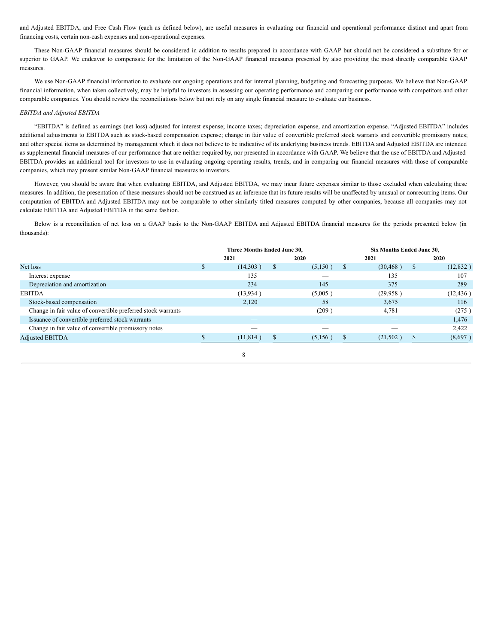and Adjusted EBITDA, and Free Cash Flow (each as defined below), are useful measures in evaluating our financial and operational performance distinct and apart from financing costs, certain non-cash expenses and non-operational expenses.

These Non-GAAP financial measures should be considered in addition to results prepared in accordance with GAAP but should not be considered a substitute for or superior to GAAP. We endeavor to compensate for the limitation of the Non-GAAP financial measures presented by also providing the most directly comparable GAAP measures.

We use Non-GAAP financial information to evaluate our ongoing operations and for internal planning, budgeting and forecasting purposes. We believe that Non-GAAP financial information, when taken collectively, may be helpful to investors in assessing our operating performance and comparing our performance with competitors and other comparable companies. You should review the reconciliations below but not rely on any single financial measure to evaluate our business.

## *EBITDA and Adjusted EBITDA*

"EBITDA" is defined as earnings (net loss) adjusted for interest expense; income taxes; depreciation expense, and amortization expense. "Adjusted EBITDA" includes additional adjustments to EBITDA such as stock-based compensation expense; change in fair value of convertible preferred stock warrants and convertible promissory notes; and other special items as determined by management which it does not believe to be indicative of its underlying business trends. EBITDA and Adjusted EBITDA are intended as supplemental financial measures of our performance that are neither required by, nor presented in accordance with GAAP. We believe that the use of EBITDA and Adjusted EBITDA provides an additional tool for investors to use in evaluating ongoing operating results, trends, and in comparing our financial measures with those of comparable companies, which may present similar Non-GAAP financial measures to investors.

However, you should be aware that when evaluating EBITDA, and Adjusted EBITDA, we may incur future expenses similar to those excluded when calculating these measures. In addition, the presentation of these measures should not be construed as an inference that its future results will be unaffected by unusual or nonrecurring items. Our computation of EBITDA and Adjusted EBITDA may not be comparable to other similarly titled measures computed by other companies, because all companies may not calculate EBITDA and Adjusted EBITDA in the same fashion.

Below is a reconciliation of net loss on a GAAP basis to the Non-GAAP EBITDA and Adjusted EBITDA financial measures for the periods presented below (in thousands):

|                                                              | Three Months Ended June 30, |           |          |                          | Six Months Ended June 30, |                          |     |             |
|--------------------------------------------------------------|-----------------------------|-----------|----------|--------------------------|---------------------------|--------------------------|-----|-------------|
|                                                              |                             | 2021      |          | 2020                     |                           | 2021                     |     | <b>2020</b> |
| Net loss                                                     | \$                          | (14,303)  | \$       | (5,150)                  | <sup>\$</sup>             | (30, 468)                | \$. | (12, 832)   |
| Interest expense                                             |                             | 135       |          | _                        |                           | 135                      |     | 107         |
| Depreciation and amortization                                |                             | 234       |          | 145                      |                           | 375                      |     | 289         |
| <b>EBITDA</b>                                                |                             | (13,934)  |          | (5,005)                  |                           | (29,958)                 |     | (12, 436)   |
| Stock-based compensation                                     |                             | 2,120     |          | 58                       |                           | 3,675                    |     | 116         |
| Change in fair value of convertible preferred stock warrants |                             |           |          | (209)                    |                           | 4,781                    |     | (275)       |
| Issuance of convertible preferred stock warrants             |                             |           |          |                          |                           | $\overline{\phantom{a}}$ |     | 1,476       |
| Change in fair value of convertible promissory notes         |                             |           |          | $\overline{\phantom{a}}$ |                           |                          |     | 2,422       |
| <b>Adjusted EBITDA</b>                                       |                             | (11, 814) | <b>S</b> | (5,156)                  | <b>S</b>                  | (21, 502)                | э   | (8,697)     |

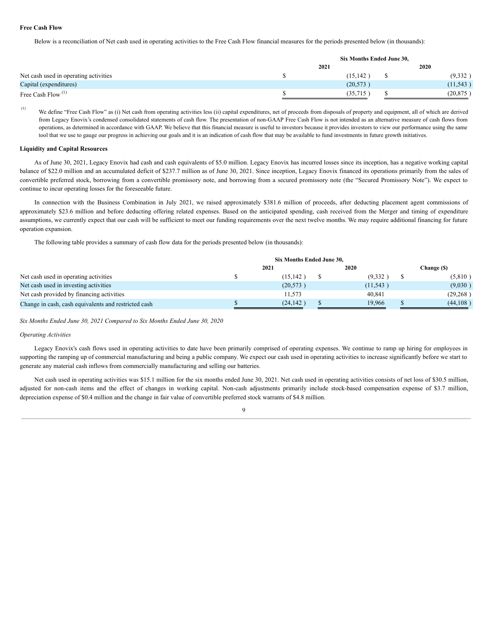## **Free Cash Flow**

Below is a reconciliation of Net cash used in operating activities to the Free Cash Flow financial measures for the periods presented below (in thousands):

|                                       | Six Months Ended June 30, |  |           |  |  |  |  |
|---------------------------------------|---------------------------|--|-----------|--|--|--|--|
|                                       | 2021                      |  | 2020      |  |  |  |  |
| Net cash used in operating activities | (15, 142)                 |  | (9, 332)  |  |  |  |  |
| Capital (expenditures)                | (20.573)                  |  | (11, 543) |  |  |  |  |
| Free Cash Flow <sup>(1)</sup>         | (35,715                   |  | (20, 875) |  |  |  |  |

(1)

We define "Free Cash Flow" as (i) Net cash from operating activities less (ii) capital expenditures, net of proceeds from disposals of property and equipment, all of which are derived from Legacy Enovix's condensed consolidated statements of cash flow. The presentation of non-GAAP Free Cash Flow is not intended as an alternative measure of cash flows from operations, as determined in accordance with GAAP. We believe that this financial measure is useful to investors because it provides investors to view our performance using the same tool that we use to gauge our progress in achieving our goals and it is an indication of cash flow that may be available to fund investments in future growth initiatives.

#### **Liquidity and Capital Resources**

As of June 30, 2021, Legacy Enovix had cash and cash equivalents of \$5.0 million. Legacy Enovix has incurred losses since its inception, has a negative working capital balance of \$22.0 million and an accumulated deficit of \$237.7 million as of June 30, 2021. Since inception, Legacy Enovix financed its operations primarily from the sales of convertible preferred stock, borrowing from a convertible promissory note, and borrowing from a secured promissory note (the "Secured Promissory Note"). We expect to continue to incur operating losses for the foreseeable future.

In connection with the Business Combination in July 2021, we raised approximately \$381.6 million of proceeds, after deducting placement agent commissions of approximately \$23.6 million and before deducting offering related expenses. Based on the anticipated spending, cash received from the Merger and timing of expenditure assumptions, we currently expect that our cash will be sufficient to meet our funding requirements over the next twelve months. We may require additional financing for future operation expansion.

The following table provides a summary of cash flow data for the periods presented below (in thousands):

|                                                      |  | 2021      | 2020      | Change (\$) |
|------------------------------------------------------|--|-----------|-----------|-------------|
| Net cash used in operating activities                |  | (15, 142) | (9,332)   | (5,810)     |
| Net cash used in investing activities                |  | (20, 573) | (11, 543) | (9,030)     |
| Net cash provided by financing activities            |  | 11.573    | 40.841    | (29, 268)   |
| Change in cash, cash equivalents and restricted cash |  | (24, 142) | 19.966    | (44,108)    |

*Six Months Ended June 30, 2021 Compared to Six Months Ended June 30, 2020*

## *Operating Activities*

Legacy Enovix's cash flows used in operating activities to date have been primarily comprised of operating expenses. We continue to ramp up hiring for employees in supporting the ramping up of commercial manufacturing and being a public company. We expect our cash used in operating activities to increase significantly before we start to generate any material cash inflows from commercially manufacturing and selling our batteries.

Net cash used in operating activities was \$15.1 million for the six months ended June 30, 2021. Net cash used in operating activities consists of net loss of \$30.5 million, adjusted for non-cash items and the effect of changes in working capital. Non-cash adjustments primarily include stock-based compensation expense of \$3.7 million, depreciation expense of \$0.4 million and the change in fair value of convertible preferred stock warrants of \$4.8 million.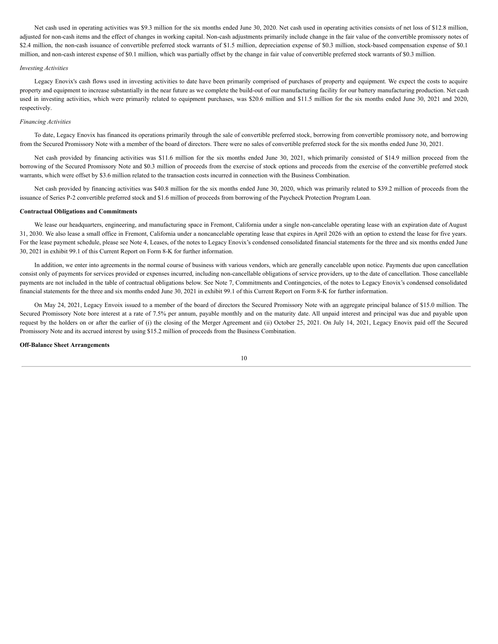Net cash used in operating activities was \$9.3 million for the six months ended June 30, 2020. Net cash used in operating activities consists of net loss of \$12.8 million, adjusted for non-cash items and the effect of changes in working capital. Non-cash adjustments primarily include change in the fair value of the convertible promissory notes of \$2.4 million, the non-cash issuance of convertible preferred stock warrants of \$1.5 million, depreciation expense of \$0.3 million, stock-based compensation expense of \$0.1 million, and non-cash interest expense of \$0.1 million, which was partially offset by the change in fair value of convertible preferred stock warrants of \$0.3 million.

## *Investing Activities*

Legacy Enovix's cash flows used in investing activities to date have been primarily comprised of purchases of property and equipment. We expect the costs to acquire property and equipment to increase substantially in the near future as we complete the build-out of our manufacturing facility for our battery manufacturing production. Net cash used in investing activities, which were primarily related to equipment purchases, was \$20.6 million and \$11.5 million for the six months ended June 30, 2021 and 2020, respectively.

## *Financing Activities*

To date, Legacy Enovix has financed its operations primarily through the sale of convertible preferred stock, borrowing from convertible promissory note, and borrowing from the Secured Promissory Note with a member of the board of directors. There were no sales of convertible preferred stock for the six months ended June 30, 2021.

Net cash provided by financing activities was \$11.6 million for the six months ended June 30, 2021, which primarily consisted of \$14.9 million proceed from the borrowing of the Secured Promissory Note and \$0.3 million of proceeds from the exercise of stock options and proceeds from the exercise of the convertible preferred stock warrants, which were offset by \$3.6 million related to the transaction costs incurred in connection with the Business Combination.

Net cash provided by financing activities was \$40.8 million for the six months ended June 30, 2020, which was primarily related to \$39.2 million of proceeds from the issuance of Series P-2 convertible preferred stock and \$1.6 million of proceeds from borrowing of the Paycheck Protection Program Loan.

#### **Contractual Obligations and Commitments**

We lease our headquarters, engineering, and manufacturing space in Fremont, California under a single non-cancelable operating lease with an expiration date of August 31, 2030. We also lease a small office in Fremont, California under a noncancelable operating lease that expires in April 2026 with an option to extend the lease for five years. For the lease payment schedule, please see Note 4, Leases, of the notes to Legacy Enovix's condensed consolidated financial statements for the three and six months ended June 30, 2021 in exhibit 99.1 of this Current Report on Form 8-K for further information.

In addition, we enter into agreements in the normal course of business with various vendors, which are generally cancelable upon notice. Payments due upon cancellation consist only of payments for services provided or expenses incurred, including non-cancellable obligations of service providers, up to the date of cancellation. Those cancellable payments are not included in the table of contractual obligations below. See Note 7, Commitments and Contingencies, of the notes to Legacy Enovix's condensed consolidated financial statements for the three and six months ended June 30, 2021 in exhibit 99.1 of this Current Report on Form 8-K for further information.

On May 24, 2021, Legacy Envoix issued to a member of the board of directors the Secured Promissory Note with an aggregate principal balance of \$15.0 million. The Secured Promissory Note bore interest at a rate of 7.5% per annum, payable monthly and on the maturity date. All unpaid interest and principal was due and payable upon request by the holders on or after the earlier of (i) the closing of the Merger Agreement and (ii) October 25, 2021. On July 14, 2021, Legacy Enovix paid off the Secured Promissory Note and its accrued interest by using \$15.2 million of proceeds from the Business Combination.

#### **Off-Balance Sheet Arrangements**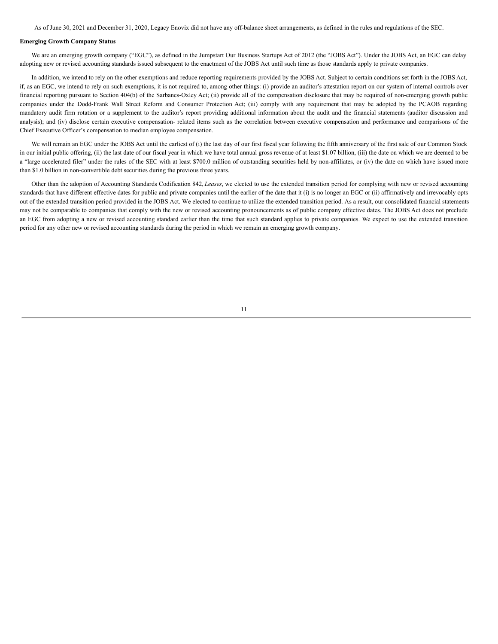As of June 30, 2021 and December 31, 2020, Legacy Enovix did not have any off-balance sheet arrangements, as defined in the rules and regulations of the SEC.

## **Emerging Growth Company Status**

We are an emerging growth company ("EGC"), as defined in the Jumpstart Our Business Startups Act of 2012 (the "JOBS Act"). Under the JOBS Act, an EGC can delay adopting new or revised accounting standards issued subsequent to the enactment of the JOBS Act until such time as those standards apply to private companies.

In addition, we intend to rely on the other exemptions and reduce reporting requirements provided by the JOBS Act. Subject to certain conditions set forth in the JOBS Act, if, as an EGC, we intend to rely on such exemptions, it is not required to, among other things: (i) provide an auditor's attestation report on our system of internal controls over financial reporting pursuant to Section 404(b) of the Sarbanes-Oxley Act; (ii) provide all of the compensation disclosure that may be required of non-emerging growth public companies under the Dodd-Frank Wall Street Reform and Consumer Protection Act; (iii) comply with any requirement that may be adopted by the PCAOB regarding mandatory audit firm rotation or a supplement to the auditor's report providing additional information about the audit and the financial statements (auditor discussion and analysis); and (iv) disclose certain executive compensation- related items such as the correlation between executive compensation and performance and comparisons of the Chief Executive Officer's compensation to median employee compensation.

We will remain an EGC under the JOBS Act until the earliest of (i) the last day of our first fiscal year following the fifth anniversary of the first sale of our Common Stock in our initial public offering, (ii) the last date of our fiscal year in which we have total annual gross revenue of at least \$1.07 billion, (iii) the date on which we are deemed to be a "large accelerated filer" under the rules of the SEC with at least \$700.0 million of outstanding securities held by non-affiliates, or (iv) the date on which have issued more than \$1.0 billion in non-convertible debt securities during the previous three years.

Other than the adoption of Accounting Standards Codification 842, *Leases*, we elected to use the extended transition period for complying with new or revised accounting standards that have different effective dates for public and private companies until the earlier of the date that it (i) is no longer an EGC or (ii) affirmatively and irrevocably opts out of the extended transition period provided in the JOBS Act. We elected to continue to utilize the extended transition period. As a result, our consolidated financial statements may not be comparable to companies that comply with the new or revised accounting pronouncements as of public company effective dates. The JOBS Act does not preclude an EGC from adopting a new or revised accounting standard earlier than the time that such standard applies to private companies. We expect to use the extended transition period for any other new or revised accounting standards during the period in which we remain an emerging growth company.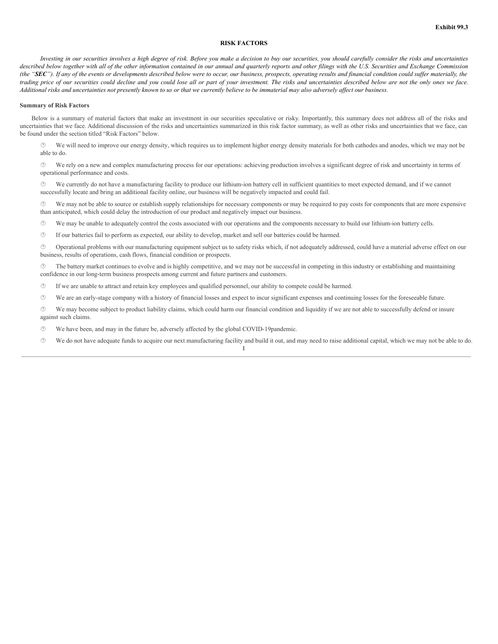## **RISK FACTORS**

Investing in our securities involves a high degree of risk. Before you make a decision to buy our securities, you should carefully consider the risks and uncertainties described below together with all of the other information contained in our annual and quarterly reports and other filings with the U.S. Securities and Exchange Commission (the "SEC"). If any of the events or developments described below were to occur, our business, prospects, operating results and financial condition could suffer materially, the trading price of our securities could decline and you could lose all or part of your investment. The risks and uncertainties described below are not the only ones we face. Additional risks and uncertainties not presently known to us or that we currently believe to be immaterial may also adversely affect our business.

#### **Summary of Risk Factors**

Below is a summary of material factors that make an investment in our securities speculative or risky. Importantly, this summary does not address all of the risks and uncertainties that we face. Additional discussion of the risks and uncertainties summarized in this risk factor summary, as well as other risks and uncertainties that we face, can be found under the section titled "Risk Factors" below.

We will need to improve our energy density, which requires us to implement higher energy density materials for both cathodes and anodes, which we may not be able to do.

· We rely on a new and complex manufacturing process for our operations: achieving production involves a significant degree of risk and uncertainty in terms of operational performance and costs.

· We currently do not have a manufacturing facility to produce our lithium-ion battery cell in sufficient quantities to meet expected demand, and if we cannot successfully locate and bring an additional facility online, our business will be negatively impacted and could fail.

 $\circled{v}$  We may not be able to source or establish supply relationships for necessary components or may be required to pay costs for components that are more expensive than anticipated, which could delay the introduction of our product and negatively impact our business.

· We may be unable to adequately control the costs associated with our operations and the components necessary to build our lithium-ion battery cells.

· If our batteries fail to perform as expected, our ability to develop, market and sell our batteries could be harmed.

· Operational problems with our manufacturing equipment subject us to safety risks which, if not adequately addressed, could have a material adverse effect on our business, results of operations, cash flows, financial condition or prospects.

The battery market continues to evolve and is highly competitive, and we may not be successful in competing in this industry or establishing and maintaining confidence in our long-term business prospects among current and future partners and customers.

 $\circled{1}$  If we are unable to attract and retain key employees and qualified personnel, our ability to compete could be harmed.

· We are an early-stage company with a history of financial losses and expect to incur significant expenses and continuing losses for the foreseeable future.

· We may become subject to product liability claims, which could harm our financial condition and liquidity if we are not able to successfully defend or insure against such claims.

 $\circled{e}$  We have been, and may in the future be, adversely affected by the global COVID-19 pandemic.

· We do not have adequate funds to acquire our next manufacturing facility and build it out, and may need to raise additional capital, which we may not be able to do.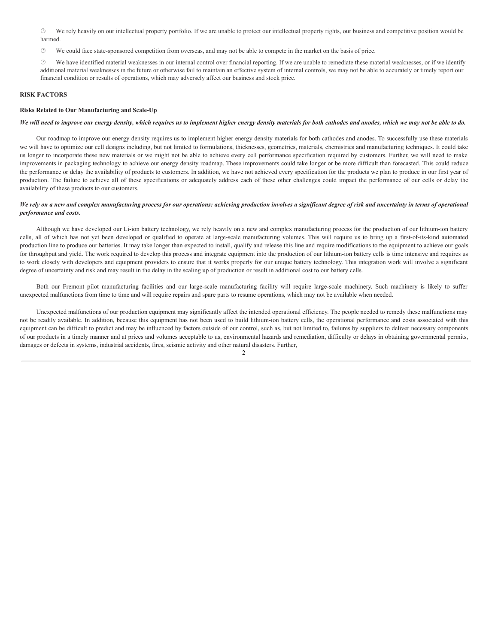· We rely heavily on our intellectual property portfolio. If we are unable to protect our intellectual property rights, our business and competitive position would be harmed.

 $\heartsuit$  We could face state-sponsored competition from overseas, and may not be able to compete in the market on the basis of price.

· We have identified material weaknesses in our internal control over financial reporting. If we are unable to remediate these material weaknesses, or if we identify additional material weaknesses in the future or otherwise fail to maintain an effective system of internal controls, we may not be able to accurately or timely report our financial condition or results of operations, which may adversely affect our business and stock price.

## **RISK FACTORS**

## **Risks Related to Our Manufacturing and Scale-Up**

## We will need to improve our energy density, which requires us to implement higher energy density materials for both cathodes and anodes, which we may not be able to do.

Our roadmap to improve our energy density requires us to implement higher energy density materials for both cathodes and anodes. To successfully use these materials we will have to optimize our cell designs including, but not limited to formulations, thicknesses, geometries, materials, chemistries and manufacturing techniques. It could take us longer to incorporate these new materials or we might not be able to achieve every cell performance specification required by customers. Further, we will need to make improvements in packaging technology to achieve our energy density roadmap. These improvements could take longer or be more difficult than forecasted. This could reduce the performance or delay the availability of products to customers. In addition, we have not achieved every specification for the products we plan to produce in our first year of production. The failure to achieve all of these specifications or adequately address each of these other challenges could impact the performance of our cells or delay the availability of these products to our customers.

## We rely on a new and complex manufacturing process for our operations: achieving production involves a significant degree of risk and uncertainty in terms of operational *performance and costs.*

Although we have developed our Li-ion battery technology, we rely heavily on a new and complex manufacturing process for the production of our lithium-ion battery cells, all of which has not yet been developed or qualified to operate at large-scale manufacturing volumes. This will require us to bring up a first-of-its-kind automated production line to produce our batteries. It may take longer than expected to install, qualify and release this line and require modifications to the equipment to achieve our goals for throughput and yield. The work required to develop this process and integrate equipment into the production of our lithium-ion battery cells is time intensive and requires us to work closely with developers and equipment providers to ensure that it works properly for our unique battery technology. This integration work will involve a significant degree of uncertainty and risk and may result in the delay in the scaling up of production or result in additional cost to our battery cells.

Both our Fremont pilot manufacturing facilities and our large-scale manufacturing facility will require large-scale machinery. Such machinery is likely to suffer unexpected malfunctions from time to time and will require repairs and spare parts to resume operations, which may not be available when needed.

Unexpected malfunctions of our production equipment may significantly affect the intended operational efficiency. The people needed to remedy these malfunctions may not be readily available. In addition, because this equipment has not been used to build lithium-ion battery cells, the operational performance and costs associated with this equipment can be difficult to predict and may be influenced by factors outside of our control, such as, but not limited to, failures by suppliers to deliver necessary components of our products in a timely manner and at prices and volumes acceptable to us, environmental hazards and remediation, difficulty or delays in obtaining governmental permits, damages or defects in systems, industrial accidents, fires, seismic activity and other natural disasters. Further,

 $\mathfrak{D}$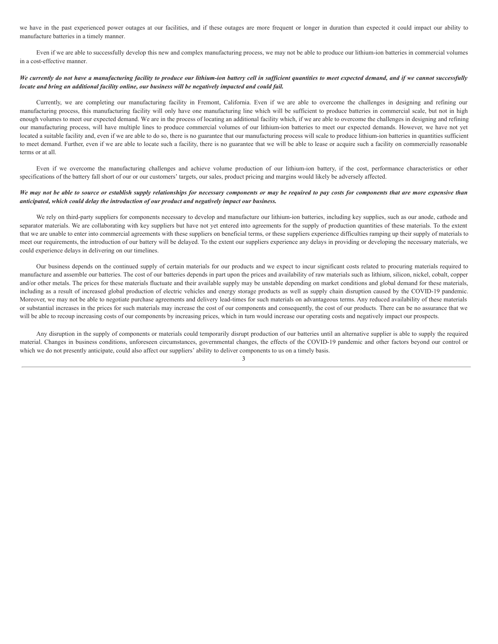we have in the past experienced power outages at our facilities, and if these outages are more frequent or longer in duration than expected it could impact our ability to manufacture batteries in a timely manner.

Even if we are able to successfully develop this new and complex manufacturing process, we may not be able to produce our lithium-ion batteries in commercial volumes in a cost-effective manner.

## We currently do not have a manufacturing facility to produce our lithium-ion battery cell in sufficient quantities to meet expected demand, and if we cannot successfully *locate and bring an additional facility online, our business will be negatively impacted and could fail.*

Currently, we are completing our manufacturing facility in Fremont, California. Even if we are able to overcome the challenges in designing and refining our manufacturing process, this manufacturing facility will only have one manufacturing line which will be sufficient to produce batteries in commercial scale, but not in high enough volumes to meet our expected demand. We are in the process of locating an additional facility which, if we are able to overcome the challenges in designing and refining our manufacturing process, will have multiple lines to produce commercial volumes of our lithium-ion batteries to meet our expected demands. However, we have not yet located a suitable facility and, even if we are able to do so, there is no guarantee that our manufacturing process will scale to produce lithium-ion batteries in quantities sufficient to meet demand. Further, even if we are able to locate such a facility, there is no guarantee that we will be able to lease or acquire such a facility on commercially reasonable terms or at all.

Even if we overcome the manufacturing challenges and achieve volume production of our lithium-ion battery, if the cost, performance characteristics or other specifications of the battery fall short of our or our customers' targets, our sales, product pricing and margins would likely be adversely affected.

## We may not be able to source or establish supply relationships for necessary components or may be required to pay costs for components that are more expensive than *anticipated, which could delay the introduction of our product and negatively impact our business.*

We rely on third-party suppliers for components necessary to develop and manufacture our lithium-ion batteries, including key supplies, such as our anode, cathode and separator materials. We are collaborating with key suppliers but have not yet entered into agreements for the supply of production quantities of these materials. To the extent that we are unable to enter into commercial agreements with these suppliers on beneficial terms, or these suppliers experience difficulties ramping up their supply of materials to meet our requirements, the introduction of our battery will be delayed. To the extent our suppliers experience any delays in providing or developing the necessary materials, we could experience delays in delivering on our timelines.

Our business depends on the continued supply of certain materials for our products and we expect to incur significant costs related to procuring materials required to manufacture and assemble our batteries. The cost of our batteries depends in part upon the prices and availability of raw materials such as lithium, silicon, nickel, cobalt, copper and/or other metals. The prices for these materials fluctuate and their available supply may be unstable depending on market conditions and global demand for these materials, including as a result of increased global production of electric vehicles and energy storage products as well as supply chain disruption caused by the COVID-19 pandemic. Moreover, we may not be able to negotiate purchase agreements and delivery lead-times for such materials on advantageous terms. Any reduced availability of these materials or substantial increases in the prices for such materials may increase the cost of our components and consequently, the cost of our products. There can be no assurance that we will be able to recoup increasing costs of our components by increasing prices, which in turn would increase our operating costs and negatively impact our prospects.

Any disruption in the supply of components or materials could temporarily disrupt production of our batteries until an alternative supplier is able to supply the required material. Changes in business conditions, unforeseen circumstances, governmental changes, the effects of the COVID-19 pandemic and other factors beyond our control or which we do not presently anticipate, could also affect our suppliers' ability to deliver components to us on a timely basis.

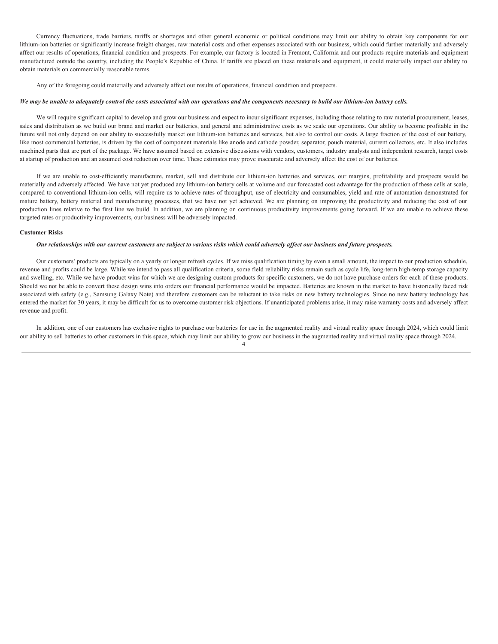Currency fluctuations, trade barriers, tariffs or shortages and other general economic or political conditions may limit our ability to obtain key components for our lithium-ion batteries or significantly increase freight charges, raw material costs and other expenses associated with our business, which could further materially and adversely affect our results of operations, financial condition and prospects. For example, our factory is located in Fremont, California and our products require materials and equipment manufactured outside the country, including the People's Republic of China. If tariffs are placed on these materials and equipment, it could materially impact our ability to obtain materials on commercially reasonable terms.

Any of the foregoing could materially and adversely affect our results of operations, financial condition and prospects.

## We may be unable to adequately control the costs associated with our operations and the components necessary to build our lithium-ion battery cells.

We will require significant capital to develop and grow our business and expect to incur significant expenses, including those relating to raw material procurement, leases, sales and distribution as we build our brand and market our batteries, and general and administrative costs as we scale our operations. Our ability to become profitable in the future will not only depend on our ability to successfully market our lithium-ion batteries and services, but also to control our costs. A large fraction of the cost of our battery, like most commercial batteries, is driven by the cost of component materials like anode and cathode powder, separator, pouch material, current collectors, etc. It also includes machined parts that are part of the package. We have assumed based on extensive discussions with vendors, customers, industry analysts and independent research, target costs at startup of production and an assumed cost reduction over time. These estimates may prove inaccurate and adversely affect the cost of our batteries.

If we are unable to cost-efficiently manufacture, market, sell and distribute our lithium-ion batteries and services, our margins, profitability and prospects would be materially and adversely affected. We have not yet produced any lithium-ion battery cells at volume and our forecasted cost advantage for the production of these cells at scale, compared to conventional lithium-ion cells, will require us to achieve rates of throughput, use of electricity and consumables, yield and rate of automation demonstrated for mature battery, battery material and manufacturing processes, that we have not yet achieved. We are planning on improving the productivity and reducing the cost of our production lines relative to the first line we build. In addition, we are planning on continuous productivity improvements going forward. If we are unable to achieve these targeted rates or productivity improvements, our business will be adversely impacted.

## **Customer Risks**

#### Our relationships with our current customers are subject to various risks which could adversely affect our business and future prospects.

Our customers' products are typically on a yearly or longer refresh cycles. If we miss qualification timing by even a small amount, the impact to our production schedule, revenue and profits could be large. While we intend to pass all qualification criteria, some field reliability risks remain such as cycle life, long-term high-temp storage capacity and swelling, etc. While we have product wins for which we are designing custom products for specific customers, we do not have purchase orders for each of these products. Should we not be able to convert these design wins into orders our financial performance would be impacted. Batteries are known in the market to have historically faced risk associated with safety (e.g., Samsung Galaxy Note) and therefore customers can be reluctant to take risks on new battery technologies. Since no new battery technology has entered the market for 30 years, it may be difficult for us to overcome customer risk objections. If unanticipated problems arise, it may raise warranty costs and adversely affect revenue and profit.

In addition, one of our customers has exclusive rights to purchase our batteries for use in the augmented reality and virtual reality space through 2024, which could limit our ability to sell batteries to other customers in this space, which may limit our ability to grow our business in the augmented reality and virtual reality space through 2024.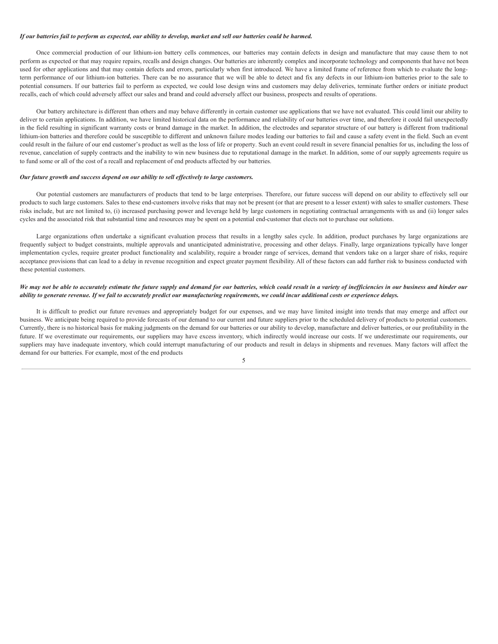## If our batteries fail to perform as expected, our ability to develop, market and sell our batteries could be harmed.

Once commercial production of our lithium-ion battery cells commences, our batteries may contain defects in design and manufacture that may cause them to not perform as expected or that may require repairs, recalls and design changes. Our batteries are inherently complex and incorporate technology and components that have not been used for other applications and that may contain defects and errors, particularly when first introduced. We have a limited frame of reference from which to evaluate the longterm performance of our lithium-ion batteries. There can be no assurance that we will be able to detect and fix any defects in our lithium-ion batteries prior to the sale to potential consumers. If our batteries fail to perform as expected, we could lose design wins and customers may delay deliveries, terminate further orders or initiate product recalls, each of which could adversely affect our sales and brand and could adversely affect our business, prospects and results of operations.

Our battery architecture is different than others and may behave differently in certain customer use applications that we have not evaluated. This could limit our ability to deliver to certain applications. In addition, we have limited historical data on the performance and reliability of our batteries over time, and therefore it could fail unexpectedly in the field resulting in significant warranty costs or brand damage in the market. In addition, the electrodes and separator structure of our battery is different from traditional lithium-ion batteries and therefore could be susceptible to different and unknown failure modes leading our batteries to fail and cause a safety event in the field. Such an event could result in the failure of our end customer's product as well as the loss of life or property. Such an event could result in severe financial penalties for us, including the loss of revenue, cancelation of supply contracts and the inability to win new business due to reputational damage in the market. In addition, some of our supply agreements require us to fund some or all of the cost of a recall and replacement of end products affected by our batteries.

#### *Our future growth and success depend on our ability to sell ef ectively to large customers.*

Our potential customers are manufacturers of products that tend to be large enterprises. Therefore, our future success will depend on our ability to effectively sell our products to such large customers. Sales to these end-customers involve risks that may not be present (or that are present to a lesser extent) with sales to smaller customers. These risks include, but are not limited to, (i) increased purchasing power and leverage held by large customers in negotiating contractual arrangements with us and (ii) longer sales cycles and the associated risk that substantial time and resources may be spent on a potential end-customer that elects not to purchase our solutions.

Large organizations often undertake a significant evaluation process that results in a lengthy sales cycle. In addition, product purchases by large organizations are frequently subject to budget constraints, multiple approvals and unanticipated administrative, processing and other delays. Finally, large organizations typically have longer implementation cycles, require greater product functionality and scalability, require a broader range of services, demand that vendors take on a larger share of risks, require acceptance provisions that can lead to a delay in revenue recognition and expect greater payment flexibility. All of these factors can add further risk to business conducted with these potential customers.

## We may not be able to accurately estimate the future supply and demand for our batteries, which could result in a variety of inefficiencies in our business and hinder our ability to generate revenue. If we fail to accurately predict our manufacturing requirements, we could incur additional costs or experience delays.

It is difficult to predict our future revenues and appropriately budget for our expenses, and we may have limited insight into trends that may emerge and affect our business. We anticipate being required to provide forecasts of our demand to our current and future suppliers prior to the scheduled delivery of products to potential customers. Currently, there is no historical basis for making judgments on the demand for our batteries or our ability to develop, manufacture and deliver batteries, or our profitability in the future. If we overestimate our requirements, our suppliers may have excess inventory, which indirectly would increase our costs. If we underestimate our requirements, our suppliers may have inadequate inventory, which could interrupt manufacturing of our products and result in delays in shipments and revenues. Many factors will affect the demand for our batteries. For example, most of the end products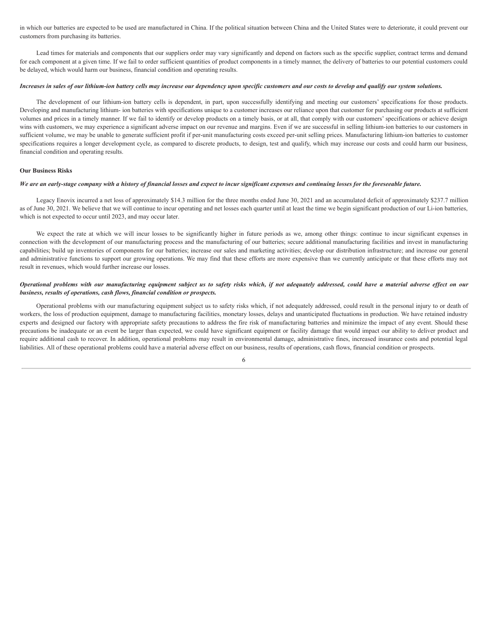in which our batteries are expected to be used are manufactured in China. If the political situation between China and the United States were to deteriorate, it could prevent our customers from purchasing its batteries.

Lead times for materials and components that our suppliers order may vary significantly and depend on factors such as the specific supplier, contract terms and demand for each component at a given time. If we fail to order sufficient quantities of product components in a timely manner, the delivery of batteries to our potential customers could be delayed, which would harm our business, financial condition and operating results.

## Increases in sales of our lithium-ion battery cells may increase our dependency upon specific customers and our costs to develop and qualify our system solutions.

The development of our lithium-ion battery cells is dependent, in part, upon successfully identifying and meeting our customers' specifications for those products. Developing and manufacturing lithium- ion batteries with specifications unique to a customer increases our reliance upon that customer for purchasing our products at sufficient volumes and prices in a timely manner. If we fail to identify or develop products on a timely basis, or at all, that comply with our customers' specifications or achieve design wins with customers, we may experience a significant adverse impact on our revenue and margins. Even if we are successful in selling lithium-ion batteries to our customers in sufficient volume, we may be unable to generate sufficient profit if per-unit manufacturing costs exceed per-unit selling prices. Manufacturing lithium-ion batteries to customer specifications requires a longer development cycle, as compared to discrete products, to design, test and qualify, which may increase our costs and could harm our business, financial condition and operating results.

#### **Our Business Risks**

#### We are an early-stage company with a history of financial losses and expect to incur significant expenses and continuing losses for the foreseeable future.

Legacy Enovix incurred a net loss of approximately \$14.3 million for the three months ended June 30, 2021 and an accumulated deficit of approximately \$237.7 million as of June 30, 2021. We believe that we will continue to incur operating and net losses each quarter until at least the time we begin significant production of our Li-ion batteries, which is not expected to occur until 2023, and may occur later.

We expect the rate at which we will incur losses to be significantly higher in future periods as we, among other things: continue to incur significant expenses in connection with the development of our manufacturing process and the manufacturing of our batteries; secure additional manufacturing facilities and invest in manufacturing capabilities; build up inventories of components for our batteries; increase our sales and marketing activities; develop our distribution infrastructure; and increase our general and administrative functions to support our growing operations. We may find that these efforts are more expensive than we currently anticipate or that these efforts may not result in revenues, which would further increase our losses.

## Operational problems with our manufacturing equipment subject us to safety risks which, if not adequately addressed, could have a material adverse effect on our *business, results of operations, cash flows, financial condition or prospects.*

Operational problems with our manufacturing equipment subject us to safety risks which, if not adequately addressed, could result in the personal injury to or death of workers, the loss of production equipment, damage to manufacturing facilities, monetary losses, delays and unanticipated fluctuations in production. We have retained industry experts and designed our factory with appropriate safety precautions to address the fire risk of manufacturing batteries and minimize the impact of any event. Should these precautions be inadequate or an event be larger than expected, we could have significant equipment or facility damage that would impact our ability to deliver product and require additional cash to recover. In addition, operational problems may result in environmental damage, administrative fines, increased insurance costs and potential legal liabilities. All of these operational problems could have a material adverse effect on our business, results of operations, cash flows, financial condition or prospects.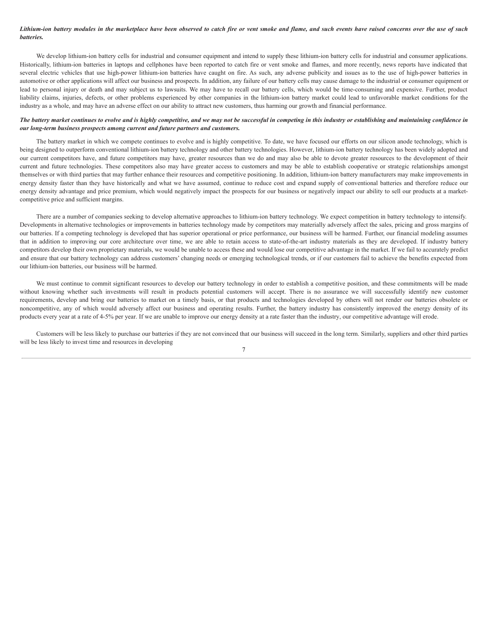## Lithium-ion battery modules in the marketplace have been observed to catch fire or vent smoke and flame, and such events have raised concerns over the use of such *batteries.*

We develop lithium-ion battery cells for industrial and consumer equipment and intend to supply these lithium-ion battery cells for industrial and consumer applications. Historically, lithium-ion batteries in laptops and cellphones have been reported to catch fire or vent smoke and flames, and more recently, news reports have indicated that several electric vehicles that use high-power lithium-ion batteries have caught on fire. As such, any adverse publicity and issues as to the use of high-power batteries in automotive or other applications will affect our business and prospects. In addition, any failure of our battery cells may cause damage to the industrial or consumer equipment or lead to personal injury or death and may subject us to lawsuits. We may have to recall our battery cells, which would be time-consuming and expensive. Further, product liability claims, injuries, defects, or other problems experienced by other companies in the lithium-ion battery market could lead to unfavorable market conditions for the industry as a whole, and may have an adverse effect on our ability to attract new customers, thus harming our growth and financial performance.

## The battery market continues to evolve and is highly competitive, and we may not be successful in competing in this industry or establishing and maintaining confidence in *our long-term business prospects among current and future partners and customers.*

The battery market in which we compete continues to evolve and is highly competitive. To date, we have focused our efforts on our silicon anode technology, which is being designed to outperform conventional lithium-ion battery technology and other battery technologies. However, lithium-ion battery technology has been widely adopted and our current competitors have, and future competitors may have, greater resources than we do and may also be able to devote greater resources to the development of their current and future technologies. These competitors also may have greater access to customers and may be able to establish cooperative or strategic relationships amongst themselves or with third parties that may further enhance their resources and competitive positioning. In addition, lithium-ion battery manufacturers may make improvements in energy density faster than they have historically and what we have assumed, continue to reduce cost and expand supply of conventional batteries and therefore reduce our energy density advantage and price premium, which would negatively impact the prospects for our business or negatively impact our ability to sell our products at a marketcompetitive price and sufficient margins.

There are a number of companies seeking to develop alternative approaches to lithium-ion battery technology. We expect competition in battery technology to intensify. Developments in alternative technologies or improvements in batteries technology made by competitors may materially adversely affect the sales, pricing and gross margins of our batteries. If a competing technology is developed that has superior operational or price performance, our business will be harmed. Further, our financial modeling assumes that in addition to improving our core architecture over time, we are able to retain access to state-of-the-art industry materials as they are developed. If industry battery competitors develop their own proprietary materials, we would be unable to access these and would lose our competitive advantage in the market. If we fail to accurately predict and ensure that our battery technology can address customers' changing needs or emerging technological trends, or if our customers fail to achieve the benefits expected from our lithium-ion batteries, our business will be harmed.

We must continue to commit significant resources to develop our battery technology in order to establish a competitive position, and these commitments will be made without knowing whether such investments will result in products potential customers will accept. There is no assurance we will successfully identify new customer requirements, develop and bring our batteries to market on a timely basis, or that products and technologies developed by others will not render our batteries obsolete or noncompetitive, any of which would adversely affect our business and operating results. Further, the battery industry has consistently improved the energy density of its products every year at a rate of 4-5% per year. If we are unable to improve our energy density at a rate faster than the industry, our competitive advantage will erode.

Customers will be less likely to purchase our batteries if they are not convinced that our business will succeed in the long term. Similarly, suppliers and other third parties will be less likely to invest time and resources in developing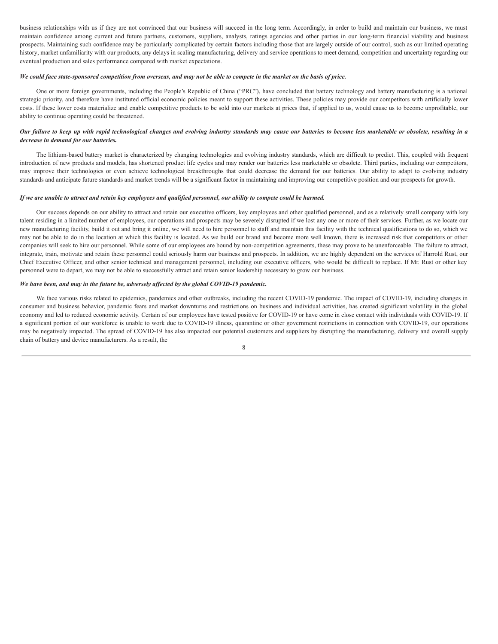business relationships with us if they are not convinced that our business will succeed in the long term. Accordingly, in order to build and maintain our business, we must maintain confidence among current and future partners, customers, suppliers, analysts, ratings agencies and other parties in our long-term financial viability and business prospects. Maintaining such confidence may be particularly complicated by certain factors including those that are largely outside of our control, such as our limited operating history, market unfamiliarity with our products, any delays in scaling manufacturing, delivery and service operations to meet demand, competition and uncertainty regarding our eventual production and sales performance compared with market expectations.

#### We could face state-sponsored competition from overseas, and may not be able to compete in the market on the basis of price.

One or more foreign governments, including the People's Republic of China ("PRC"), have concluded that battery technology and battery manufacturing is a national strategic priority, and therefore have instituted official economic policies meant to support these activities. These policies may provide our competitors with artificially lower costs. If these lower costs materialize and enable competitive products to be sold into our markets at prices that, if applied to us, would cause us to become unprofitable, our ability to continue operating could be threatened.

## Our failure to keep up with rapid technological changes and evolving industry standards may cause our batteries to become less marketable or obsolete, resulting in a *decrease in demand for our batteries.*

The lithium-based battery market is characterized by changing technologies and evolving industry standards, which are difficult to predict. This, coupled with frequent introduction of new products and models, has shortened product life cycles and may render our batteries less marketable or obsolete. Third parties, including our competitors, may improve their technologies or even achieve technological breakthroughs that could decrease the demand for our batteries. Our ability to adapt to evolving industry standards and anticipate future standards and market trends will be a significant factor in maintaining and improving our competitive position and our prospects for growth.

## If we are unable to attract and retain key employees and qualified personnel, our ability to compete could be harmed.

Our success depends on our ability to attract and retain our executive officers, key employees and other qualified personnel, and as a relatively small company with key talent residing in a limited number of employees, our operations and prospects may be severely disrupted if we lost any one or more of their services. Further, as we locate our new manufacturing facility, build it out and bring it online, we will need to hire personnel to staff and maintain this facility with the technical qualifications to do so, which we may not be able to do in the location at which this facility is located. As we build our brand and become more well known, there is increased risk that competitors or other companies will seek to hire our personnel. While some of our employees are bound by non-competition agreements, these may prove to be unenforceable. The failure to attract, integrate, train, motivate and retain these personnel could seriously harm our business and prospects. In addition, we are highly dependent on the services of Harrold Rust, our Chief Executive Officer, and other senior technical and management personnel, including our executive officers, who would be difficult to replace. If Mr. Rust or other key personnel were to depart, we may not be able to successfully attract and retain senior leadership necessary to grow our business.

#### *We have been, and may in the future be, adversely af ected by the global COVID-19 pandemic.*

We face various risks related to epidemics, pandemics and other outbreaks, including the recent COVID-19 pandemic. The impact of COVID-19, including changes in consumer and business behavior, pandemic fears and market downturns and restrictions on business and individual activities, has created significant volatility in the global economy and led to reduced economic activity. Certain of our employees have tested positive for COVID-19 or have come in close contact with individuals with COVID-19. If a significant portion of our workforce is unable to work due to COVID-19 illness, quarantine or other government restrictions in connection with COVID-19, our operations may be negatively impacted. The spread of COVID-19 has also impacted our potential customers and suppliers by disrupting the manufacturing, delivery and overall supply chain of battery and device manufacturers. As a result, the

<sup>8</sup>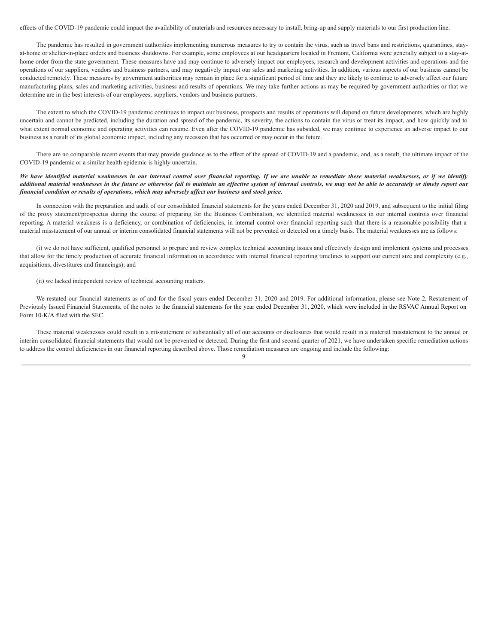effects of the COVID-19 pandemic could impact the availability of materials and resources necessary to install, bring-up and supply materials to our first production line.

The pandemic has resulted in government authorities implementing numerous measures to try to contain the virus, such as travel bans and restrictions, quarantines, stayat-home or shelter-in-place orders and business shutdowns. For example, some employees at our headquarters located in Fremont, California were generally subject to a stay-athome order from the state government. These measures have and may continue to adversely impact our employees, research and development activities and operations and the operations of our suppliers, vendors and business partners, and may negatively impact our sales and marketing activities. In addition, various aspects of our business cannot be conducted remotely. These measures by government authorities may remain in place for a significant period of time and they are likely to continue to adversely affect our future manufacturing plans, sales and marketing activities, business and results of operations. We may take further actions as may be required by government authorities or that we determine are in the best interests of our employees, suppliers, vendors and business partners.

The extent to which the COVID-19 pandemic continues to impact our business, prospects and results of operations will depend on future developments, which are highly uncertain and cannot be predicted, including the duration and spread of the pandemic, its severity, the actions to contain the virus or treat its impact, and how quickly and to what extent normal economic and operating activities can resume. Even after the COVID-19 pandemic has subsided, we may continue to experience an adverse impact to our business as a result of its global economic impact, including any recession that has occurred or may occur in the future.

There are no comparable recent events that may provide guidance as to the effect of the spread of COVID-19 and a pandemic, and, as a result, the ultimate impact of the COVID-19 pandemic or a similar health epidemic is highly uncertain.

## We have identified material weaknesses in our internal control over financial reporting. If we are unable to remediate these material weaknesses, or if we identify additional material weaknesses in the future or otherwise fail to maintain an effective system of internal controls, we may not be able to accurately or timely report our *financial condition or results of operations, which may adversely af ect our business and stock price.*

In connection with the preparation and audit of our consolidated financial statements for the years ended December 31, 2020 and 2019, and subsequent to the initial filing of the proxy statement/prospectus during the course of preparing for the Business Combination, we identified material weaknesses in our internal controls over financial reporting. A material weakness is a deficiency, or combination of deficiencies, in internal control over financial reporting such that there is a reasonable possibility that a material misstatement of our annual or interim consolidated financial statements will not be prevented or detected on a timely basis. The material weaknesses are as follows:

(i) we do not have sufficient, qualified personnel to prepare and review complex technical accounting issues and effectively design and implement systems and processes that allow for the timely production of accurate financial information in accordance with internal financial reporting timelines to support our current size and complexity (e.g., acquisitions, divestitures and financings); and

(ii) we lacked independent review of technical accounting matters.

We restated our financial statements as of and for the fiscal years ended December 31, 2020 and 2019. For additional information, please see Note 2, Restatement of Previously Issued Financial Statements, of the notes to the financial statements for the year ended December 31, 2020, which were included in the RSVAC Annual Report on Form 10-K/A filed with the SEC.

These material weaknesses could result in a misstatement of substantially all of our accounts or disclosures that would result in a material misstatement to the annual or interim consolidated financial statements that would not be prevented or detected. During the first and second quarter of 2021, we have undertaken specific remediation actions to address the control deficiencies in our financial reporting described above. Those remediation measures are ongoing and include the following: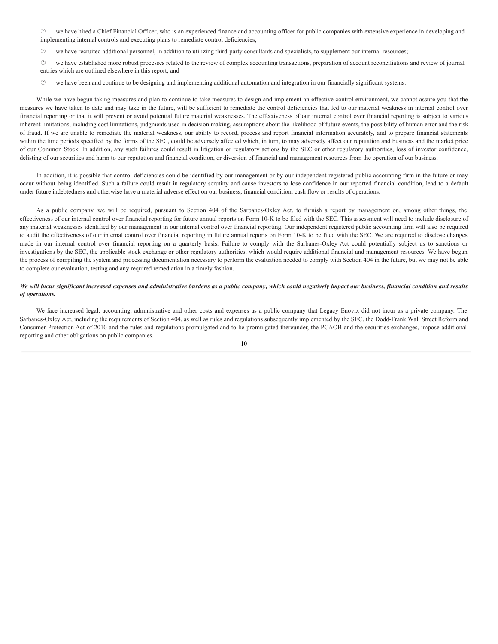· we have hired a Chief Financial Officer, who is an experienced finance and accounting officer for public companies with extensive experience in developing and implementing internal controls and executing plans to remediate control deficiencies;

· we have recruited additional personnel, in addition to utilizing third-party consultants and specialists, to supplement our internal resources;

· we have established more robust processes related to the review of complex accounting transactions, preparation of account reconciliations and review of journal entries which are outlined elsewhere in this report; and

 $\heartsuit$  we have been and continue to be designing and implementing additional automation and integration in our financially significant systems.

While we have begun taking measures and plan to continue to take measures to design and implement an effective control environment, we cannot assure you that the measures we have taken to date and may take in the future, will be sufficient to remediate the control deficiencies that led to our material weakness in internal control over financial reporting or that it will prevent or avoid potential future material weaknesses. The effectiveness of our internal control over financial reporting is subject to various inherent limitations, including cost limitations, judgments used in decision making, assumptions about the likelihood of future events, the possibility of human error and the risk of fraud. If we are unable to remediate the material weakness, our ability to record, process and report financial information accurately, and to prepare financial statements within the time periods specified by the forms of the SEC, could be adversely affected which, in turn, to may adversely affect our reputation and business and the market price of our Common Stock. In addition, any such failures could result in litigation or regulatory actions by the SEC or other regulatory authorities, loss of investor confidence, delisting of our securities and harm to our reputation and financial condition, or diversion of financial and management resources from the operation of our business.

In addition, it is possible that control deficiencies could be identified by our management or by our independent registered public accounting firm in the future or may occur without being identified. Such a failure could result in regulatory scrutiny and cause investors to lose confidence in our reported financial condition, lead to a default under future indebtedness and otherwise have a material adverse effect on our business, financial condition, cash flow or results of operations.

As a public company, we will be required, pursuant to Section 404 of the Sarbanes-Oxley Act, to furnish a report by management on, among other things, the effectiveness of our internal control over financial reporting for future annual reports on Form 10-K to be filed with the SEC. This assessment will need to include disclosure of any material weaknesses identified by our management in our internal control over financial reporting. Our independent registered public accounting firm will also be required to audit the effectiveness of our internal control over financial reporting in future annual reports on Form 10-K to be filed with the SEC. We are required to disclose changes made in our internal control over financial reporting on a quarterly basis. Failure to comply with the Sarbanes-Oxley Act could potentially subject us to sanctions or investigations by the SEC, the applicable stock exchange or other regulatory authorities, which would require additional financial and management resources. We have begun the process of compiling the system and processing documentation necessary to perform the evaluation needed to comply with Section 404 in the future, but we may not be able to complete our evaluation, testing and any required remediation in a timely fashion.

## We will incur significant increased expenses and administrative burdens as a public company, which could negatively impact our business, financial condition and results *of operations.*

We face increased legal, accounting, administrative and other costs and expenses as a public company that Legacy Enovix did not incur as a private company. The Sarbanes-Oxley Act, including the requirements of Section 404, as well as rules and regulations subsequently implemented by the SEC, the Dodd-Frank Wall Street Reform and Consumer Protection Act of 2010 and the rules and regulations promulgated and to be promulgated thereunder, the PCAOB and the securities exchanges, impose additional reporting and other obligations on public companies.

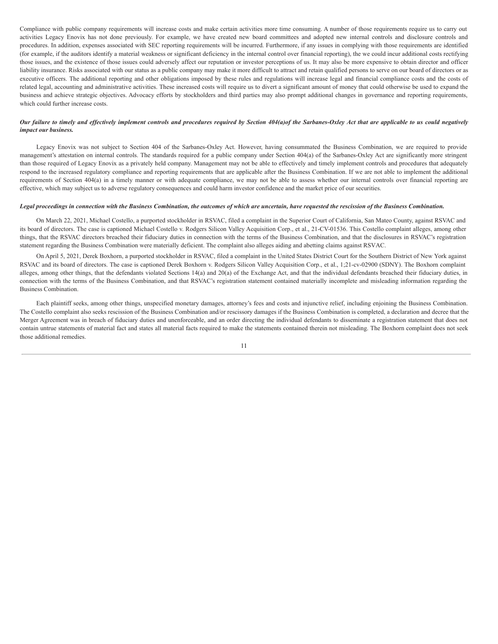Compliance with public company requirements will increase costs and make certain activities more time consuming. A number of those requirements require us to carry out activities Legacy Enovix has not done previously. For example, we have created new board committees and adopted new internal controls and disclosure controls and procedures. In addition, expenses associated with SEC reporting requirements will be incurred. Furthermore, if any issues in complying with those requirements are identified (for example, if the auditors identify a material weakness or significant deficiency in the internal control over financial reporting), the we could incur additional costs rectifying those issues, and the existence of those issues could adversely affect our reputation or investor perceptions of us. It may also be more expensive to obtain director and officer liability insurance. Risks associated with our status as a public company may make it more difficult to attract and retain qualified persons to serve on our board of directors or as executive officers. The additional reporting and other obligations imposed by these rules and regulations will increase legal and financial compliance costs and the costs of related legal, accounting and administrative activities. These increased costs will require us to divert a significant amount of money that could otherwise be used to expand the business and achieve strategic objectives. Advocacy efforts by stockholders and third parties may also prompt additional changes in governance and reporting requirements, which could further increase costs.

## Our failure to timely and effectively implement controls and procedures required by Section 404(a) of the Sarbanes-Oxley Act that are applicable to us could negatively *impact our business.*

Legacy Enovix was not subject to Section 404 of the Sarbanes-Oxley Act. However, having consummated the Business Combination, we are required to provide management's attestation on internal controls. The standards required for a public company under Section 404(a) of the Sarbanes-Oxley Act are significantly more stringent than those required of Legacy Enovix as a privately held company. Management may not be able to effectively and timely implement controls and procedures that adequately respond to the increased regulatory compliance and reporting requirements that are applicable after the Business Combination. If we are not able to implement the additional requirements of Section 404(a) in a timely manner or with adequate compliance, we may not be able to assess whether our internal controls over financial reporting are effective, which may subject us to adverse regulatory consequences and could harm investor confidence and the market price of our securities.

## Legal proceedings in connection with the Business Combination, the outcomes of which are uncertain, have requested the rescission of the Business Combination.

On March 22, 2021, Michael Costello, a purported stockholder in RSVAC, filed a complaint in the Superior Court of California, San Mateo County, against RSVAC and its board of directors. The case is captioned Michael Costello v. Rodgers Silicon Valley Acquisition Corp., et al., 21-CV-01536. This Costello complaint alleges, among other things, that the RSVAC directors breached their fiduciary duties in connection with the terms of the Business Combination, and that the disclosures in RSVAC's registration statement regarding the Business Combination were materially deficient. The complaint also alleges aiding and abetting claims against RSVAC.

On April 5, 2021, Derek Boxhorn, a purported stockholder in RSVAC, filed a complaint in the United States District Court for the Southern District of New York against RSVAC and its board of directors. The case is captioned Derek Boxhorn v. Rodgers Silicon Valley Acquisition Corp., et al., 1;21-cv-02900 (SDNY). The Boxhorn complaint alleges, among other things, that the defendants violated Sections 14(a) and 20(a) of the Exchange Act, and that the individual defendants breached their fiduciary duties, in connection with the terms of the Business Combination, and that RSVAC's registration statement contained materially incomplete and misleading information regarding the Business Combination.

Each plaintiff seeks, among other things, unspecified monetary damages, attorney's fees and costs and injunctive relief, including enjoining the Business Combination. The Costello complaint also seeks rescission of the Business Combination and/or rescissory damages if the Business Combination is completed, a declaration and decree that the Merger Agreement was in breach of fiduciary duties and unenforceable, and an order directing the individual defendants to disseminate a registration statement that does not contain untrue statements of material fact and states all material facts required to make the statements contained therein not misleading. The Boxhorn complaint does not seek those additional remedies.

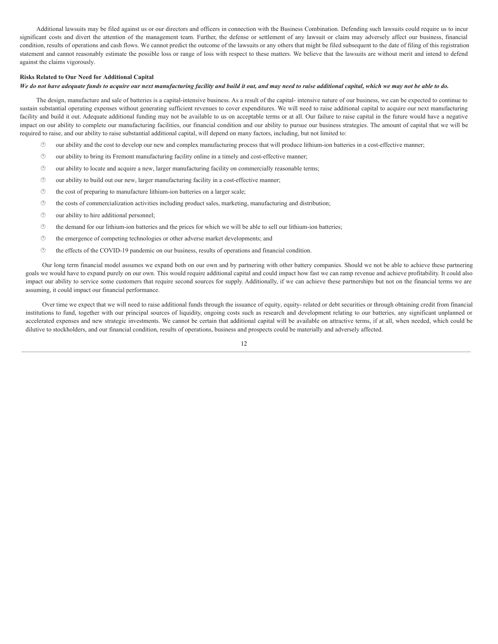Additional lawsuits may be filed against us or our directors and officers in connection with the Business Combination. Defending such lawsuits could require us to incur significant costs and divert the attention of the management team. Further, the defense or settlement of any lawsuit or claim may adversely affect our business, financial condition, results of operations and cash flows. We cannot predict the outcome of the lawsuits or any others that might be filed subsequent to the date of filing of this registration statement and cannot reasonably estimate the possible loss or range of loss with respect to these matters. We believe that the lawsuits are without merit and intend to defend against the claims vigorously.

## **Risks Related to Our Need for Additional Capital**

## We do not have adequate funds to acquire our next manufacturing facility and build it out, and may need to raise additional capital, which we may not be able to do.

The design, manufacture and sale of batteries is a capital-intensive business. As a result of the capital- intensive nature of our business, we can be expected to continue to sustain substantial operating expenses without generating sufficient revenues to cover expenditures. We will need to raise additional capital to acquire our next manufacturing facility and build it out. Adequate additional funding may not be available to us on acceptable terms or at all. Our failure to raise capital in the future would have a negative impact on our ability to complete our manufacturing facilities, our financial condition and our ability to pursue our business strategies. The amount of capital that we will be required to raise, and our ability to raise substantial additional capital, will depend on many factors, including, but not limited to:

- · our ability and the cost to develop our new and complex manufacturing process that will produce lithium-ion batteries in a cost-effective manner;
- · our ability to bring its Fremont manufacturing facility online in a timely and cost-effective manner;
- · our ability to locate and acquire a new, larger manufacturing facility on commercially reasonable terms;
- $\circled{1}$  our ability to build out our new, larger manufacturing facility in a cost-effective manner;
- · the cost of preparing to manufacture lithium-ion batteries on a larger scale;
- · the costs of commercialization activities including product sales, marketing, manufacturing and distribution;
- $\circled{0}$  our ability to hire additional personnel;
- $<sup>①</sup>$  the demand for our lithium-ion batteries and the prices for which we will be able to sell our lithium-ion batteries;</sup>
- $\circled{e}$  the emergence of competing technologies or other adverse market developments; and
- · the effects of the COVID-19 pandemic on our business, results of operations and financial condition.

Our long term financial model assumes we expand both on our own and by partnering with other battery companies. Should we not be able to achieve these partnering goals we would have to expand purely on our own. This would require additional capital and could impact how fast we can ramp revenue and achieve profitability. It could also impact our ability to service some customers that require second sources for supply. Additionally, if we can achieve these partnerships but not on the financial terms we are assuming, it could impact our financial performance.

Over time we expect that we will need to raise additional funds through the issuance of equity, equity- related or debt securities or through obtaining credit from financial institutions to fund, together with our principal sources of liquidity, ongoing costs such as research and development relating to our batteries, any significant unplanned or accelerated expenses and new strategic investments. We cannot be certain that additional capital will be available on attractive terms, if at all, when needed, which could be dilutive to stockholders, and our financial condition, results of operations, business and prospects could be materially and adversely affected.

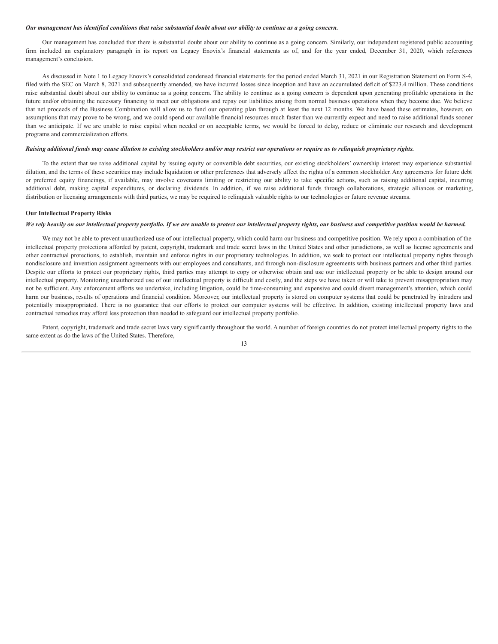## <span id="page-45-0"></span>Our management has identified conditions that raise substantial doubt about our ability to continue as a going concern.

Our management has concluded that there is substantial doubt about our ability to continue as a going concern. Similarly, our independent registered public accounting firm included an explanatory paragraph in its report on Legacy Enovix's financial statements as of, and for the year ended, December 31, 2020, which references management's conclusion.

As discussed in Note 1 to Legacy Enovix's consolidated condensed financial statements for the period ended March 31, 2021 in our Registration Statement on Form S-4, filed with the SEC on March 8, 2021 and subsequently amended, we have incurred losses since inception and have an accumulated deficit of \$223.4 million. These conditions raise substantial doubt about our ability to continue as a going concern. The ability to continue as a going concern is dependent upon generating profitable operations in the future and/or obtaining the necessary financing to meet our obligations and repay our liabilities arising from normal business operations when they become due. We believe that net proceeds of the Business Combination will allow us to fund our operating plan through at least the next 12 months. We have based these estimates, however, on assumptions that may prove to be wrong, and we could spend our available financial resources much faster than we currently expect and need to raise additional funds sooner than we anticipate. If we are unable to raise capital when needed or on acceptable terms, we would be forced to delay, reduce or eliminate our research and development programs and commercialization efforts.

#### Raising additional funds may cause dilution to existing stockholders and/or may restrict our operations or require us to relinquish proprietary rights.

To the extent that we raise additional capital by issuing equity or convertible debt securities, our existing stockholders' ownership interest may experience substantial dilution, and the terms of these securities may include liquidation or other preferences that adversely affect the rights of a common stockholder. Any agreements for future debt or preferred equity financings, if available, may involve covenants limiting or restricting our ability to take specific actions, such as raising additional capital, incurring additional debt, making capital expenditures, or declaring dividends. In addition, if we raise additional funds through collaborations, strategic alliances or marketing, distribution or licensing arrangements with third parties, we may be required to relinquish valuable rights to our technologies or future revenue streams.

## **Our Intellectual Property Risks**

#### We rely heavily on our intellectual property portfolio. If we are unable to protect our intellectual property rights, our business and competitive position would be harmed.

We may not be able to prevent unauthorized use of our intellectual property, which could harm our business and competitive position. We rely upon a combination of the intellectual property protections afforded by patent, copyright, trademark and trade secret laws in the United States and other jurisdictions, as well as license agreements and other contractual protections, to establish, maintain and enforce rights in our proprietary technologies. In addition, we seek to protect our intellectual property rights through nondisclosure and invention assignment agreements with our employees and consultants, and through non-disclosure agreements with business partners and other third parties. Despite our efforts to protect our proprietary rights, third parties may attempt to copy or otherwise obtain and use our intellectual property or be able to design around our intellectual property. Monitoring unauthorized use of our intellectual property is difficult and costly, and the steps we have taken or will take to prevent misappropriation may not be sufficient. Any enforcement efforts we undertake, including litigation, could be time-consuming and expensive and could divert management's attention, which could harm our business, results of operations and financial condition. Moreover, our intellectual property is stored on computer systems that could be penetrated by intruders and potentially misappropriated. There is no guarantee that our efforts to protect our computer systems will be effective. In addition, existing intellectual property laws and contractual remedies may afford less protection than needed to safeguard our intellectual property portfolio.

Patent, copyright, trademark and trade secret laws vary significantly throughout the world. A number of foreign countries do not protect intellectual property rights to the same extent as do the laws of the United States. Therefore,

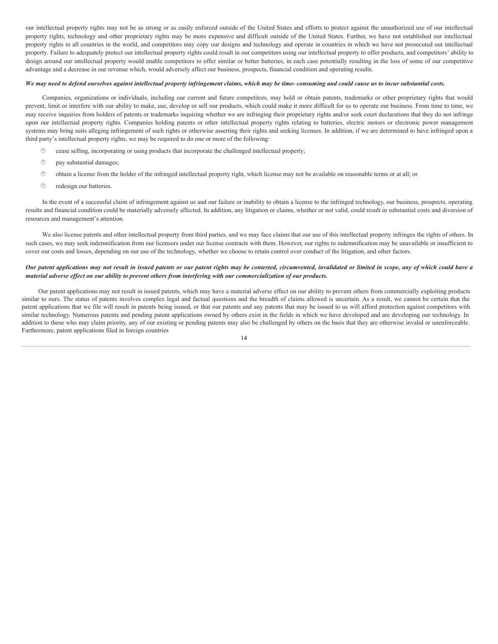our intellectual property rights may not be as strong or as easily enforced outside of the United States and efforts to protect against the unauthorized use of our intellectual property rights, technology and other proprietary rights may be more expensive and difficult outside of the United States. Further, we have not established our intellectual property rights in all countries in the world, and competitors may copy our designs and technology and operate in countries in which we have not prosecuted out intellectual property. Failure to adequately protect our intellectual property rights could result in our competitors using our intellectual property to offer products, and competitors' ability to design around our intellectual property would enable competitors to offer similar or better batteries, in each case potentially resulting in the loss of some of our competitive advantage and a decrease in our revenue which, would adversely affect our business, prospects, financial condition and operating results.

#### We may need to defend ourselves against intellectual property infringement claims, which may be time- consuming and could cause us to incur substantial costs.

Companies, organizations or individuals, including our current and future competitors, may hold or obtain patents, trademarks or other proprietary rights that would prevent, limit or interfere with our ability to make, use, develop or sell our products, which could make it more difficult for us to operate our business. From time to time, we may receive inquiries from holders of patents or trademarks inquiring whether we are infringing their proprietary rights and/or seek court declarations that they do not infringe upon our intellectual property rights. Companies holding patents or other intellectual property rights relating to batteries, electric motors or electronic power management systems may bring suits alleging infringement of such rights or otherwise asserting their rights and seeking licenses. In addition, if we are determined to have infringed upon a third party's intellectual property rights, we may be required to do one or more of the following:

- $\circled{?}$  cease selling, incorporating or using products that incorporate the challenged intellectual property;
- $\circled{2}$  pay substantial damages;
- · obtain a license from the holder of the infringed intellectual property right, which license may not be available on reasonable terms or at all; or
- *<sup><i>O***</sup>** redesign our batteries.

In the event of a successful claim of infringement against us and our failure or inability to obtain a license to the infringed technology, our business, prospects, operating results and financial condition could be materially adversely affected. In addition, any litigation or claims, whether or not valid, could result in substantial costs and diversion of resources and management's attention.

We also license patents and other intellectual property from third parties, and we may face claims that our use of this intellectual property infringes the rights of others. In such cases, we may seek indemnification from our licensors under our license contracts with them. However, our rights to indemnification may be unavailable or insufficient to cover our costs and losses, depending on our use of the technology, whether we choose to retain control over conduct of the litigation, and other factors.

## Our patent applications may not result in issued patents or our patent rights may be contested, circumvented, invalidated or limited in scope, any of which could have a material adverse effect on our ability to prevent others from interfering with our commercialization of our products.

Our patent applications may not result in issued patents, which may have a material adverse effect on our ability to prevent others from commercially exploiting products similar to ours. The status of patents involves complex legal and factual questions and the breadth of claims allowed is uncertain. As a result, we cannot be certain that the patent applications that we file will result in patents being issued, or that our patents and any patents that may be issued to us will afford protection against competitors with similar technology. Numerous patents and pending patent applications owned by others exist in the fields in which we have developed and are developing our technology. In addition to those who may claim priority, any of our existing or pending patents may also be challenged by others on the basis that they are otherwise invalid or unenforceable. Furthermore, patent applications filed in foreign countries

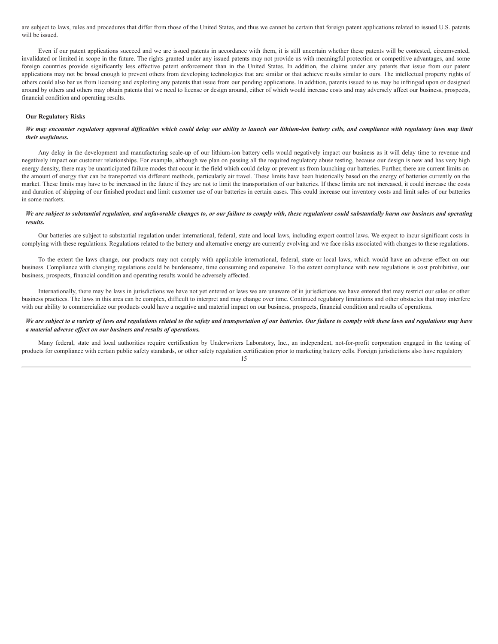are subject to laws, rules and procedures that differ from those of the United States, and thus we cannot be certain that foreign patent applications related to issued U.S. patents will be issued.

Even if our patent applications succeed and we are issued patents in accordance with them, it is still uncertain whether these patents will be contested, circumvented, invalidated or limited in scope in the future. The rights granted under any issued patents may not provide us with meaningful protection or competitive advantages, and some foreign countries provide significantly less effective patent enforcement than in the United States. In addition, the claims under any patents that issue from our patent applications may not be broad enough to prevent others from developing technologies that are similar or that achieve results similar to ours. The intellectual property rights of others could also bar us from licensing and exploiting any patents that issue from our pending applications. In addition, patents issued to us may be infringed upon or designed around by others and others may obtain patents that we need to license or design around, either of which would increase costs and may adversely affect our business, prospects, financial condition and operating results.

## **Our Regulatory Risks**

## We may encounter regulatory approval difficulties which could delay our ability to launch our lithium-ion battery cells, and compliance with regulatory laws may limit *their usefulness.*

Any delay in the development and manufacturing scale-up of our lithium-ion battery cells would negatively impact our business as it will delay time to revenue and negatively impact our customer relationships. For example, although we plan on passing all the required regulatory abuse testing, because our design is new and has very high energy density, there may be unanticipated failure modes that occur in the field which could delay or prevent us from launching our batteries. Further, there are current limits on the amount of energy that can be transported via different methods, particularly air travel. These limits have been historically based on the energy of batteries currently on the market. These limits may have to be increased in the future if they are not to limit the transportation of our batteries. If these limits are not increased, it could increase the costs and duration of shipping of our finished product and limit customer use of our batteries in certain cases. This could increase our inventory costs and limit sales of our batteries in some markets.

## We are subject to substantial regulation, and unfavorable changes to, or our failure to comply with, these regulations could substantially harm our business and operating *results.*

Our batteries are subject to substantial regulation under international, federal, state and local laws, including export control laws. We expect to incur significant costs in complying with these regulations. Regulations related to the battery and alternative energy are currently evolving and we face risks associated with changes to these regulations.

To the extent the laws change, our products may not comply with applicable international, federal, state or local laws, which would have an adverse effect on our business. Compliance with changing regulations could be burdensome, time consuming and expensive. To the extent compliance with new regulations is cost prohibitive, our business, prospects, financial condition and operating results would be adversely affected.

Internationally, there may be laws in jurisdictions we have not yet entered or laws we are unaware of in jurisdictions we have entered that may restrict our sales or other business practices. The laws in this area can be complex, difficult to interpret and may change over time. Continued regulatory limitations and other obstacles that may interfere with our ability to commercialize our products could have a negative and material impact on our business, prospects, financial condition and results of operations.

## We are subject to a variety of laws and regulations related to the safety and transportation of our batteries. Our failure to comply with these laws and regulations may have *a material adverse ef ect on our business and results of operations.*

Many federal, state and local authorities require certification by Underwriters Laboratory, Inc., an independent, not-for-profit corporation engaged in the testing of products for compliance with certain public safety standards, or other safety regulation certification prior to marketing battery cells. Foreign jurisdictions also have regulatory 15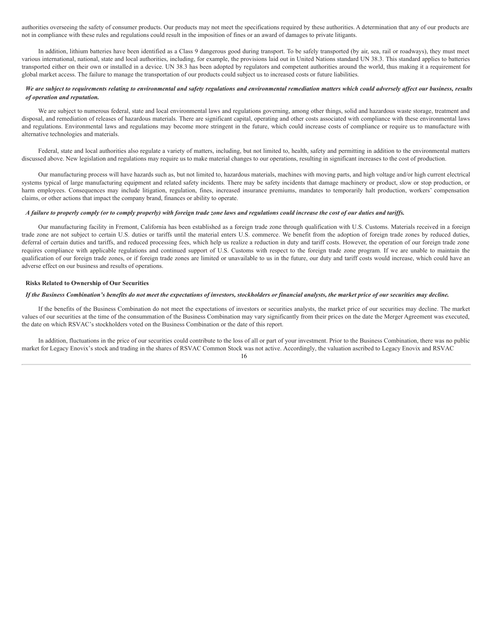authorities overseeing the safety of consumer products. Our products may not meet the specifications required by these authorities. A determination that any of our products are not in compliance with these rules and regulations could result in the imposition of fines or an award of damages to private litigants.

In addition, lithium batteries have been identified as a Class 9 dangerous good during transport. To be safely transported (by air, sea, rail or roadways), they must meet various international, national, state and local authorities, including, for example, the provisions laid out in United Nations standard UN 38.3. This standard applies to batteries transported either on their own or installed in a device. UN 38.3 has been adopted by regulators and competent authorities around the world, thus making it a requirement for global market access. The failure to manage the transportation of our products could subject us to increased costs or future liabilities.

## We are subject to requirements relating to environmental and safety regulations and environmental remediation matters which could adversely affect our business, results *of operation and reputation.*

We are subject to numerous federal, state and local environmental laws and regulations governing, among other things, solid and hazardous waste storage, treatment and disposal, and remediation of releases of hazardous materials. There are significant capital, operating and other costs associated with compliance with these environmental laws and regulations. Environmental laws and regulations may become more stringent in the future, which could increase costs of compliance or require us to manufacture with alternative technologies and materials.

Federal, state and local authorities also regulate a variety of matters, including, but not limited to, health, safety and permitting in addition to the environmental matters discussed above. New legislation and regulations may require us to make material changes to our operations, resulting in significant increases to the cost of production.

Our manufacturing process will have hazards such as, but not limited to, hazardous materials, machines with moving parts, and high voltage and/or high current electrical systems typical of large manufacturing equipment and related safety incidents. There may be safety incidents that damage machinery or product, slow or stop production, or harm employees. Consequences may include litigation, regulation, fines, increased insurance premiums, mandates to temporarily halt production, workers' compensation claims, or other actions that impact the company brand, finances or ability to operate.

## A failure to properly comply (or to comply properly) with foreign trade zone laws and regulations could increase the cost of our duties and tariffs.

Our manufacturing facility in Fremont, California has been established as a foreign trade zone through qualification with U.S. Customs. Materials received in a foreign trade zone are not subject to certain U.S. duties or tariffs until the material enters U.S. commerce. We benefit from the adoption of foreign trade zones by reduced duties, deferral of certain duties and tariffs, and reduced processing fees, which help us realize a reduction in duty and tariff costs. However, the operation of our foreign trade zone requires compliance with applicable regulations and continued support of U.S. Customs with respect to the foreign trade zone program. If we are unable to maintain the qualification of our foreign trade zones, or if foreign trade zones are limited or unavailable to us in the future, our duty and tariff costs would increase, which could have an adverse effect on our business and results of operations.

## **Risks Related to Ownership of Our Securities**

#### If the Business Combination's benefits do not meet the expectations of investors, stockholders or financial analysts, the market price of our securities may decline.

If the benefits of the Business Combination do not meet the expectations of investors or securities analysts, the market price of our securities may decline. The market values of our securities at the time of the consummation of the Business Combination may vary significantly from their prices on the date the Merger Agreement was executed, the date on which RSVAC's stockholders voted on the Business Combination or the date of this report.

In addition, fluctuations in the price of our securities could contribute to the loss of all or part of your investment. Prior to the Business Combination, there was no public market for Legacy Enovix's stock and trading in the shares of RSVAC Common Stock was not active. Accordingly, the valuation ascribed to Legacy Enovix and RSVAC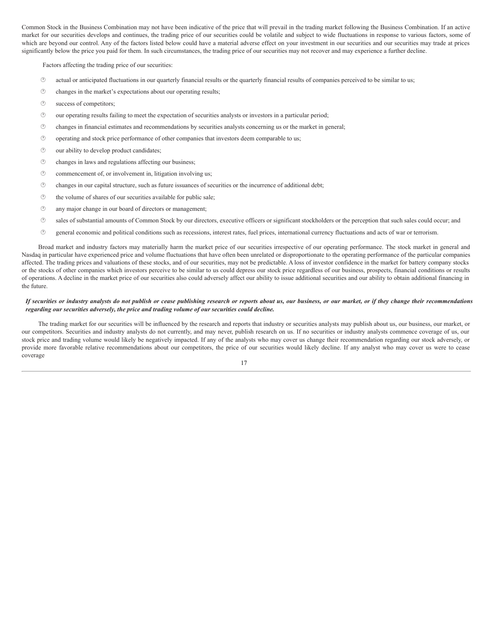Common Stock in the Business Combination may not have been indicative of the price that will prevail in the trading market following the Business Combination. If an active market for our securities develops and continues, the trading price of our securities could be volatile and subject to wide fluctuations in response to various factors, some of which are beyond our control. Any of the factors listed below could have a material adverse effect on your investment in our securities and our securities may trade at prices significantly below the price you paid for them. In such circumstances, the trading price of our securities may not recover and may experience a further decline.

Factors affecting the trading price of our securities:

- · actual or anticipated fluctuations in our quarterly financial results or the quarterly financial results of companies perceived to be similar to us;
- · changes in the market's expectations about our operating results;
- $\circled{v}$  success of competitors;
- · our operating results failing to meet the expectation of securities analysts or investors in a particular period;
- · changes in financial estimates and recommendations by securities analysts concerning us or the market in general;
- · operating and stock price performance of other companies that investors deem comparable to us;
- $\circled{0}$  our ability to develop product candidates;
- · changes in laws and regulations affecting our business;
- $\circled{r}$  commencement of, or involvement in, litigation involving us;
- · changes in our capital structure, such as future issuances of securities or the incurrence of additional debt;
- · the volume of shares of our securities available for public sale;
- · any major change in our board of directors or management;
- · sales of substantial amounts of Common Stock by our directors, executive officers or significant stockholders or the perception that such sales could occur; and
- · general economic and political conditions such as recessions, interest rates, fuel prices, international currency fluctuations and acts of war or terrorism.

Broad market and industry factors may materially harm the market price of our securities irrespective of our operating performance. The stock market in general and Nasdaq in particular have experienced price and volume fluctuations that have often been unrelated or disproportionate to the operating performance of the particular companies affected. The trading prices and valuations of these stocks, and of our securities, may not be predictable. A loss of investor confidence in the market for battery company stocks or the stocks of other companies which investors perceive to be similar to us could depress our stock price regardless of our business, prospects, financial conditions or results of operations. A decline in the market price of our securities also could adversely affect our ability to issue additional securities and our ability to obtain additional financing in the future.

## If securities or industry analysts do not publish or cease publishing research or reports about us, our business, or our market, or if they change their recommendations *regarding our securities adversely, the price and trading volume of our securities could decline.*

The trading market for our securities will be influenced by the research and reports that industry or securities analysts may publish about us, our business, our market, or our competitors. Securities and industry analysts do not currently, and may never, publish research on us. If no securities or industry analysts commence coverage of us, our stock price and trading volume would likely be negatively impacted. If any of the analysts who may cover us change their recommendation regarding our stock adversely, or provide more favorable relative recommendations about our competitors, the price of our securities would likely decline. If any analyst who may cover us were to cease coverage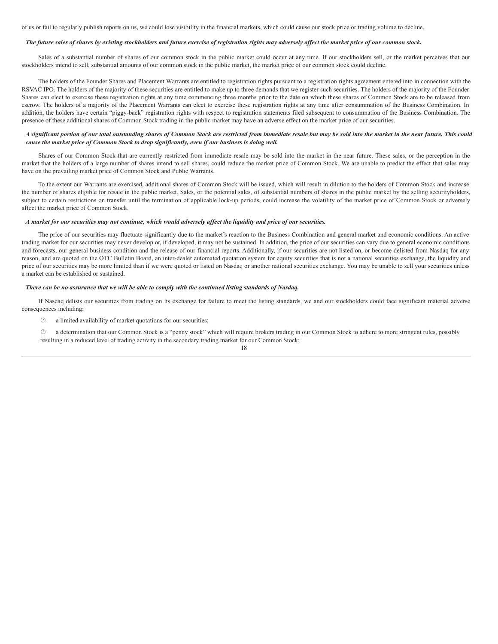of us or fail to regularly publish reports on us, we could lose visibility in the financial markets, which could cause our stock price or trading volume to decline.

#### The future sales of shares by existing stockholders and future exercise of registration rights may adversely affect the market price of our common stock.

Sales of a substantial number of shares of our common stock in the public market could occur at any time. If our stockholders sell, or the market perceives that our stockholders intend to sell, substantial amounts of our common stock in the public market, the market price of our common stock could decline.

The holders of the Founder Shares and Placement Warrants are entitled to registration rights pursuant to a registration rights agreement entered into in connection with the RSVAC IPO. The holders of the majority of these securities are entitled to make up to three demands that we register such securities. The holders of the majority of the Founder Shares can elect to exercise these registration rights at any time commencing three months prior to the date on which these shares of Common Stock are to be released from escrow. The holders of a majority of the Placement Warrants can elect to exercise these registration rights at any time after consummation of the Business Combination. In addition, the holders have certain "piggy-back" registration rights with respect to registration statements filed subsequent to consummation of the Business Combination. The presence of these additional shares of Common Stock trading in the public market may have an adverse effect on the market price of our securities.

## A significant portion of our total outstanding shares of Common Stock are restricted from immediate resale but may be sold into the market in the near future. This could *cause the market price of Common Stock to drop significantly, even if our business is doing well.*

Shares of our Common Stock that are currently restricted from immediate resale may be sold into the market in the near future. These sales, or the perception in the market that the holders of a large number of shares intend to sell shares, could reduce the market price of Common Stock. We are unable to predict the effect that sales may have on the prevailing market price of Common Stock and Public Warrants.

To the extent our Warrants are exercised, additional shares of Common Stock will be issued, which will result in dilution to the holders of Common Stock and increase the number of shares eligible for resale in the public market. Sales, or the potential sales, of substantial numbers of shares in the public market by the selling securityholders, subject to certain restrictions on transfer until the termination of applicable lock-up periods, could increase the volatility of the market price of Common Stock or adversely affect the market price of Common Stock.

#### A market for our securities may not continue, which would adversely affect the liquidity and price of our securities.

The price of our securities may fluctuate significantly due to the market's reaction to the Business Combination and general market and economic conditions. An active trading market for our securities may never develop or, if developed, it may not be sustained. In addition, the price of our securities can vary due to general economic conditions and forecasts, our general business condition and the release of our financial reports. Additionally, if our securities are not listed on, or become delisted from Nasdaq for any reason, and are quoted on the OTC Bulletin Board, an inter-dealer automated quotation system for equity securities that is not a national securities exchange, the liquidity and price of our securities may be more limited than if we were quoted or listed on Nasdaq or another national securities exchange. You may be unable to sell your securities unless a market can be established or sustained.

### There can be no assurance that we will be able to comply with the continued listing standards of Nasdaq.

If Nasdaq delists our securities from trading on its exchange for failure to meet the listing standards, we and our stockholders could face significant material adverse consequences including:

- · a limited availability of market quotations for our securities;
- · a determination that our Common Stock is a "penny stock" which will require brokers trading in our Common Stock to adhere to more stringent rules, possibly resulting in a reduced level of trading activity in the secondary trading market for our Common Stock;

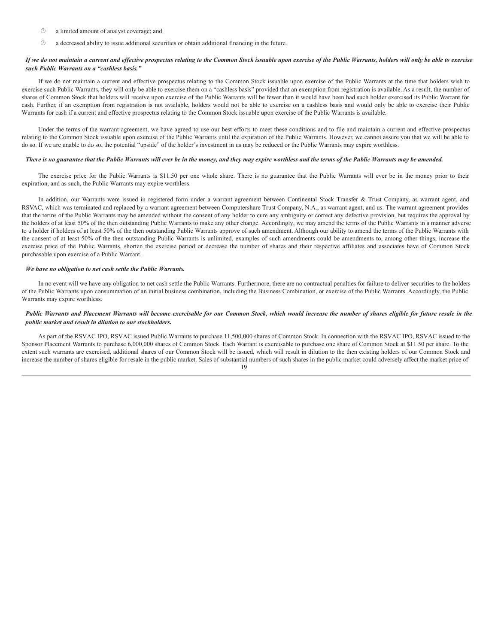- · a limited amount of analyst coverage; and
- $\circled{2}$  a decreased ability to issue additional securities or obtain additional financing in the future.

## If we do not maintain a current and effective prospectus relating to the Common Stock issuable upon exercise of the Public Warrants, holders will only be able to exercise *such Public Warrants on a "cashless basis."*

If we do not maintain a current and effective prospectus relating to the Common Stock issuable upon exercise of the Public Warrants at the time that holders wish to exercise such Public Warrants, they will only be able to exercise them on a "cashless basis" provided that an exemption from registration is available. As a result, the number of shares of Common Stock that holders will receive upon exercise of the Public Warrants will be fewer than it would have been had such holder exercised its Public Warrant for cash. Further, if an exemption from registration is not available, holders would not be able to exercise on a cashless basis and would only be able to exercise their Public Warrants for cash if a current and effective prospectus relating to the Common Stock issuable upon exercise of the Public Warrants is available.

Under the terms of the warrant agreement, we have agreed to use our best efforts to meet these conditions and to file and maintain a current and effective prospectus relating to the Common Stock issuable upon exercise of the Public Warrants until the expiration of the Public Warrants. However, we cannot assure you that we will be able to do so. If we are unable to do so, the potential "upside" of the holder's investment in us may be reduced or the Public Warrants may expire worthless.

## There is no guarantee that the Public Warrants will ever be in the money, and they may expire worthless and the terms of the Public Warrants may be amended.

The exercise price for the Public Warrants is \$11.50 per one whole share. There is no guarantee that the Public Warrants will ever be in the money prior to their expiration, and as such, the Public Warrants may expire worthless.

In addition, our Warrants were issued in registered form under a warrant agreement between Continental Stock Transfer & Trust Company, as warrant agent, and RSVAC, which was terminated and replaced by a warrant agreement between Computershare Trust Company, N.A., as warrant agent, and us. The warrant agreement provides that the terms of the Public Warrants may be amended without the consent of any holder to cure any ambiguity or correct any defective provision, but requires the approval by the holders of at least 50% of the then outstanding Public Warrants to make any other change. Accordingly, we may amend the terms of the Public Warrants in a manner adverse to a holder if holders of at least 50% of the then outstanding Public Warrants approve of such amendment. Although our ability to amend the terms of the Public Warrants with the consent of at least 50% of the then outstanding Public Warrants is unlimited, examples of such amendments could be amendments to, among other things, increase the exercise price of the Public Warrants, shorten the exercise period or decrease the number of shares and their respective affiliates and associates have of Common Stock purchasable upon exercise of a Public Warrant.

## *We have no obligation to net cash settle the Public Warrants.*

In no event will we have any obligation to net cash settle the Public Warrants. Furthermore, there are no contractual penalties for failure to deliver securities to the holders of the Public Warrants upon consummation of an initial business combination, including the Business Combination, or exercise of the Public Warrants. Accordingly, the Public Warrants may expire worthless.

## Public Warrants and Placement Warrants will become exercisable for our Common Stock, which would increase the number of shares eligible for future resale in the *public market and result in dilution to our stockholders.*

As part of the RSVAC IPO, RSVAC issued Public Warrants to purchase 11,500,000 shares of Common Stock. In connection with the RSVAC IPO, RSVAC issued to the Sponsor Placement Warrants to purchase 6,000,000 shares of Common Stock. Each Warrant is exercisable to purchase one share of Common Stock at \$11.50 per share. To the extent such warrants are exercised, additional shares of our Common Stock will be issued, which will result in dilution to the then existing holders of our Common Stock and increase the number of shares eligible for resale in the public market. Sales of substantial numbers of such shares in the public market could adversely affect the market price of

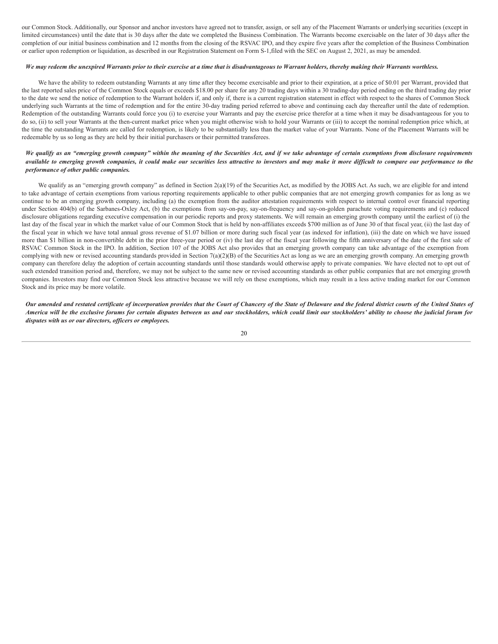our Common Stock. Additionally, our Sponsor and anchor investors have agreed not to transfer, assign, or sell any of the Placement Warrants or underlying securities (except in limited circumstances) until the date that is 30 days after the date we completed the Business Combination. The Warrants become exercisable on the later of 30 days after the completion of our initial business combination and 12 months from the closing of the RSVAC IPO, and they expire five years after the completion of the Business Combination or earlier upon redemption or liquidation, as described in our Registration Statement on Form S-1,filed with the SEC on August 2, 2021, as may be amended.

## We may redeem the unexpired Warrants prior to their exercise at a time that is disadvantageous to Warrant holders, thereby making their Warrants worthless.

We have the ability to redeem outstanding Warrants at any time after they become exercisable and prior to their expiration, at a price of \$0.01 per Warrant, provided that the last reported sales price of the Common Stock equals or exceeds \$18.00 per share for any 20 trading days within a 30 trading-day period ending on the third trading day prior to the date we send the notice of redemption to the Warrant holders if, and only if, there is a current registration statement in effect with respect to the shares of Common Stock underlying such Warrants at the time of redemption and for the entire 30-day trading period referred to above and continuing each day thereafter until the date of redemption. Redemption of the outstanding Warrants could force you (i) to exercise your Warrants and pay the exercise price therefor at a time when it may be disadvantageous for you to do so, (ii) to sell your Warrants at the then-current market price when you might otherwise wish to hold your Warrants or (iii) to accept the nominal redemption price which, at the time the outstanding Warrants are called for redemption, is likely to be substantially less than the market value of your Warrants. None of the Placement Warrants will be redeemable by us so long as they are held by their initial purchasers or their permitted transferees.

## We qualify as an "emerging growth company" within the meaning of the Securities Act, and if we take advantage of certain exemptions from disclosure requirements available to emerging growth companies, it could make our securities less attractive to investors and may make it more difficult to compare our performance to the *performance of other public companies.*

We qualify as an "emerging growth company" as defined in Section 2(a)(19) of the Securities Act, as modified by the JOBS Act. As such, we are eligible for and intend to take advantage of certain exemptions from various reporting requirements applicable to other public companies that are not emerging growth companies for as long as we continue to be an emerging growth company, including (a) the exemption from the auditor attestation requirements with respect to internal control over financial reporting under Section 404(b) of the Sarbanes-Oxley Act, (b) the exemptions from say-on-pay, say-on-frequency and say-on-golden parachute voting requirements and (c) reduced disclosure obligations regarding executive compensation in our periodic reports and proxy statements. We will remain an emerging growth company until the earliest of (i) the last day of the fiscal year in which the market value of our Common Stock that is held by non-affiliates exceeds \$700 million as of June 30 of that fiscal year, (ii) the last day of the fiscal year in which we have total annual gross revenue of \$1.07 billion or more during such fiscal year (as indexed for inflation), (iii) the date on which we have issued more than \$1 billion in non-convertible debt in the prior three-year period or (iv) the last day of the fiscal year following the fifth anniversary of the date of the first sale of RSVAC Common Stock in the IPO. In addition, Section 107 of the JOBS Act also provides that an emerging growth company can take advantage of the exemption from complying with new or revised accounting standards provided in Section 7(a)(2)(B) of the Securities Act as long as we are an emerging growth company. An emerging growth company can therefore delay the adoption of certain accounting standards until those standards would otherwise apply to private companies. We have elected not to opt out of such extended transition period and, therefore, we may not be subject to the same new or revised accounting standards as other public companies that are not emerging growth companies. Investors may find our Common Stock less attractive because we will rely on these exemptions, which may result in a less active trading market for our Common Stock and its price may be more volatile.

Our amended and restated certificate of incorporation provides that the Court of Chancery of the State of Delaware and the federal district courts of the United States of America will be the exclusive forums for certain disputes between us and our stockholders, which could limit our stockholders' ability to choose the judicial forum for *disputes with us or our directors, of icers or employees.*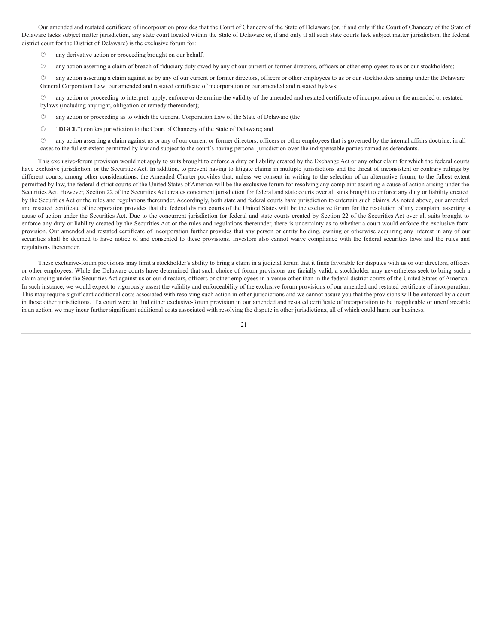Our amended and restated certificate of incorporation provides that the Court of Chancery of the State of Delaware (or, if and only if the Court of Chancery of the State of Delaware lacks subject matter jurisdiction, any state court located within the State of Delaware or, if and only if all such state courts lack subject matter jurisdiction, the federal district court for the District of Delaware) is the exclusive forum for:

- · any derivative action or proceeding brought on our behalf;
- · any action asserting a claim of breach of fiduciary duty owed by any of our current or former directors, officers or other employees to us or our stockholders;

· any action asserting a claim against us by any of our current or former directors, officers or other employees to us or our stockholders arising under the Delaware General Corporation Law, our amended and restated certificate of incorporation or our amended and restated bylaws;

any action or proceeding to interpret, apply, enforce or determine the validity of the amended and restated certificate of incorporation or the amended or restated bylaws (including any right, obligation or remedy thereunder);

- · any action or proceeding as to which the General Corporation Law of the State of Delaware (the
- · "**DGCL**") confers jurisdiction to the Court of Chancery of the State of Delaware; and

· any action asserting a claim against us or any of our current or former directors, officers or other employees that is governed by the internal affairs doctrine, in all cases to the fullest extent permitted by law and subject to the court's having personal jurisdiction over the indispensable parties named as defendants.

This exclusive-forum provision would not apply to suits brought to enforce a duty or liability created by the Exchange Act or any other claim for which the federal courts have exclusive jurisdiction, or the Securities Act. In addition, to prevent having to litigate claims in multiple jurisdictions and the threat of inconsistent or contrary rulings by different courts, among other considerations, the Amended Charter provides that, unless we consent in writing to the selection of an alternative forum, to the fullest extent permitted by law, the federal district courts of the United States of America will be the exclusive forum for resolving any complaint asserting a cause of action arising under the Securities Act. However, Section 22 of the Securities Act creates concurrent jurisdiction for federal and state courts over all suits brought to enforce any duty or liability created by the Securities Act or the rules and regulations thereunder. Accordingly, both state and federal courts have jurisdiction to entertain such claims. As noted above, our amended and restated certificate of incorporation provides that the federal district courts of the United States will be the exclusive forum for the resolution of any complaint asserting a cause of action under the Securities Act. Due to the concurrent jurisdiction for federal and state courts created by Section 22 of the Securities Act over all suits brought to enforce any duty or liability created by the Securities Act or the rules and regulations thereunder, there is uncertainty as to whether a court would enforce the exclusive form provision. Our amended and restated certificate of incorporation further provides that any person or entity holding, owning or otherwise acquiring any interest in any of our securities shall be deemed to have notice of and consented to these provisions. Investors also cannot waive compliance with the federal securities laws and the rules and regulations thereunder.

These exclusive-forum provisions may limit a stockholder's ability to bring a claim in a judicial forum that it finds favorable for disputes with us or our directors, officers or other employees. While the Delaware courts have determined that such choice of forum provisions are facially valid, a stockholder may nevertheless seek to bring such a claim arising under the Securities Act against us or our directors, officers or other employees in a venue other than in the federal district courts of the United States of America. In such instance, we would expect to vigorously assert the validity and enforceability of the exclusive forum provisions of our amended and restated certificate of incorporation. This may require significant additional costs associated with resolving such action in other jurisdictions and we cannot assure you that the provisions will be enforced by a court in those other jurisdictions. If a court were to find either exclusive-forum provision in our amended and restated certificate of incorporation to be inapplicable or unenforceable in an action, we may incur further significant additional costs associated with resolving the dispute in other jurisdictions, all of which could harm our business.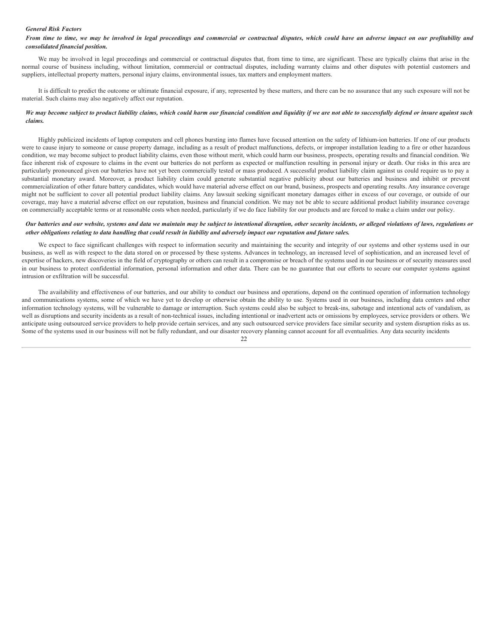## *General Risk Factors*

## From time to time, we may be involved in legal proceedings and commercial or contractual disputes, which could have an adverse impact on our profitability and *consolidated financial position.*

We may be involved in legal proceedings and commercial or contractual disputes that, from time to time, are significant. These are typically claims that arise in the normal course of business including, without limitation, commercial or contractual disputes, including warranty claims and other disputes with potential customers and suppliers, intellectual property matters, personal injury claims, environmental issues, tax matters and employment matters.

It is difficult to predict the outcome or ultimate financial exposure, if any, represented by these matters, and there can be no assurance that any such exposure will not be material. Such claims may also negatively affect our reputation.

## We may become subject to product liability claims, which could harm our financial condition and liquidity if we are not able to successfully defend or insure against such *claims.*

Highly publicized incidents of laptop computers and cell phones bursting into flames have focused attention on the safety of lithium-ion batteries. If one of our products were to cause injury to someone or cause property damage, including as a result of product malfunctions, defects, or improper installation leading to a fire or other hazardous condition, we may become subject to product liability claims, even those without merit, which could harm our business, prospects, operating results and financial condition. We face inherent risk of exposure to claims in the event our batteries do not perform as expected or malfunction resulting in personal injury or death. Our risks in this area are particularly pronounced given our batteries have not yet been commercially tested or mass produced. A successful product liability claim against us could require us to pay a substantial monetary award. Moreover, a product liability claim could generate substantial negative publicity about our batteries and business and inhibit or prevent commercialization of other future battery candidates, which would have material adverse effect on our brand, business, prospects and operating results. Any insurance coverage might not be sufficient to cover all potential product liability claims. Any lawsuit seeking significant monetary damages either in excess of our coverage, or outside of our coverage, may have a material adverse effect on our reputation, business and financial condition. We may not be able to secure additional product liability insurance coverage on commercially acceptable terms or at reasonable costs when needed, particularly if we do face liability for our products and are forced to make a claim under our policy.

## Our batteries and our website, systems and data we maintain may be subject to intentional disruption, other security incidents, or alleged violations of laws, regulations or other obligations relating to data handling that could result in liability and adversely impact our reputation and future sales.

We expect to face significant challenges with respect to information security and maintaining the security and integrity of our systems and other systems used in our business, as well as with respect to the data stored on or processed by these systems. Advances in technology, an increased level of sophistication, and an increased level of expertise of hackers, new discoveries in the field of cryptography or others can result in a compromise or breach of the systems used in our business or of security measures used in our business to protect confidential information, personal information and other data. There can be no guarantee that our efforts to secure our computer systems against intrusion or exfiltration will be successful.

The availability and effectiveness of our batteries, and our ability to conduct our business and operations, depend on the continued operation of information technology and communications systems, some of which we have yet to develop or otherwise obtain the ability to use. Systems used in our business, including data centers and other information technology systems, will be vulnerable to damage or interruption. Such systems could also be subject to break-ins, sabotage and intentional acts of vandalism, as well as disruptions and security incidents as a result of non-technical issues, including intentional or inadvertent acts or omissions by employees, service providers or others. We anticipate using outsourced service providers to help provide certain services, and any such outsourced service providers face similar security and system disruption risks as us. Some of the systems used in our business will not be fully redundant, and our disaster recovery planning cannot account for all eventualities. Any data security incidents

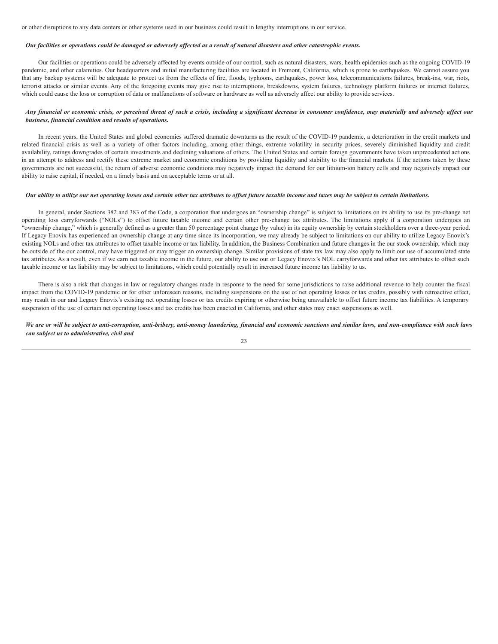or other disruptions to any data centers or other systems used in our business could result in lengthy interruptions in our service.

## Our facilities or operations could be damaged or adversely affected as a result of natural disasters and other catastrophic events.

Our facilities or operations could be adversely affected by events outside of our control, such as natural disasters, wars, health epidemics such as the ongoing COVID-19 pandemic, and other calamities. Our headquarters and initial manufacturing facilities are located in Fremont, California, which is prone to earthquakes. We cannot assure you that any backup systems will be adequate to protect us from the effects of fire, floods, typhoons, earthquakes, power loss, telecommunications failures, break-ins, war, riots, terrorist attacks or similar events. Any of the foregoing events may give rise to interruptions, breakdowns, system failures, technology platform failures or internet failures, which could cause the loss or corruption of data or malfunctions of software or hardware as well as adversely affect our ability to provide services.

## Any financial or economic crisis, or perceived threat of such a crisis, including a significant decrease in consumer confidence, may materially and adversely affect our *business, financial condition and results of operations.*

In recent years, the United States and global economies suffered dramatic downturns as the result of the COVID-19 pandemic, a deterioration in the credit markets and related financial crisis as well as a variety of other factors including, among other things, extreme volatility in security prices, severely diminished liquidity and credit availability, ratings downgrades of certain investments and declining valuations of others. The United States and certain foreign governments have taken unprecedented actions in an attempt to address and rectify these extreme market and economic conditions by providing liquidity and stability to the financial markets. If the actions taken by these governments are not successful, the return of adverse economic conditions may negatively impact the demand for our lithium-ion battery cells and may negatively impact our ability to raise capital, if needed, on a timely basis and on acceptable terms or at all.

## Our ability to utilize our net operating losses and certain other tax attributes to offset future taxable income and taxes may be subject to certain limitations.

In general, under Sections 382 and 383 of the Code, a corporation that undergoes an "ownership change" is subject to limitations on its ability to use its pre-change net operating loss carryforwards ("NOLs") to offset future taxable income and certain other pre-change tax attributes. The limitations apply if a corporation undergoes an "ownership change," which is generally defined as a greater than 50 percentage point change (by value) in its equity ownership by certain stockholders over a three-year period. If Legacy Enovix has experienced an ownership change at any time since its incorporation, we may already be subject to limitations on our ability to utilize Legacy Enovix's existing NOLs and other tax attributes to offset taxable income or tax liability. In addition, the Business Combination and future changes in the our stock ownership, which may be outside of the our control, may have triggered or may trigger an ownership change. Similar provisions of state tax law may also apply to limit our use of accumulated state tax attributes. As a result, even if we earn net taxable income in the future, our ability to use our or Legacy Enovix's NOL carryforwards and other tax attributes to offset such taxable income or tax liability may be subject to limitations, which could potentially result in increased future income tax liability to us.

There is also a risk that changes in law or regulatory changes made in response to the need for some jurisdictions to raise additional revenue to help counter the fiscal impact from the COVID-19 pandemic or for other unforeseen reasons, including suspensions on the use of net operating losses or tax credits, possibly with retroactive effect, may result in our and Legacy Enovix's existing net operating losses or tax credits expiring or otherwise being unavailable to offset future income tax liabilities. A temporary suspension of the use of certain net operating losses and tax credits has been enacted in California, and other states may enact suspensions as well.

## We are or will be subject to anti-corruption, anti-bribery, anti-money laundering, financial and economic sanctions and similar laws, and non-compliance with such laws *can subject us to administrative, civil and*